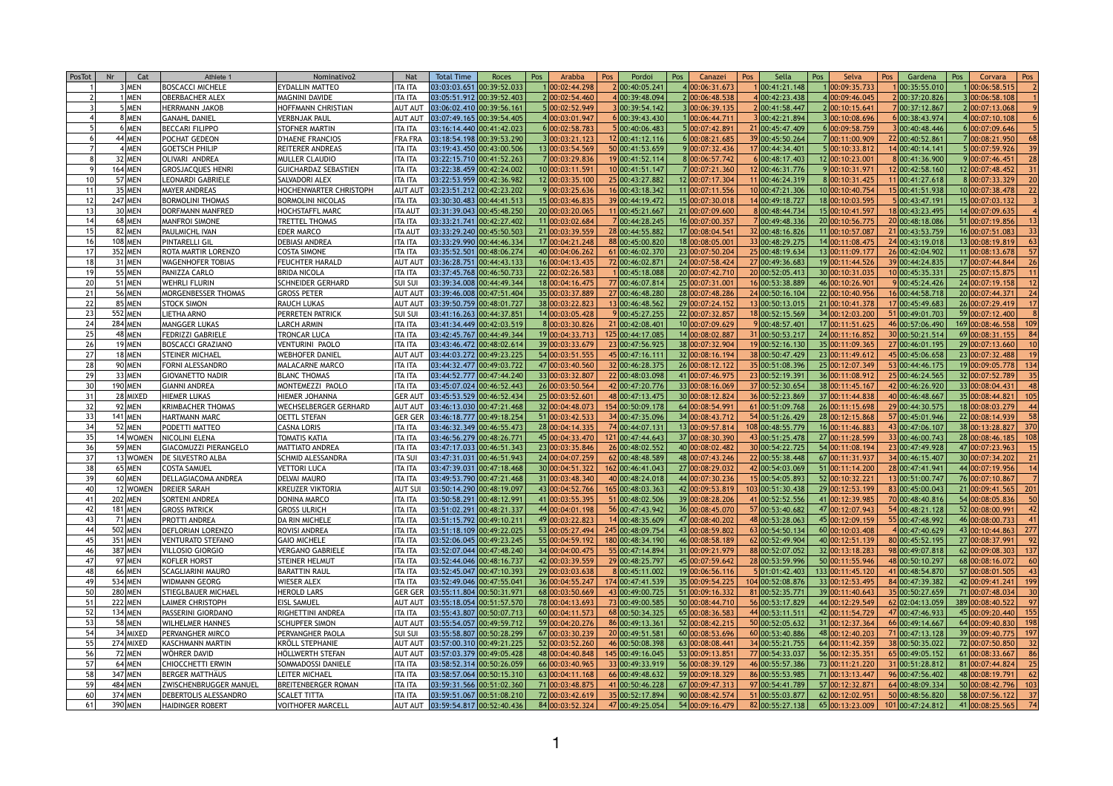| <b>PosTot</b> | <b>Nr</b> | Cat            | Athlete <sup>'</sup>         | Nominativo2                 | <b>Nat</b>     | <b>Total Time</b>                                   | <b>Roces</b> | Pos | Arabba          | Pos | Pordoi           | Pos | Canazei         | Pos | Sella            | Pos | Selva            | Pos | Gardena                               | Pos | Corvara              | Pos |
|---------------|-----------|----------------|------------------------------|-----------------------------|----------------|-----------------------------------------------------|--------------|-----|-----------------|-----|------------------|-----|-----------------|-----|------------------|-----|------------------|-----|---------------------------------------|-----|----------------------|-----|
|               |           | 3 MEN          | <b>BOSCACCI MICHELE</b>      | <b>EYDALLIN MATTEO</b>      | ITA ITA        | 03:03:03.651 00:39:52.033                           |              |     | 100:02:44.298   |     | 2 00:40:05.241   |     | 4 00:06:31.673  |     | 00:41:21.148     |     | 00:09:35.733     |     | 00:35:55.010                          |     | 00:06:58.515         |     |
|               |           | <b>IMEN</b>    | <b>OBERBACHER ALEX</b>       | MAGNINI DAVIDE              | <b>ITA ITA</b> | 03:05:51.912 00:39:52.403                           |              |     | 2 00:02:54.460  |     | 400:39:48.094    |     | 2 00:06:48.538  |     | 00:42:23.438     |     | 4 00:09:46.045   |     | 2 00:37:20.826                        |     | 8 00:06:58.108       |     |
|               |           | 5 MEN          | <b>HERRMANN JAKOB</b>        | HOFFMANN CHRISTIAN          | <b>AUT AUT</b> | 03:06:02.410 00:39:56.161                           |              |     | 5 00:02:52.949  |     | 3 00:39:54.142   |     | 3 00:06:39.135  |     | 00:41:58.447     |     | 2 00:10:15.641   |     | 7 00:37:12.867                        |     | 2 00:07:13.068       |     |
|               |           | 8 MEN          | <b>GANAHL DANIEL</b>         | <b>VERBNJAK PAUL</b>        | <b>AUT AUT</b> | 03:07:49.165 00:39:54.405                           |              |     | 4 00:03:01.947  |     | 6 00:39:43.430   |     | 100:06:44.711   |     | 00:42:21.894     |     | 3 00:10:08.696   |     | 6 00:38:43.974                        |     | 4 00:07:10.108       |     |
|               |           | 6 MEN          | <b>BECCARI FILIPPO</b>       | <b>STOFNER MARTIN</b>       | <b>ITA ITA</b> | 03:16:14.440 00:41:42.023                           |              |     | 6 00:02:58.783  |     | 5 00:40:06.483   |     | 5 00:07:42.891  |     | 21 00:45:47.409  |     | 6 00:09:58.759   |     | 3 00:40:48.446                        |     | 6 00:07:09.646       |     |
|               |           | 44 MEN         | <b>POCHAT GEDEON</b>         | <b>D'HAENE FRANCIOS</b>     | <b>FRA FRA</b> | 03:18:54.198 00:39:53.290                           |              |     | 3 00:03:21.123  |     | 12 00:41:12.116  |     | 6 00:08:21.685  |     | 39 00:45:50.264  |     | 7 00:11:00.909   |     | 22 00:40:52.861                       |     | 7 00:08:21.950       |     |
|               |           | 4 MEN          | <b>GOETSCH PHILIP</b>        | <b>REITERER ANDREAS</b>     | <b>ITA ITA</b> | 03:19:43.450 00:43:00.506                           |              |     | 13 00:03:54.569 |     | 50 00:41:53.659  |     | 9 00:07:32.436  |     | 17 00:44:34.401  |     | 5 00:10:33.812   |     | 14 00:40:14.141                       |     | 5 00:07:59.926       | 39  |
|               |           | 32 MEN         | OLIVARI ANDREA               | <b>MULLER CLAUDIO</b>       | <b>ITA ITA</b> | 03:22:15.710 00:41:52.263                           |              |     | 7 00:03:29.836  |     | 19 00:41:52.114  |     | 8 00:06:57.742  |     | 00:48:17.403     |     | 12 00:10:23.001  |     | 8 00:41:36.900                        |     | 9 00:07:46.451       | 28  |
|               |           | 164 MEN        | <b>GROSJACQUES HENRI</b>     | <b>GUICHARDAZ SEBASTIEN</b> | <b>ITA ITA</b> | 03:22:38.459 00:42:24.002                           |              |     | 10 00:03:11.591 |     | 10 00:41:51.147  |     | 7 00:07:21.360  |     | 12 00:46:31.776  |     | 9 00:10:31.971   |     | 12 00:42:58.160                       |     | 12 00:07:48.452      |     |
|               |           | 57 MEN         | <b>LEONARDI GABRIELE</b>     | SALVADORI ALEX              | <b>ITA ITA</b> | 03:22:53.959 00:42:36.982                           |              |     | 12 00:03:35.100 |     | 25 00:43:27.882  |     | 12 00:07:17.304 |     | 1 00:46:24.319   |     | 8 00:10:31.425   |     | 11 00:41:27.618                       |     | 8 00:07:33.329       |     |
|               |           | 35 MEN         | <b>MAYER ANDREAS</b>         | HOCHENWARTER CHRISTOPH      | <b>AUT AUT</b> | 03:23:51.212 00:42:23.202                           |              |     | 9 00:03:25.636  |     | 16 00:43:18.342  |     | 11 00:07:11.556 |     | 10 00:47:21.306  |     | 10 00:10:40.754  |     | 15 00:41:51.938                       |     | 10 00:07:38.478      | 22  |
|               |           | <b>247 MEN</b> | <b>BORMOLINI THOMAS</b>      | <b>BORMOLINI NICOLAS</b>    | <b>ITA ITA</b> | 03:30:30.483 00:44:41.513                           |              |     | 15 00:03:46.835 |     | 39 00:44:19.472  |     | 15 00:07:30.018 |     | 4 00:49:18.727   |     | 18 00:10:03.595  |     | 5 00:43:47.191                        |     | 15 00:07:03.132      |     |
|               |           | 30 MEN         | <b>DORFMANN MANFRED</b>      | <b>HOCHSTAFFL MARC</b>      | ITA AUT        | 03:31:39.043 00:45:48.250                           |              |     | 20 00:03:20.065 |     | 11 00:45:21.667  |     | 21 00:07:09.600 |     | 00:48:44.734     |     | 15 00:10:41.597  |     | 18 00:43:23.495                       |     | 14 00:07:09.635      |     |
|               |           | 68 MEN         | <b>MANFROI SIMONE</b>        | TRETTEL THOMAS              | <b>ITA ITA</b> | 03:33:21.741 00:42:27.402                           |              |     | 11 00:03:02.684 |     | 7 00:44:28.245   |     | 16 00:07:00.357 |     | 00:49:48.336     |     | 20 00:10:56.775  |     | 20 00:48:18.086                       |     | 51 00:07:19.856      |     |
|               |           | 82 MEN         | <b>PAULMICHL IVAN</b>        | <b>EDER MARCO</b>           | ITA AUT        | $03:33:29.240$ 00:45:50.503                         |              |     | 21 00:03:39.559 |     | 28 00:44:55.882  |     | 17 00:08:04.541 |     | 32 00:48:16.826  |     | 11 00:10:57.087  |     | 21 00:43:53.759                       |     | 16 00:07:51.083      | 33  |
|               |           | 108 MEN        | <b>PINTARELLI GIL</b>        | <b>DEBIASI ANDREA</b>       | <b>ITA ITA</b> | 03:33:29.990 00:44:46.334                           |              |     | 17 00:04:21.248 |     | 88 00:45:00.820  |     | 18 00:08:05.001 |     | 33 00:48:29.275  |     | 14 00:11:08.475  |     | 24 00:43:19.018                       |     | 13 00:08:19.819      | 63  |
|               |           | 352 MEN        | <b>ROTA MARTIR LORENZO</b>   | <b>COSTA SIMONE</b>         | <b>ITA ITA</b> | 03:35:52.501 00:48:06.274                           |              |     | 40 00:04:06.262 |     | 61 00:46:02.370  |     | 23 00:07:50.204 |     | 25 00:48:19.634  |     | 13 00:11:09.177  |     | 26 00:42:04.902                       |     | 11 00:08:13.678      | 57  |
|               |           | 31 MEN         | <b>WAGENHOFER TOBIAS</b>     | <b>FEUCHTER HARALD</b>      | <b>AUT AU</b>  | $03:36:28.751$ 00:44:43.133                         |              |     | 16 00:04:13.435 |     | 72 00:46:02.871  |     | 24 00:07:58.424 |     | 27 00:49:36.683  |     | 19 00:11:44.526  |     | 39 00:44:24.835                       |     | 17 00:07:44.844      |     |
|               |           | 55 MEN         | <b>PANIZZA CARLO</b>         | <b>BRIDA NICOLA</b>         | <b>ITA ITA</b> | 03:37:45.768 00:46:50.733                           |              |     | 22 00:02:26.583 |     | 100:45:18.088    |     | 20 00:07:42.710 |     | 20 00:52:05.413  |     | 30 00:10:31.035  |     | 10 00:45:35.331                       |     | 25 00:07:15.875      |     |
|               |           | 51 MEN         | <b>WEHRLI FLURIN</b>         | <b>SCHNEIDER GERHARD</b>    | <b>SUI SU</b>  | 03:39:34.008 00:44:49.344                           |              |     | 18 00:04:16.475 |     | 77 00:46:07.814  |     | 25 00:07:31.001 |     | 16 00:53:38.889  |     | 46 00:10:26.901  |     | 9 00:45:24.426                        |     | 24 00:07:19.158      |     |
|               |           | 56 MEN         | <b>MORGENBESSER THOMAS</b>   | <b>GROSS PETER</b>          | <b>AUT AUT</b> | $03:39:46.008$ 00:47:51.404                         |              |     | 35 00:03:37.889 |     | 27 00:46:48.280  |     | 28 00:07:48.286 |     | 24 00:50:16.104  |     | 22 00:10:40.956  |     | 16 00:44:58.718                       |     | 20 00:07:44.371      | 24  |
|               |           | 85 MEN         | <b>STOCK SIMON</b>           | <b>RAUCH LUKAS</b>          | <b>AUT AUT</b> | 03:39:50.759 00:48:01.727                           |              |     | 38 00:03:22.823 |     | 13 00:46:48.562  |     | 29 00:07:24.152 |     | 13 00:50:13.015  |     | 21 00:10:41.378  |     | 17 00:45:49.683                       |     | 26 00:07:29.419      |     |
|               |           | 552 MEN        | <b>LIETHA ARNO</b>           | PERRETEN PATRICK            | <b>SUI SUI</b> | 03:41:16.263 00:44:37.851                           |              |     | 14 00:03:05.428 |     | 9 00:45:27.255   |     | 22 00:07:32.857 |     | 18 00:52:15.569  |     | 34 00:12:03.200  |     | 51 00:49:01.703                       |     | 59 00:07:12.400      |     |
|               |           | <b>284 MEN</b> | <b>MANGGER LUKAS</b>         | LARCH ARMIN                 | <b>ITA ITA</b> | 03:41:34.449 00:42:03.519                           |              |     | 8 00:03:30.826  |     | 21 00:42:08.401  |     | 10 00:07:09.629 |     | 00:48:57.401     |     | 17 00:11:51.625  |     | 46 00:57:06.490                       |     | 169 00:08:46.558     | 109 |
|               |           | 48 MEN         | <b>FEDRIZZI GABRIELE</b>     | TRONCAR LUCA                | <b>ITA ITA</b> | $03:42:45.767$ 00:44:49.344                         |              |     | 19 00:04:33.713 |     | 125 00:44:17.085 |     | 14 00:08:02.887 |     | 31 00:50:53.217  |     | 24 00:11:16.852  |     | 30 00:50:21.514                       |     | 69 00:08:31.155      | 84  |
|               |           | <b>19 MEN</b>  | <b>BOSCACCI GRAZIANO</b>     | VENTURINI PAOLO             | <b>ITA ITA</b> | 03:43:46.472 00:48:02.614                           |              |     | 39 00:03:33.679 |     | 23 00:47:56.925  |     | 38 00:07:32.904 |     | 19 00:52:16.130  |     | 35 00:11:09.365  |     | 27 00:46:01.195                       |     | 29 00:07:13.660      |     |
|               |           | $18$ MEN       | <b>STEINER MICHAEL</b>       | <b>WEBHOFER DANIEL</b>      | <b>AUT AUT</b> | 03:44:03.272 00:49:23.225                           |              |     | 54 00:03:51.555 |     | 45 00:47:16.111  |     | 32 00:08:16.194 |     | 38 00:50:47.429  |     | 23 00:11:49.612  |     | 45 00:45:06.658                       |     | 23 00:07:32.488      |     |
|               |           | 90 MEN         | <b>FORNI ALESSANDRO</b>      | MALACARNE MARCO             | ITA ITA        | 03:44:32.477 00:49:03.722                           |              |     | 47 00:03:40.560 |     | 32 00:46:28.375  |     | 26 00:08:12.122 |     | 35 00:51:08.396  |     | 25 00:12:07.349  |     | 53 00:44:46.175                       |     | 19 00:09:05.778      | 134 |
|               |           | 33 MEN         | <b>GIOVANETTO NADIR</b>      | <b>BLANC THOMAS</b>         | <b>ITA ITA</b> | 03:44:52.777 00:47:44.240                           |              |     | 33 00:03:32.807 |     | 22 00:48:03.098  |     | 41 00:07:46.975 |     | 23 00:52:19.391  |     | 36 00:11:08.912  |     | 25 00:46:24.565                       |     | 32 00:07:52.789      |     |
|               |           | 190 MEN        | <b>GIANNI ANDREA</b>         | MONTEMEZZI PAOLO            | <b>ITA ITA</b> | 03:45:07.024 00:46:52.443                           |              |     | 26 00:03:50.564 |     | 42 00:47:20.776  |     | 33 00:08:16.069 |     | 37 00:52:30.654  |     | 38 00:11:45.167  |     | 42 00:46:26.920                       |     | 33 00:08:04.431      |     |
|               |           | 28 MIXED       | <b>HIEMER LUKAS</b>          | HIEMER JOHANNA              | <b>GER AUT</b> | $03:45:53.529$ 00:46:52.434                         |              |     | 25 00:03:52.601 |     | 48 00:47:13.475  |     | 30 00:08:12.824 |     | 36 00:52:23.869  |     | 37 00:11:44.838  |     | 40 00:46:48.667                       |     | 35 00:08:44.821      | 105 |
|               |           | <b>92 MEN</b>  | <b>KRIMBACHER THOMAS</b>     | WECHSELBERGER GERHARD       | <b>AUT AUT</b> | 03:46:13.030 00:47:21.468                           |              |     | 32 00:04:48.073 |     | 154 00:50:09.178 |     | 64 00:08:54.991 |     | 61 00:51:09.768  |     | 26 00:11:15.698  |     | 29 00:44:30.575                       |     | 18 00:08:03.279      |     |
|               |           | <b>141 MEN</b> | HARTMANN MARC                | <b>OETTL STEFAN</b>         | <b>GER GER</b> | 03:46:18.777 00:49:18.254                           |              |     | 51 00:03:42.533 |     | 34 00:47:35.096  |     | 34 00:08:43.712 |     | 54 00:51:26.429  |     | 28 00:12:15.868  |     | 57 00:45:01.946                       |     | 22 00:08:14.939      | 58  |
|               |           | 52 MEN         | <b>PODETTI MATTEO</b>        | <b>CASNA LORIS</b>          | ITA ITA        | 03:46:32.349 00:46:55.473                           |              |     | 28 00:04:14.335 |     | 74 00:44:07.131  |     | 13 00:09:57.814 |     | 108 00:48:55.779 |     | 16 00:11:46.883  |     | 43 00:47:06.107                       |     | 38 00:13:28.827      | 370 |
|               |           | 14 WOMEN       | NICOLINI ELENA               | <b>TOMATIS KATIA</b>        | <b>ITA ITA</b> | 03:46:56.279 00:48:26.771                           |              |     | 45 00:04:33.470 |     | 121 00:47:44.643 |     | 37 00:08:30.390 |     | 43 00:51:25.478  |     | 27 00:11:28.599  |     | 33 00:46:00.743                       |     | 28 00:08:46.185      | 108 |
|               |           | 59 MEN         | <b>GIACOMUZZI PIERANGELO</b> | <b>MATTIATO ANDREA</b>      | ITA ITA        | 03:47:17.033 00:46:51.343                           |              |     | 23 00:03:35.846 |     | 26 00:48:02.552  |     | 40 00:08:02.482 |     | 30 00:54:22.725  |     | 54 00:11:08.194  |     | 23 00:47:49.928                       |     | 47 00:07:23.963      |     |
|               |           | 13 WOMEN       | <b>DE SILVESTRO ALBA</b>     | <b>SCHMID ALESSANDRA</b>    | ITA SU         | 03:47:31.031 00:46:51.943                           |              |     | 24 00:04:07.259 |     | 62 00:48:48.589  |     | 48 00:07:43.246 |     | 22 00:55:38.448  |     | 67 00:11:31.937  |     | 34 00:46:15.407                       |     | 30 00:07:34.202      |     |
|               |           | 65 MEN         | <b>COSTA SAMUEL</b>          | <b>VETTORI LUCA</b>         | <b>ITA ITA</b> | 03:47:39.031 00:47:18.468                           |              |     | 30 00:04:51.322 |     | 162 00:46:41.043 |     | 27 00:08:29.032 |     | 42 00:54:03.069  |     | 51 00:11:14.200  |     | 28 00:47:41.941                       |     | 44 00:07:19.956      |     |
|               |           | $60$ MEN       | <b>DELLAGIACOMA ANDREA</b>   | <b>DELVAI MAURO</b>         | <b>ITA ITA</b> | $03:49:53.790$ 00:47:21.468                         |              |     | 31 00:03:48.340 |     | 40 00:48:24.018  |     | 44 00:07:30.236 |     | 15 00:54:05.893  |     | 52 00:10:32.221  |     | 13 00:51:00.747                       |     | 76 00:07:10.867      |     |
|               |           | 12 WOMEN       | <b>DREIER SARAH</b>          | <b>KREUZER VIKTORIA</b>     | <b>AUT SU</b>  | 03:50:14.290 00:48:19.097                           |              |     | 43 00:04:52.766 |     | 165 00:48:03.363 |     | 42 00:09:53.819 |     | 103 00:51:30.438 |     | 29 00:12:53.199  |     | 83 00:45:00.043                       |     | 21 00:09:41.565      | 201 |
|               |           | 202 MEN        | SORTENI ANDREA               | <b>DONINA MARCO</b>         | <b>ITA ITA</b> | $03:50:58.291$ 00:48:12.991                         |              |     | 41 00:03:55.395 |     | 51 00:48:02.506  |     | 39 00:08:28.206 |     | 41 00:52:52.556  |     | 41 00:12:39.985  |     | 70 00:48:40.816                       |     | 54 00:08:05.836      |     |
|               |           | <b>181 MEN</b> | <b>GROSS PATRICK</b>         | <b>GROSS ULRICH</b>         | ITA ITA        | $03:51:02.291$ 00:48:21.337                         |              |     | 44 00:04:01.198 |     | 56 00:47:43.942  |     | 36 00:08:45.070 |     | 57 00:53:40.682  |     | 47 00:12:07.943  |     | 54 00:48:21.128                       |     | 52 00:08:00.991      |     |
|               |           | <b>71 MEN</b>  | <b>PROTTI ANDREA</b>         | DA RIN MICHELE              | ITA ITA        | 03:51:15.792 00:49:10.211                           |              |     | 49 00:03:22.823 |     | 14 00:48:35.609  |     | 47 00:08:40.202 |     | 48 00:53:28.063  |     | 45 00:12:09.159  |     | 55 00:47:48.992                       |     | 46 00:08:00.733      |     |
|               |           | 502 MEN        | <b>DEFLORIAN LORENZO</b>     | ROVISI ANDREA               | ITA ITA        | 03:51:18.109 00:49:22.025                           |              |     | 53 00:05:27.494 |     | 245 00:48:09.754 |     | 43 00:08:59.802 |     | 63 00:54:50.134  |     | 60 00:10:03.408  |     | 4 00:47:40.629                        |     | 43 00:10:44.863      | 277 |
|               |           | 351 MEN        | <b>VENTURATO STEFANO</b>     | <b>GAIO MICHELE</b>         | ITA ITA        | 03:52:06.045 00:49:23.245                           |              |     | 55 00:04:59.192 |     | 180 00:48:34.190 |     | 46 00:08:58.189 |     | 62 00:52:49.904  |     | 40 00:12:51.139  |     | 80 00:45:52.195                       |     | 27 00:08:37.991      | 92  |
|               |           | 387 MEN        | <b>VILLOSIO GIORGIO</b>      | <b>VERGANO GABRIELE</b>     | ITA ITA        | 03:52:07.044 00:47:48.240                           |              |     | 34 00:04:00.475 |     | 55 00:47:14.894  |     | 31 00:09:21.979 |     | 88 00:52:07.052  |     | 32 00:13:18.283  |     | 98 00:49:07.818                       |     | 62 00:09:08.303      | 137 |
|               |           | 97 MEN         | KOFLER HORST                 | STEINER HELMUT              | <b>ITA ITA</b> | 03:52:44.046 00:48:16.737                           |              |     | 42 00:03:39.559 |     | 29 00:48:25.797  |     | 45 00:07:59.642 |     | 28 00:53:59.996  |     | 50 00:11:55.946  |     | 48 00:50:10.297                       |     | 68 00:08:16.072      | 60  |
|               |           | 66 MEN         | <b>SCAGLIARINI MAURO</b>     | <b>BARATTIN RAUL</b>        | ITA ITA        | 03:52:45.047 00:47:10.393                           |              |     | 29 00:03:03.638 |     | 8 00:45:11.002   |     | 19 00:06:56.116 |     | 01:01:42.403     |     | 133 00:11:45.120 |     | 41 00:48:54.870                       |     | 57 00:08:01.505      |     |
|               |           | 534 MEN        | <b>WIDMANN GEORG</b>         | <b>WIESER ALEX</b>          | ITA ITA        | $03:52:49.046$ 00:47:55.041                         |              |     | 36 00:04:55.247 |     | 174 00:47:41.539 |     | 35 00:09:54.225 |     | 104 00:52:08.876 |     | 33 00:12:53.495  |     | 84 00:47:39.382                       |     | 42 00:09:41.241      | 199 |
|               |           | 280 MEN        | <b>STIEGLBAUER MICHAEL</b>   | <b>HEROLD LARS</b>          | <b>GER GER</b> | 03:55:11.804 00:50:31.971                           |              |     | 68 00:03:50.669 |     | 43 00:49:00.725  |     | 51 00:09:16.332 |     | 81 00:52:35.771  |     | 39 00:11:40.643  |     | 35 00:50:27.659                       |     | 71 00:07:48.034      |     |
|               |           | <b>222 MEN</b> | <b>LAIMER CHRISTOPH</b>      | <b>EISL SAMUEL</b>          | <b>AUT AUT</b> | 03:55:18.054 00:51:57.570                           |              |     | 78 00:04:13.693 |     | 73 00:49:00.585  |     | 50 00:08:44.71  |     | 56 00:53:17.829  |     | 44 00:12:29.549  |     | 62 02:04:13.059                       |     | 389 00:08:40.522     |     |
|               |           | 134 MEN        | PASSERINI GIORDANO           | RIGHETTINI ANDREA           | <b>ITA ITA</b> | 03:55:43.807 00:50:07.713                           |              |     | 60 00:04:11.573 |     | 68 00:50:34.325  |     | 65 00:08:36.583 |     | 44 00:53:11.511  |     | 42 00:11:54.729  |     | 47 00:47:46.933                       |     | 45 00:09:20.440      | 155 |
|               |           | 58 MEN         | <b>WILHELMER HANNES</b>      | <b>SCHUPFER SIMON</b>       | <b>AUT AUT</b> | 03:55:54.057 00:49:59.712                           |              |     | 59 00:04:20.276 |     | 86 00:49:13.361  |     | 52 00:08:42.215 |     | 50 00:52:05.632  |     | 31 00:12:37.364  |     | 66 00:49:14.667                       |     | 64 00:09:40.830      | 198 |
|               |           | 34 MIXED       | <b>PERVANGHER MIRCO</b>      | PERVANGHER PAOLA            | <b>SUI SUI</b> | 03:55:58.807 00:50:28.299                           |              |     | 67 00:03:30.239 |     | 20 00:49:51.581  |     | 60 00:08:53.696 |     | 60 00:53:40.886  |     | 48 00:12:40.203  |     | 71 00:47:13.128                       |     | 39 00:09:40.775      | 197 |
|               |           | 274 MIXED      | <b>KASCHMANN MARTIN</b>      | KRÖLL STEPHANIE             | <b>AUT AUT</b> | 03:57:00.310 00:49:21.225                           |              |     | 52 00:03:52.260 |     | 46 00:50:08.398  |     | 63 00:08:08.441 |     | 34 00:55:21.755  |     | 64 00:11:42.359  |     | 38 00:50:35.022                       |     | 72 00:07:50.850      |     |
|               |           | 72 MEN         | WÖHRER DAVID                 | HÖLLWERTH STEFAN            | <b>AUT AUT</b> | 03:57:03.379 00:49:05.428                           |              |     | 48 00:04:40.848 |     | 145 00:49:16.045 |     | 53 00:09:13.851 |     | 77 00:54:33.037  |     | 56 00:12:35.351  |     | 65 00:49:05.152                       |     | 61 00:08:33.667      | 86  |
|               |           | $64$ MEN       | <b>CHIOCCHETTI ERWIN</b>     | <b>SOMMADOSSI DANIELE</b>   | <b>ITA ITA</b> | 03:58:52.314 00:50:26.059                           |              |     | 66 00:03:40.965 |     | 33 00:49:33.919  |     | 56 00:08:39.129 |     | 46 00:55:57.386  |     | 73 00:11:21.220  |     | 31 00:51:28.812                       |     | 81 00:07:44.824      |     |
|               |           | 347 MEN        | <b>BERGER MATTHÄUS</b>       | LEITER MICHAEL              | ITA ITA        | 03:58:57.064 00:50:15.310                           |              |     | 63 00:04:11.168 |     | 66 00:49:48.632  |     | 59 00:09:18.329 |     | 86 00:55:53.985  |     | 71 00:13:13.447  |     | 96 00:47:56.402                       |     | 48 00:08:19.791      | 62  |
|               |           | 484 MEN        | ZWISCHENBRUGGER MANUEL       | <b>BREITENBERGER ROMAN</b>  | <b>ITA ITA</b> | 03:59:31.566 00:51:02.360                           |              |     | 71 00:03:48.875 |     | 41 00:50:46.228  |     | 67 00:09:47.313 |     | 97 00:54:41.789  |     | 57 00:12:32.871  |     | 64 00:48:09.334                       |     | 50 00:08:42.796      | 103 |
| 60            |           | 374 MEN        | DEBERTOLIS ALESSANDRO        | <b>SCALET TITTA</b>         | <b>ITA ITA</b> | $\vert 03:59:51.067 \, \vert 00:51:08.210 \, \vert$ |              |     | 72 00:03:42.619 |     | 35 00:52:17.894  |     | 90 00:08:42.574 |     | 51 00:55:03.877  |     |                  |     | $62 00:12:02.951 $ $50 00:48:56.820 $ |     | 58 00:07:56.122      | 37  |
|               |           | $390$ MEN      | HAIDINGER ROBERT             | <b>VOITHOFER MARCELL</b>    |                | AUT AUT 03:59:54.817 00:52:40.436                   |              |     | 84 00:03:52.324 |     | 47 00:49:25.054  |     | 54 00:09:16.479 |     | 82 00:55:27.138  |     |                  |     | $65 00:13:23.009 $ 101 00:47:24.812   |     | $41 00:08:25.565$ 74 |     |
|               |           |                |                              |                             |                |                                                     |              |     |                 |     |                  |     |                 |     |                  |     |                  |     |                                       |     |                      |     |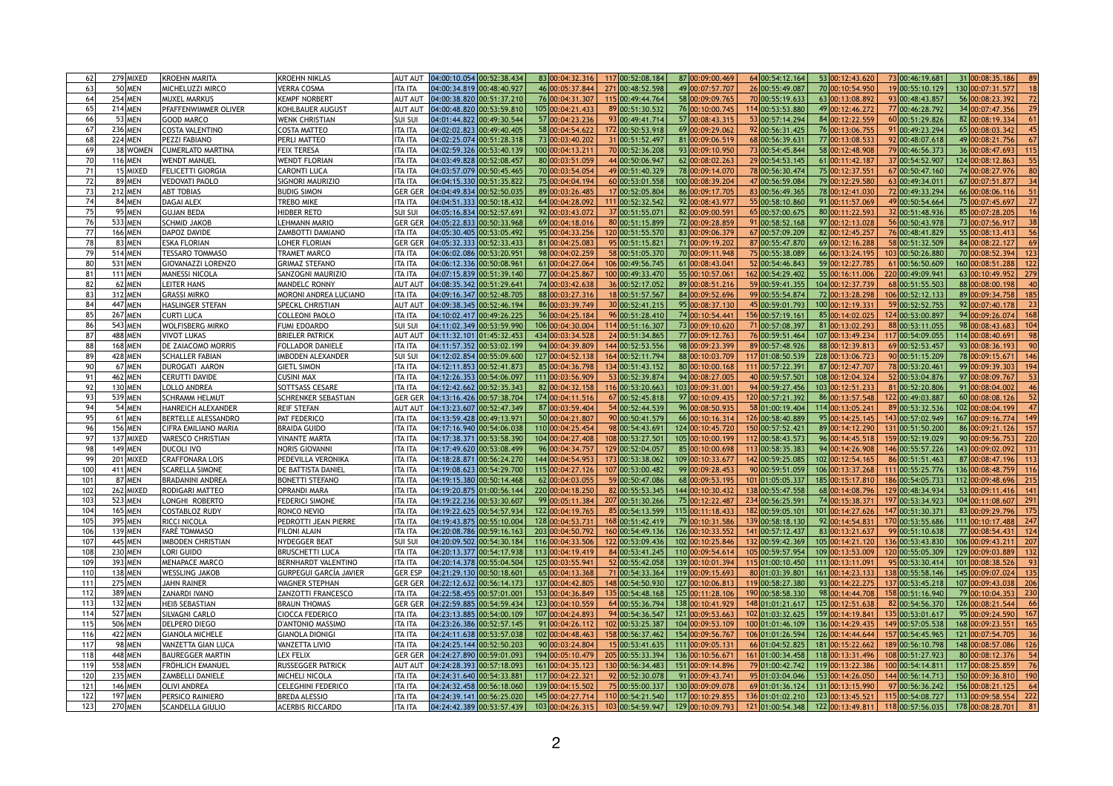|                 | 279 MIXED      | KROEHN MARITA               | <b>KROEHN NIKLAS</b>          | <b>AUT AUT</b> | $04:00:10.054$ 00:52:38.434                   |  | 83 00:04:32.316  | 117 00:52:08.184 | 87 00:09:00.469                                          | 64 00:54:12.164  | 53 00:12:43.620                                          | 73 00:46:19.681  | 31 00:08:35.186                                                                     |
|-----------------|----------------|-----------------------------|-------------------------------|----------------|-----------------------------------------------|--|------------------|------------------|----------------------------------------------------------|------------------|----------------------------------------------------------|------------------|-------------------------------------------------------------------------------------|
|                 | $50$ MEN       | <b>MICHELUZZI MIRCO</b>     | <b>VERRA COSMA</b>            | <b>ITA ITA</b> | [04:00:34.819 00:48:40.927]                   |  | 46 00:05:37.844  | 271 00:48:52.598 | 49 00:07:57.707                                          | 26 00:55:49.087  | 70 00:10:54.950                                          | 19 00:55:10.129  | 130 00:07:31.577                                                                    |
|                 | 254 MEN        | <b>MUXEL MARKUS</b>         | <b>KEMPF NORBERT</b>          | <b>AUT AUT</b> | $04:00:38.820$ 00:51:37.210                   |  | 76 00:04:31.307  | 115 00:49:44.764 | 58 00:09:09.765                                          | 70 00:55:19.633  | 63 00:13:08.892                                          | 93 00:48:43.857  | 56 00:08:23.392                                                                     |
|                 | $214$ MEN      | <b>PFAFFENWIMMER OLIVER</b> | KOHLBAUER AUGUST              | <b>AUT AUT</b> | $04:00:48.820$ 00:53:59.810                   |  | 105 00:04:21.433 | 89 00:51:30.532  | 76 00:10:00.745                                          | 114 00:53:53.880 | 49 00:12:46.272                                          | 77 00:46:28.792  | 34 00:07:47.356                                                                     |
|                 | $53$ MEN       | GOOD MARCO                  | <b>WENK CHRISTIAN</b>         | <b>SUI SUI</b> | 04:01:44.822 00:49:30.544                     |  | 57 00:04:23.236  | 93 00:49:41.714  | 57 00:08:43.315                                          | 53 00:57:14.294  | 84 00:12:22.559                                          | 60 00:51:29.826  | 82 00:08:19.334                                                                     |
|                 | 236 MEN        | COSTA VALENTINO             | <b>COSTA MATTEO</b>           | <b>ITA ITA</b> | 04:02:02.823 00:49:40.405                     |  | 58 00:04:54.622  | 172 00:50:53.918 | 69 00:09:29.062                                          | 92 00:56:31.425  | 76 00:13:06.755                                          | 91 00:49:23.294  | 65 00:08:03.342                                                                     |
|                 | <b>224 MEN</b> | PEZZI FABIANO               | PERLI MATTEO                  | <b>ITA ITA</b> | $04:02:25.074$ $00:51:28.318$                 |  | 73 00:03:40.202  | 31 00:51:52.497  | 81 00:09:06.519                                          | 68 00:56:39.631  | 77 00:13:08.533                                          | 92 00:48:07.618  | 49 00:08:21.756                                                                     |
|                 | 38 WOMEN       | CUMERLATO MARTINA           | <b>FEIX TERESA</b>            | <b>ITA ITA</b> | 04:02:59.326 00:53:40.139                     |  | 100 00:04:13.21  | 70 00:52:36.208  | 93 00:09:10.950                                          | 73 00:54:45.844  | 58 00:12:48.908                                          | 79 00:46:56.373  | 36 00:08:47.693                                                                     |
|                 | <b>116 MEN</b> | WENDT MANUEL                | <b>WENDT FLORIAN</b>          | <b>ITA ITA</b> | 04:03:49.828 00:52:08.457                     |  | 80 00:03:51.059  | 44 00:50:06.947  | 62 00:08:02.263                                          | 29 00:54:53.145  | 61 00:11:42.187                                          | 37 00:54:52.907  | 124 00:08:12.863                                                                    |
|                 | 15 MIXED       | <b>FELICETTI GIORGIA</b>    | <b>CARONTI LUCA</b>           | <b>ITA ITA</b> | 04:03:57.079 00:50:45.465                     |  | 70 00:03:54.054  | 49 00:51:40.329  | 78 00:09:14.070                                          | 78 00:56:30.474  | 75 00:12:37.551                                          | 67 00:50:47.160  | 74 00:08:27.976                                                                     |
|                 | 89 MEN         | VEDOVATI PAOLO              | <b>SIGNORI MAURIZIO</b>       | <b>ITA ITA</b> | 04:04:15.330 00:51:35.822                     |  | 75 00:04:04.194  | 60 00:53:01.558  | 100 00:08:39.204                                         | 47 00:56:59.084  | 79 00:12:29.58                                           | 63 00:49:34.011  | 67 00:07:51.877                                                                     |
|                 | 212 MEN        | <b>ABT TOBIAS</b>           | <b>BUDIG SIMON</b>            | <b>GER GER</b> | [04:04:49.834]00:52:50.035                    |  | 89 00:03:26.485  | 17 00:52:05.804  | 86 00:09:17.705                                          | 83 00:56:49.365  | 78 00:12:41.03                                           | 72 00:49:33.294  | 66 00:08:06.116                                                                     |
|                 | 84 MEN         | DAGAI ALEX                  | <b>TREBO MIKE</b>             | <b>ITA ITA</b> | 04:04:51.333 00:50:18.432                     |  | 64 00:04:28.092  | 111 00:52:32.542 | 92 00:08:43.977                                          | 55 00:58:10.860  | 91 00:11:57.069                                          | 49 00:50:54.664  | 75 00:07:45.697                                                                     |
|                 | $95$ MEN       | <b>GUJAN BEDA</b>           | <b>HIDBER RETO</b>            | <b>SUI SUI</b> | 04:05:16.834 00:52:57.691                     |  | 92 00:03:43.072  | 37 00:51:55.071  | 82 00:09:00.59                                           | 65 00:57:00.675  | 80 00:11:22.593                                          | 32 00:51:48.936  | 85 00:07:28.205                                                                     |
|                 | 533 MEN        | <b>SCHMID JAKOB</b>         | LEHMANN MARIO                 | <b>GER GER</b> | $04:05:22.833$ 00:50:33.968                   |  | 69 00:04:18.016  | 80 00:51:15.899  | 72 00:09:28.859                                          | 91 00:58:52.168  | 97 00:12:13.028                                          | 56 00:50:43.978  | 73 00:07:56.917                                                                     |
|                 | 166 MEN        | DAPOZ DAVIDE                | ZAMBOTTI DAMIANO              | <b>ITA ITA</b> | [04:05:30.405]00:53:05.492                    |  | 95 00:04:33.256  | 120 00:51:55.570 | 83 00:09:06.379                                          | 67 00:57:09.209  | 82 00:12:45.257                                          | 76 00:48:41.829  | 55 00:08:13.413                                                                     |
|                 | $83$ MEN       | <b>IESKA FLORIAN</b>        | LOHER FLORIAN                 | <b>GER GER</b> | 04:05:32.333 00:52:33.433                     |  | 81 00:04:25.083  | 95 00:51:15.821  | 71 00:09:19.202                                          | 87 00:55:47.870  | 69 00:12:16.288                                          | 58 00:51:32.509  | 84 00:08:22.127                                                                     |
|                 | 514 MEN        | <b>TESSARO TOMMASO</b>      | TRAMET MARCO                  | <b>ITA ITA</b> | 04:06:02.086 00:53:20.951                     |  | 98 00:04:02.259  | 58 00:51:05.370  | 70 00:09:11.948                                          | 75 00:55:38.089  | 66 00:13:24.195                                          | 103 00:50:26.880 | 70 00:08:52.394                                                                     |
|                 | 531 MEN        | GIOVANAZZI LORENZO          | <b>GRIMAZ STEFANO</b>         | <b>ITA ITA</b> | 04:06:12.336 00:50:08.961                     |  | 61 00:04:27.064  | 106 00:49:56.745 | 61 00:08:43.041                                          | 52 00:54:46.843  | 59 00:12:27.785                                          | 61 00:56:50.609  | 160 00:08:51.288                                                                    |
|                 | <b>111 MEN</b> | <b>MANESSI NICOLA</b>       | <b>SANZOGNI MAURIZIO</b>      | <b>ITA ITA</b> | 04:07:15.839 00:51:39.140                     |  | 77 00:04:25.867  | 100 00:49:33.470 | 55 00:10:57.061                                          | 162 00:54:29.402 | 55 00:16:11.006                                          | 220 00:49:09.941 | 63 00:10:49.952                                                                     |
|                 | $62$ MEN       | <b>LEITER HANS</b>          | <b>MANDELC RONNY</b>          | <b>AUT AUT</b> | $04:08:35.342$ 00:51:29.641                   |  | 74 00:03:42.638  | 36 00:52:17.052  | 89 00:08:51.216                                          | 59 00:59:41.355  | 104 00:12:37.739                                         | 68 00:51:55.503  | 88 00:08:00.198                                                                     |
|                 | 312 MEN        | GRASSI MIRKO                | MORONI ANDREA LUCIANO         | <b>ITA ITA</b> | 04:09:16.347 00:52:48.705                     |  | 88 00:03:27.316  | 18 00:51:57.567  | 84 00:09:52.696                                          | 99 00:55:54.874  | 72 00:13:28.298                                          | 106 00:52:12.133 | 89 00:09:34.758                                                                     |
|                 | 447 MEN        | <b>HASLINGER STEFAN</b>     | <b>SPECKL CHRISTIAN</b>       | <b>AUT AUT</b> | $04:09:38.345$ 00:52:46.194                   |  | 86 00:03:39.749  | 30 00:52:41.215  | 95 00:08:37.130                                          | 45 00:59:01.793  | 100 00:12:19.33                                          | 59 00:52:52.755  | 92 00:07:40.178                                                                     |
|                 | <b>267 MEN</b> | <b>CURTI LUCA</b>           | <b>COLLEONI PAOLO</b>         | <b>ITA ITA</b> | 04:10:02.417 00:49:26.225                     |  | 56 00:04:25.184  | 96 00:51:28.410  | 74 00:10:54.441                                          | 156 00:57:19.161 | 85 00:14:02.025                                          | 124 00:53:00.897 | 94 00:09:26.074                                                                     |
|                 | 543 MEN        | WOLFISBERG MIRKO            | <b>FUMI EDOARDO</b>           | <b>SUI SUI</b> | 04:11:02.349 00:53:59.990                     |  | 106 00:04:30.004 | 114 00:51:16.307 | 73 00:09:10.620                                          | 71 00:57:08.397  | 81 00:13:02.293                                          | 88 00:53:11.055  | 98 00:08:43.683                                                                     |
|                 | 488 MEN        | <b>VIVOT LUKAS</b>          | BRIELER PATRICK               | <b>AUT AU</b>  | 04:11:32.101 01:45:32.453                     |  | 434 00:03:34.528 | 24 00:51:34.865  | 77 00:09:12.763                                          | 76 00:59:51.464  | 107 00:13:49.234                                         | 117 00:54:09.055 | 114 00:08:40.691                                                                    |
|                 | 168 MEN        | <b>DE ZAIACOMO MORRIS</b>   | <b>FOLLADOR DANIELE</b>       | <b>ITA ITA</b> | 04:11:57.352 00:53:02.199                     |  | 94 00:04:39.809  | 144 00:52:53.556 | 98 00:09:23.399                                          | 89 00:57:48.926  | 88 00:12:39.81                                           | 69 00:52:53.457  | 93 00:08:36.193                                                                     |
|                 | 428 MEN        | <b>SCHALLER FABIAN</b>      | <b>MBODEN ALEXANDER</b>       | <b>SUI SUI</b> | 04:12:02.854 00:55:09.600                     |  | 127 00:04:52.138 | 164 00:52:11.794 | 88 00:10:03.709                                          | 117 01:08:50.539 | 228 00:13:06.723                                         | 90 00:51:15.209  | 78 00:09:15.671                                                                     |
|                 | $67$ MEN       | DUROGATI AARON              | <b>GIETL SIMON</b>            | <b>ITA ITA</b> | 04:12:11.853 00:52:41.873                     |  | 85 00:04:36.798  | 134 00:51:43.152 | 80 00:10:00.168                                          | 111 00:57:22.391 | 87 00:12:47.707                                          | 78 00:53:20.461  | 99 00:09:39.303<br>194                                                              |
|                 | 462 MEN        | <b>CERUTTI DAVIDE</b>       | <b>CUSINI MAX</b>             | <b>ITA ITA</b> | 04:12:26.353 00:54:06.097                     |  | 111 00:03:56.909 | 53 00:52:39.874  | 94 00:08:27.005                                          | 40 00:59:57.501  | 108 00:12:04.324                                         | 52 00:53:04.876  | 97 00:08:09.767                                                                     |
|                 | $130$ MEN      | <b>LOLLO ANDREA</b>         | <b>SOTTSASS CESARE</b>        | <b>ITA ITA</b> | 04:12:42.662 00:52:35.343                     |  | 82 00:04:32.158  | 116 00:53:20.663 | 103 00:09:31.001                                         | 94 00:59:27.456  | 103 00:12:51.233                                         | 81 00:52:20.806  | 91 00:08:04.002                                                                     |
|                 | 539 MEN        | <b>SCHRAMM HELMUT</b>       | <b>SCHRENKER SEBASTIAN</b>    | <b>GER GER</b> | 04:13:16.426 00:57:38.704                     |  | 174 00:04:11.516 | 67 00:52:45.818  | 97 00:10:09.435                                          | 120 00:57:21.392 | 86 00:13:57.548                                          | 122 00:49:03.887 | 60 00:08:08.126                                                                     |
|                 | 54 MEN         | <b>HANREICH ALEXANDER</b>   | <b>REIF STEFAN</b>            | <b>AUT AUT</b> | 04:13:23.607 00:52:47.349                     |  | 87 00:03:59.404  | 54 00:52:44.539  | 96 00:08:50.935                                          | 58 01:00:19.404  | 114 00:13:05.241                                         | 89 00:53:32.536  | 102 00:08:04.199                                                                    |
|                 | $61$ MEN       | <b>BERTELLE ALESSANDRO</b>  | PAT FEDERICO                  | ITA ITA        | 04:13:59.428 00:49:13.971                     |  | 50 00:04:21.807  | 90 00:50:41.579  | 66 00:10:16.314                                          | 126 00:58:40.889 | 95 00:14:25.145                                          | 143 00:57:02.949 | 167 00:09:16.774                                                                    |
|                 | 156 MEN        | <b>CIFRA EMILIANO MARIA</b> | <b>BRAIDA GUIDO</b>           | <b>ITA ITA</b> | 04:17:16.940 00:54:06.038                     |  | 110 00:04:25.454 | 98 00:54:43.691  | 124 00:10:45.720                                         | 150 00:57:52.421 | 89 00:14:12.29                                           | 131 00:51:50.200 | 86 00:09:21.126                                                                     |
|                 | 137 MIXED      | <b>VARESCO CHRISTIAN</b>    | <b>VINANTE MARTA</b>          | <b>ITA ITA</b> | 04:17:38.371 00:53:58.390                     |  | 104 00:04:27.408 | 108 00:53:27.501 | 105 00:10:00.199                                         | 112 00:58:43.573 | 96 00:14:45.518                                          | 159 00:52:19.029 | 90 00:09:56.753                                                                     |
|                 | 149 MEN        | DUCOLI IVO                  | <b>NORIS GIOVANNI</b>         | <b>ITA ITA</b> | 04:17:49.620 00:53:08.499                     |  | 96 00:04:34.757  | 129 00:52:04.057 | 85 00:10:00.698                                          | 113 00:58:35.383 | 94 00:14:26.908                                          | 146 00:55:57.226 | 143 00:09:02.092                                                                    |
|                 | 201 MIXED      | <b>CRAFFONARA LOIS</b>      | PEDEVILLA VERONIKA            | <b>ITA ITA</b> | 04:18:28.871 00:56:24.270                     |  | 144 00:04:54.953 | 173 00:53:38.062 | 109 00:10:33.677                                         | 142 00:59:25.085 | 102 00:12:54.165                                         | 86 00:51:51.463  | 87 00:08:47.196                                                                     |
|                 | 411 MEN        | <b>SCARELLA SIMONE</b>      | DE BATTISTA DANIEL            | <b>ITA ITA</b> | 04:19:08.623 00:54:29.700                     |  | 115 00:04:27.126 | 107 00:53:00.482 | 99 00:09:28.453                                          | 90 00:59:51.059  | 106 00:13:37.268                                         | 111 00:55:25.776 | 136 00:08:48.759                                                                    |
|                 | 87 MEN         | BRADANINI ANDREA            | BONETTI STEFANO               | <b>ITA ITA</b> | 04:19:15.380 00:50:14.468                     |  | 62 00:04:03.055  | 59 00:50:47.086  | 68 00:09:53.195                                          | 101 01:05:05.337 | 185 00:15:17.81                                          | 186 00:54:05.733 | 112 00:09:48.696                                                                    |
|                 | 262 MIXED      | <b>RODIGARI MATTEO</b>      | <b>OPRANDI MARA</b>           | <b>ITA ITA</b> | 04:19:20.875 01:00:56.144                     |  | 220 00:04:18.250 | 82 00:55:53.345  | 144 00:10:30.432                                         | 138 00:55:47.558 | 68 00:14:08.796                                          | 129 00:48:34.934 | 53 00:09:11.416                                                                     |
|                 | 523 MEN        | LONGHI ROBERTO              | FEDERICI SIMONE               | <b>ITA ITA</b> | 04:19:22.236 00:53:30.607                     |  | 99 00:05:11.384  | 207 00:51:30.266 | 75 00:12:22.487                                          | 234 00:56:25.591 | 74 00:15:38.371                                          | 197 00:53:34.923 | 104 00:11:08.607                                                                    |
|                 | $165$ MEN      | COSTABLOZ RUDY              | RONCO NEVIO                   | <b>ITA ITA</b> | 04:19:22.625 00:54:57.934                     |  | 122 00:04:19.765 | 85 00:54:13.599  | 115 00:11:18.433                                         | 182 00:59:05.101 | 101 00:14:27.626                                         | 147 00:51:30.371 | 83 00:09:29.796                                                                     |
|                 | 395 MEN        | RICCI NICOLA                | PEDROTTI JEAN PIERRE          | <b>ITA ITA</b> | 04:19:43.875 00:55:10.004                     |  | 128 00:04:53.731 | 168 00:51:42.419 | 79 00:10:31.586                                          | 139 00:58:18.130 | 92 00:14:54.831                                          | 170 00:53:55.686 | 111 00:10:17.488                                                                    |
|                 | 139 MEN        | FARÈ TOMMASO                | <b>FILONI ALAIN</b>           | <b>ITA ITA</b> | 04:20:08.786 00:59:16.163                     |  | 203 00:04:50.792 | 160 00:54:49.136 | 126 00:10:33.552                                         | 141 00:57:12.437 | 83 00:13:21.637                                          | 99 00:51:10.638  | 77 00:08:54.431<br>124                                                              |
|                 | 445 MEN        | <b>IMBODEN CHRISTIAN</b>    | <b>IYDEGGER BEAT</b>          | <b>SUI SUI</b> | 04:20:09.502 00:54:30.184                     |  | 116 00:04:33.506 | 122 00:53:09.436 | 102 00:10:25.846                                         | 132 00:59:42.369 | 105 00:14:21.120                                         | 136 00:53:43.830 | 106 00:09:43.211                                                                    |
|                 | 230 MEN        | <b>LORI GUIDO</b>           | <b>BRUSCHETTI LUCA</b>        | <b>ITA ITA</b> | 04:20:13.377 00:54:17.938                     |  | 113 00:04:19.419 | 84 00:53:41.245  | 110 00:09:54.614                                         | 105 00:59:57.954 | 109 00:13:53.009                                         | 120 00:55:05.309 | 129 00:09:03.889                                                                    |
|                 | 393 MEN        | MENAPACE MARCO              | <b>BERNHARDT VALENTINO</b>    | <b>ITA ITA</b> | 04:20:14.378 00:55:04.504                     |  | 125 00:03:55.941 | 52 00:55:42.058  | 139 00:10:01.394                                         | 115 01:00:10.450 | 111 00:13:11.09                                          | 95 00:53:30.414  | 101 00:08:38.526                                                                    |
| 11(             | 138 MEN        | <b>WESSLING JAKOB</b>       | <b>GURPEGUI GARCÍA JAVIER</b> | <b>GER ESP</b> | 04:21:29.130 00:50:18.601                     |  | 65 00:04:13.368  | 71 00:54:33.364  | 119 00:09:15.693                                         | 80 01:03:39.801  | 161 00:14:23.133                                         | 138 00:55:58.146 | 145 00:09:07.024                                                                    |
| $11^{\circ}$    | 275 MEN        | <b>JAHN RAINER</b>          | <b>WAGNER STEPHAN</b>         | <b>GER GER</b> | 04:22:12.632 00:56:14.173                     |  | 137 00:04:42.805 | 148 00:54:50.930 | 127 00:10:06.81                                          | 119 00:58:27.380 | 93 00:14:22.275                                          | 137 00:53:45.218 | 107 00:09:43.038                                                                    |
| 112             | 389 MEN        | <b>ZANARDI IVANO</b>        | ZANZOTTI FRANCESCO            | <b>ITA ITA</b> | 04:22:58.455 00:57:01.001                     |  | 153 00:04:36.849 | 135 00:54:48.168 | 125 00:11:28.106                                         | 190 00:58:58.330 | 98 00:14:44.708                                          | 158 00:51:16.940 | 79 00:10:04.353                                                                     |
| 11.             | 132 MEN        | <b>HEIB SEBASTIAN</b>       | <b>BRAUN THOMAS</b>           | <b>GER GEF</b> | 04:22:59.885 00:54:59.434                     |  | 123 00:04:10.559 | 64 00:55:36.794  | 138 00:10:41.929                                         | 148 01:01:21.617 | 125 00:12:51.638                                         | 82 00:54:56.370  | 126 00:08:21.544                                                                    |
| 11 <sup>2</sup> | 527 MEN        | SILVAGNI CARLO              | <b>CIOCCA FEDERICO</b>        | <b>ITA ITA</b> | 04:23:13.885 00:54:00.109                     |  | 107 00:04:24.893 | 94 00:54:36.547  | 121 00:09:53.663                                         | 102 01:03:32.625 | 159 00:14:19.841                                         | 135 00:53:01.617 | 95 00:09:24.590                                                                     |
| 115             | 506 MEN        | DELPERO DIEGO               | D'ANTONIO MASSIMO             | <b>ITA ITA</b> | 04:23:26.386 00:52:57.145                     |  | 91 00:04:26.112  | 102 00:53:25.387 | 104 00:09:53.109                                         | 100 01:01:46.109 | 136 00:14:29.435                                         | 149 00:57:05.538 | 168 00:09:23.551                                                                    |
| 116             | 422 MEN        | <b>GIANOLA MICHELE</b>      | <b>GIANOLA DIONIGI</b>        | <b>ITA ITA</b> | 04:24:11.638 00:53:57.038                     |  | 102 00:04:48.463 | 158 00:56:37.462 | 154 00:09:56.767                                         | 106 01:01:26.594 | 126 00:14:44.644                                         | 157 00:54:45.965 | 121 00:07:54.705                                                                    |
| 117             | 98 MEN         | VANZETTA GIAN LUCA          | <b>VANZETTA LIVIO</b>         | <b>ITA ITA</b> | 04:24:25.144 00:52:50.203                     |  | 90 00:03:24.804  | 15 00:53:41.635  | 111 00:09:05.13                                          | 66 01:04:52.825  | 181 00:15:22.662                                         | 189 00:56:10.798 | 148 00:08:57.086                                                                    |
| 118             | 448 MEN        | <b>BAUREGGER MARTIN</b>     | <b>LEX FELIX</b>              | <b>GER GER</b> | 04:24:27.890 00:59:01.093                     |  | 194 00:05:10.479 | 205 00:55:33.394 | 136 00:10:56.67                                          | 161 01:00:34.458 | 118 00:13:31.496                                         | 108 00:51:27.923 | 80 00:08:12.376                                                                     |
| 119             | 558 MEN        | FRÖHLICH EMANUEL            | <b>RUSSEGGER PATRICK</b>      | <b>AUT AUT</b> | $04:24:28.393$ $00:57:18.093$                 |  | 161 00:04:35.123 | 130 00:56:34.483 | 151 00:09:14.896                                         | 79 01:00:42.742  | 119 00:13:22.386                                         | 100 00:54:14.811 | 117 00:08:25.859                                                                    |
| 12 <sub>C</sub> | 235 MEN        | <b>ZAMBELLI DANIELE</b>     | <b>MICHELI NICOLA</b>         | <b>ITA ITA</b> | 04:24:31.640 00:54:33.881                     |  | 117 00:04:22.321 | 92 00:52:30.078  | 91 00:09:43.74                                           | 95 01:03:04.046  | 153 00:14:26.050                                         | 144 00:56:14.713 | 150 00:09:36.810                                                                    |
| 121             | 146 MEN        | <b>OLIVI ANDREA</b>         | <b>CELEGHINI FEDERICO</b>     | <b>ITA ITA</b> | 04:24:32.458 00:56:18.060                     |  | 139 00:04:15.502 | 75 00:55:00.337  | 130 00:09:09.078                                         | 69 01:01:36.124  | 131 00:13:15.990                                         | 97 00:56:36.242  | 156 00:08:21, 125                                                                   |
| 122             | 197 MEN        | <b>PERSICO RAINIERO</b>     | <b>BREDA ALESSIO</b>          | <b>ITA ITA</b> | 04:24:39.141 00:56:25.020                     |  |                  |                  | $145 00:04:27.714$ $110 00:54:21.540$ $117 00:10:29.855$ |                  |                                                          |                  | $136 01:01:02.210 $ $123 00:13:45.521 $ $115 00:54:08.727 $ $113 00:09:58.554 $ 222 |
| 123             | 270 MEN        | <b>SCANDELLA GIULIO</b>     | <b>ACERBIS RICCARDO</b>       | <b>ITA ITA</b> | $\vert 04:24:42.389 \vert 00:53:57.439 \vert$ |  | 103 00:04:26.315 | 103 00:54:59.947 | 129 00:10:09.793                                         |                  | $121 01:00:54.348$ $122 00:13:49.811$ $118 00:57:56.035$ |                  | $178 00:08:28.701 $ 81                                                              |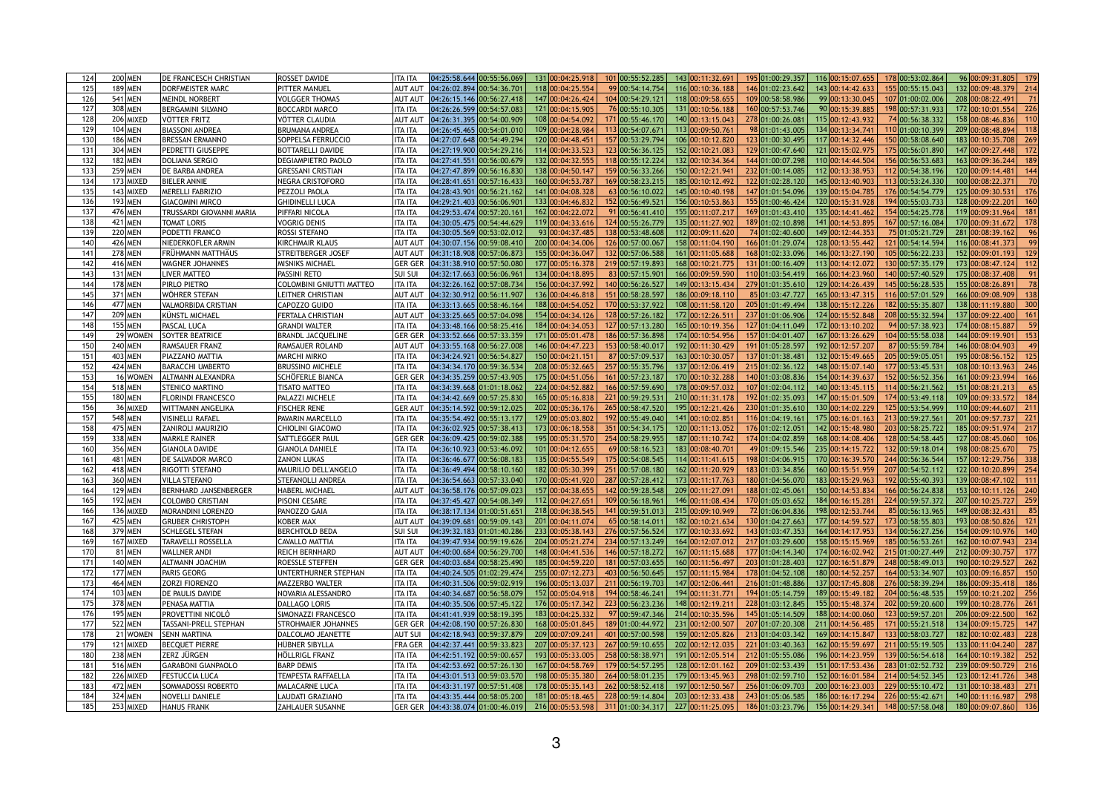| 124                    | 200 MEN              | <b>DE FRANCESCH CHRISTIAN</b>                       | ROSSET DAVIDE                    | <b>ITA ITA</b>                  | 04:25:58.644 00:55:56.069                                                                                                                                                                                                                                              | 131 00:04:25.918 | 101 00:55:52.285                    | 143 00:11:32.691 | 195 01:00:29.357                    | 116 00:15:07.655                     | 178 00:53:02.864                     | 96 00:09:31.805         | 179             |
|------------------------|----------------------|-----------------------------------------------------|----------------------------------|---------------------------------|------------------------------------------------------------------------------------------------------------------------------------------------------------------------------------------------------------------------------------------------------------------------|------------------|-------------------------------------|------------------|-------------------------------------|--------------------------------------|--------------------------------------|-------------------------|-----------------|
| 125                    | 189 MEN              | DORFMEISTER MARC                                    | <b>PITTER MANUEL</b>             | <b>AUT AUT</b>                  | 04:26:02.894 00:54:36.701                                                                                                                                                                                                                                              | 118 00:04:25.554 | 99 00:54:14.754                     | 116 00:10:36.188 | 146 01:02:23.642                    | 143 00:14:42.633                     | 155 00:55:15.043                     | 132 00:09:48.379        | 214             |
| 126                    | 541 MEN              | MEINDL NORBERT                                      | <b>VOLGGER THOMAS</b>            | <b>AUT AUT</b>                  | $04:26:15.146$ $00:56:27.418$                                                                                                                                                                                                                                          | 147 00:04:26.424 | 104 00:54:29.121                    | 118 00:09:58.655 | 109 00:58:58.986                    | 99 00:13:30.045                      | 107 01:00:02.006                     | 208 00:08:22.491        |                 |
| 127                    | 308 MEN              | <b>BERGAMINI SILVANO</b>                            | <b>BOCCARDI MARCO</b>            | <b>ITA ITA</b>                  | 04:26:26.599 00:54:57.083                                                                                                                                                                                                                                              | 121 00:04:15.905 | 76 00:55:10.305                     | 131 00:10:56.188 | 160 00:57:53.746                    | 90 00:15:39.885                      | 198 00:57:31.933                     | 172 00:10:01.554        |                 |
| 128                    | 206 MIXED            | <b>VÖTTER FRITZ</b>                                 | VÖTTER CLAUDIA                   | <b>AUT AUT</b>                  | 04:26:31.395 00:54:00.909                                                                                                                                                                                                                                              | 108 00:04:54.092 | 171 00:55:46.170                    | 140 00:13:15.043 | 278 01:00:26.081                    | 115 00:12:43.932                     | 74 00:56:38.332                      | 158 00:08:46.836        |                 |
| 129                    | 104 MEN              | <b>BIASSONI ANDREA</b>                              | <b>BRUMANA ANDREA</b>            | <b>ITA ITA</b>                  | 04:26:45.465 00:54:01.010                                                                                                                                                                                                                                              | 109 00:04:28.984 | 113 00:54:07.671                    | 113 00:09:50.76  | 98 01:01:43.005                     | 134 00:13:34.741                     | 110 01:00:10.399                     | 209 00:08:48.894        |                 |
| 13 <sub>C</sub>        | 186 MEN              | <b>BRESSAN ERMANNO</b>                              | <b>SOPPELSA FERRUCCIO</b>        | <b>ITA ITA</b>                  | 04:27:07.648 00:54:49.294                                                                                                                                                                                                                                              | 120 00:04:48.451 | 157 00:53:29.794                    | 106 00:10:12.820 | 123 01:00:30.495                    | 117 00:14:32.446                     | 150 00:58:08.640                     | 183 00:10:35.708        | 269             |
| 131                    | 304 MEN              | <b>PEDRETTI GIUSEPPE</b>                            | <b>BOTTARELLI DAVIDE</b>         | <b>ITA ITA</b>                  | 04:27:19.900 00:54:29.216                                                                                                                                                                                                                                              | 114 00:04:33.523 | 123 00:56:36.125                    | 152 00:10:21.083 | 129 01:00:47.640                    | 121 00:15:02.975                     | 175 00:56:01.890                     | 147 00:09:27.448        |                 |
| 132                    | 182 MEN              | <b>DOLIANA SERGIO</b>                               | <b>DEGIAMPIETRO PAOLO</b>        | <b>ITA ITA</b>                  | 04:27:41.551 00:56:00.679                                                                                                                                                                                                                                              | 132 00:04:32.555 | 118 00:55:12.224                    | 132 00:10:34.364 | 144 01:00:07.298                    | 110 00:14:44.504                     | 156 00:56:53.683                     | 163 00:09:36.244        |                 |
| 133                    | 259 MEN              | <b>DE BARBA ANDREA</b>                              | <b>GRESSANI CRISTIAN</b>         | <b>ITA ITA</b>                  | 04:27:47.899 00:56:16.830                                                                                                                                                                                                                                              | 138 00:04:50.147 | 159 00:56:33.266                    | 150 00:12:21.941 | 232 01:00:14.085                    | 112 00:13:38.953                     | 112 00:54:38.196                     | 120 00:09:14.481        |                 |
| 134                    | 173 MIXED            | <b>BIELER ANNIE</b>                                 | <b>NEGRA CRISTOFORO</b>          | <b>ITA ITA</b>                  | 04:28:41.651 00:57:16.433                                                                                                                                                                                                                                              | 160 00:04:53.787 | 169 00:58:23.215                    | 185 00:10:12.492 | 122 01:02:28.120                    | 145 00:13:40.903                     | 113 00:53:24.330                     | 100 00:08:22.371        |                 |
| 135                    | 143 MIXED            | <b>MERELLI FABRIZIO</b>                             | PEZZOLI PAOLA                    | <b>ITA ITA</b>                  | 04:28:43.901 00:56:21.162                                                                                                                                                                                                                                              | 141 00:04:08.328 | 63 00:56:10.022                     | 145 00:10:40.198 | 147 01:01:54.096                    | 139 00:15:04.785                     | 176 00:54:54.779                     | 125 00:09:30.531        |                 |
| 136                    | 193 MEN              | <b>GIACOMINI MIRCO</b>                              | <b>GHIDINELLI LUCA</b>           | <b>ITA ITA</b>                  | 04:29:21.403 00:56:06.901                                                                                                                                                                                                                                              | 133 00:04:46.832 | 152 00:56:49.521                    | 156 00:10:53.863 | 155 01:00:46.424                    | 120 00:15:31.928                     | 194 00:55:03.733                     | 128 00:09:22.201        |                 |
| 137                    | 476 MEN              | TRUSSARDI GIOVANNI MARIA                            | PIFFARI NICOLA                   | <b>ITA ITA</b>                  | 04:29:53.474 00:57:20.161                                                                                                                                                                                                                                              | 162 00:04:22.072 | 91 00:56:41.410                     | 155 00:11:07.217 | 169 01:01:43.410                    | 135 00:14:41.462                     | 154 00:54:25.778                     | 119 00:09:31.964        |                 |
| 138                    | 421 MEN              | <b>TOMAT LORIS</b>                                  | <b>VOGRIG DENIS</b>              | <b>ITA ITA</b>                  | 04:30:05.475 00:54:44.629                                                                                                                                                                                                                                              | 119 00:04:33.616 | 124 00:55:26.779                    | 135 00:11:27.902 | 189 01:02:10.898                    | 141 00:14:53.895                     | 167 00:57:16.084                     | 170 00:09:31.672        | 178             |
| 139                    | 220 MEN              | <b>PODETTI FRANCO</b>                               | ROSSI STEFANO                    | <b>ITA ITA</b>                  | 04:30:05.569 00:53:02.012                                                                                                                                                                                                                                              | 93 00:04:37.485  | 138 00:53:48.608                    | 112 00:09:11.620 | 74 01:02:40.600                     | 149 00:12:44.353                     | 75 01:05:21.729                      | 281 00:08:39.162        |                 |
| 140                    | 426 MEN              | NIEDERKOFLER ARMIN                                  | <b>KIRCHMAIR KLAUS</b>           | <b>AUT AUT</b>                  | 04:30:07.156 00:59:08.410                                                                                                                                                                                                                                              | 200 00:04:34.006 | 126 00:57:00.067                    | 158 00:11:04.190 | 166 01:01:29.074                    | 128 00:13:55.442                     | 121 00:54:14.594                     | 116 00:08:41.373        |                 |
| 141                    | <b>278 MEN</b>       | FRÜHMANN MATTHÄUS                                   | <b>STREITBERGER JOSEF</b>        | <b>AUT AUT</b>                  | 04:31:18.908 00:57:06.873                                                                                                                                                                                                                                              | 155 00:04:36.047 | 132 00:57:06.588                    | 161 00:11:05.688 | 168 01:02:33.096                    | 146 00:13:27.190                     | 105 00:56:22.233                     | 152 00:09:01.193        |                 |
| 142                    | 416 MEN              | <b>WAGNER JOHANNES</b>                              | <b>MISNIKS MICHAEL</b>           | <b>GER GER</b>                  | 04:31:38.910 00:57:50.080                                                                                                                                                                                                                                              | 177 00:05:16.378 | 219 00:57:19.893                    | 168 00:10:21.775 | 131 01:00:16.409                    | 113 00:14:12.072                     | 130 00:57:35.179                     | 173 00:08:47.124        |                 |
| 143                    | 131 MEN              | <b>ILIVER MATTEO</b>                                | PASSINI RETO                     | <b>SUI SUI</b>                  | 04:32:17.663 00:56:06.961                                                                                                                                                                                                                                              | 134 00:04:18.895 | 83 00:57:15.901                     | 166 00:09:59.590 | 110 01:03:54.419                    | 166 00:14:23.960                     | 140 00:57:40.529                     | 175 00:08:37.408        |                 |
| 144                    | 178 MEN              | <b>PIRLO PIETRO</b>                                 | <b>COLOMBINI GNIUTTI MATTEO</b>  | <b>ITA ITA</b>                  | 04:32:26.162 00:57:08.734                                                                                                                                                                                                                                              | 156 00:04:37.992 | 140 00:56:26.527                    | 149 00:13:15.434 | 279 01:01:35.610                    | 129 00:14:26.439                     | 145 00:56:28.535                     | 155 00:08:26.891        |                 |
| 145                    | 371 MEN              | WÖHRER STEFAN                                       | LEITNER CHRISTIAN                | <b>AUT AUT</b>                  | 04:32:30.912 00:56:11.907                                                                                                                                                                                                                                              | 136 00:04:46.818 | 151 00:58:28.597                    | 186 00:09:18.110 | 85 01:03:47.727                     | 165 00:13:47.315                     | 116 00:57:01.529                     | 166 00:09:08.909        |                 |
| 146                    | 477 MEN              | VALMORBIDA CRISTIAN                                 | CAPOZZO GUIDO                    | <b>ITA ITA</b>                  | 04:33:13.665 00:58:46.164                                                                                                                                                                                                                                              | 188 00:04:54.052 | 170 00:53:37.922                    | 108 00:11:58.120 | 205 01:01:49.494                    | 138 00:15:12.226                     | 182 00:55:35.807                     | 138 00:11:19.880        | 300             |
| 147                    | <b>209 MEN</b>       | <b>KÜNSTL MICHAEL</b>                               | <b>FERTALA CHRISTIAN</b>         | <b>AUT AUT</b>                  | 04:33:25.665 00:57:04.098                                                                                                                                                                                                                                              | 154 00:04:34.126 | 128 00:57:26.182                    | 172 00:12:26.51  | 237 01:01:06.906                    | 124 00:15:52.848                     | 208 00:55:32.594                     | 137 00:09:22.400        |                 |
| 148                    | 155 MEN              | <b>PASCAL LUCA</b>                                  | <b>GRANDI WALTER</b>             | <b>ITA ITA</b>                  | 04:33:48.166 00:58:25.416                                                                                                                                                                                                                                              | 184 00:04:34.053 | 127 00:57:13.280                    | 165 00:10:19.356 | 127 01:04:11.049                    | 172 00:13:10.202                     | 94 00:57:38.923                      | 174 00:08:15.887        |                 |
| 149                    | 29 WOMEN             | <b>SOYTER BEATRICE</b>                              | <b>BRANDL JACQUELINE</b>         | <b>GER GER</b>                  | 04:33:52.666 00:57:33.359                                                                                                                                                                                                                                              | 171 00:05:01.478 | 186 00:57:36.898                    | 174 00:10:54.956 | 157 01:04:01.407                    | 167 00:13:26.629                     | 104 00:55:58.038                     | 144 00:09:19.901        |                 |
| 15 <sub>C</sub>        | 240 MEN              | <b>RAMSAUER FRANZ</b>                               | <b>RAMSAUER ROLAND</b>           | <b>AUT AUT</b>                  | 04:33:55.168 00:56:27.008                                                                                                                                                                                                                                              | 146 00:04:47.223 | 153 00:58:40.017                    | 192 00:11:30.429 | 191 01:05:28.597                    | 192 00:12:57.207                     | 87 00:55:59.784                      | 146 00:08:04.903        |                 |
| 151                    | 403 MEN              | <b>PIAZZANO MATTIA</b>                              | <b>MARCHI MIRKO</b>              | ITA ITA                         | 04:34:24.921 00:56:54.827                                                                                                                                                                                                                                              | 150 00:04:21.151 | 87 00:57:09.537                     | 163 00:10:30.057 | 137 01:01:38.481                    | 132 00:15:49.665                     | 205 00:59:05.051                     | 195 00:08:56.152        |                 |
| 152                    | 424 MEN              | <b>BARACCHI UMBERTO</b>                             | <b>BRUSSINO MICHELE</b>          | <b>ITA ITA</b>                  | 04:34:34.170 00:59:36.534                                                                                                                                                                                                                                              | 208 00:05:32.665 | 257 00:55:35.796                    | 137 00:12:06.419 | 215 01:02:36.122                    | 148 00:15:07.14                      | 177 00:53:45.531                     | 108 00:10:13.963        | 246             |
| 153                    | 16 WOMEN             | <b>ALTMANN ALEXANDRA</b>                            | <b>SCHÖFERLE BIANCA</b>          | <b>GER GER</b>                  | 04:34:35.259 00:57:43.905                                                                                                                                                                                                                                              | 175 00:04:51.056 | 161 00:57:23.187                    | 170 00:10:32.288 | 140 01:03:08.836                    | 154 00:14:39.637                     | 152 00:56:52.356                     | 161 00:09:23.994        | 166             |
| 154                    | 518 MEN              | <b>STENICO MARTINO</b>                              | <b>TISATO MATTEO</b>             | <b>ITA ITA</b>                  | 04:34:39.668 01:01:18.062                                                                                                                                                                                                                                              | 224 00:04:52.882 | 166 00:57:59.690                    | 178 00:09:57.032 | 107 01:02:04.112                    | 140 00:13:45.115                     | 114 00:56:21.562                     | 151 00:08:21.213        |                 |
| 155                    | 180 MEN              | <b>FLORINDI FRANCESCO</b>                           | PALAZZI MICHELE                  | <b>ITA ITA</b>                  | $04:34:42.669$ $00:57:25.830$                                                                                                                                                                                                                                          | 165 00:05:16.838 | 221 00:59:29.531                    | 210 00:11:31.178 | 192 01:02:35.093                    | 147 00:15:01.509                     | 174 00:53:49.118                     | 109 00:09:33.572        |                 |
| 156                    | 36 MIXED             | WITTMANN ANGELIKA                                   | <b>FISCHER RENE</b>              | <b>GER AUT</b>                  | 04:35:14.592 00:59:12.025                                                                                                                                                                                                                                              | 202 00:05:36.176 | 265 00:58:47.520                    | 195 00:12:21.426 | 230 01:01:35.610                    | 130 00:14:02.229                     | 125 00:53:54.999                     | 110 00:09:44.607        | $21^{\circ}$    |
| 157                    | 548 MEN              | <b>VISINELLI RAFAEL</b>                             | PAVARIN MARCELLO                 | <b>ITA ITA</b>                  | 04:35:54.492 00:55:13.177                                                                                                                                                                                                                                              | 129 00:05:03.802 | 192 00:55:49.040                    | 141 00:10:02.851 | 116 01:04:19.161                    | 175 00:16:01.163                     | 213 00:59:27.561                     | 201 00:09:57.737        |                 |
| 158                    | 475 MEN              | <b>ZANIROLI MAURIZIO</b>                            | <b>CHIOLINI GIACOMO</b>          | <b>ITA ITA</b>                  | 04:36:02.925 00:57:38.413                                                                                                                                                                                                                                              | 173 00:06:18.558 | 351 00:54:34.175                    | 120 00:11:13.052 | 176 01:02:12.051                    | 142 00:15:48.980                     | 203 00:58:25.722                     | 185 00:09:51.974        | 217             |
| 159                    | 338 MEN              | MÄRKLE RAINER                                       | SATTLEGGER PAUL                  | <b>GER GEF</b>                  | 04:36:09.425 00:59:02.388                                                                                                                                                                                                                                              | 195 00:05:31.570 | 254 00:58:29.955                    | 187 00:11:10.742 | 174 01:04:02.859                    | 168 00:14:08.406                     | 128 00:54:58.445                     | 127 00:08:45.060        |                 |
| 160                    | 356 MEN              | <b>GIANOLA DAVIDE</b>                               | <b>GIANOLA DANIELE</b>           | <b>ITA ITA</b>                  | 04:36:10.923 00:53:46.092                                                                                                                                                                                                                                              | 101 00:04:12.655 | 69 00:58:16.523                     | 183 00:08:40.701 | 49 01:09:15.546                     | 235 00:14:15.722                     | 132 00:59:18.014                     | 198 00:08:25.670        |                 |
| 16 <sup>′</sup>        | 481 MEN              | <b>DE SALVADOR MARCO</b>                            | <b>ZANON LUKAS</b>               | <b>ITA ITA</b>                  | 04:36:46.677 00:56:08.183                                                                                                                                                                                                                                              | 135 00:04:55.549 | 175 00:54:08.545                    | 114 00:11:41.615 | 198 01:04:06.915                    | 170 00:16:39.570                     | 244 00:56:36.544                     | 157 00:12:29.756        |                 |
| 16 <sub>2</sub>        | 418 MEN              | <b>RIGOTTI STEFANO</b>                              | <b>MAURILIO DELL'ANGELO</b>      | <b>ITA ITA</b>                  | 04:36:49.494 00:58:10.160                                                                                                                                                                                                                                              | 182 00:05:30.399 | 251 00:57:08.180                    | 162 00:11:20.929 | 183 01:03:34.856                    | 160 00:15:51.959                     | 207 00:54:52.112                     | 122 00:10:20.899        | 254             |
| 16.                    | 360 MEN              | VILLA STEFANO                                       | STEFANOLLI ANDREA                | <b>ITA ITA</b>                  | 04:36:54.663 00:57:33.040                                                                                                                                                                                                                                              | 170 00:05:41.920 | 287 00:57:28.412                    | 173 00:11:17.763 | 180 01:04:56.070                    | 183 00:15:29.963                     | 192 00:55:40.393                     | 139 00:08:47.102        |                 |
| 164                    | 129 MEN              | BERNHARD JANSENBERGER                               | <b>HABERL MICHAEL</b>            |                                 | 04:36:58.176 00:57:09.023                                                                                                                                                                                                                                              | 157 00:04:38.655 | 142 00:59:28.548                    | 209 00:11:27.09  | 188 01:02:45.061                    | 150 00:14:53.834                     | 166 00:56:24.838                     | 153 00:10:11.126        | 240             |
|                        | <b>192 MEN</b>       | <b>COLOMBO CRISTIAN</b>                             |                                  | <b>AUT AU</b>                   | 04:37:45.427 00:54:08.349                                                                                                                                                                                                                                              | 112 00:04:27.651 | 109 00:56:18.961                    | 146 00:11:08.434 | 170 01:05:03.652                    | 184 00:16:15.281                     | 224 00:59:57.372                     | 207 00:10:25.727        |                 |
| 165                    |                      |                                                     | PISONI CESARE                    | <b>ITA ITA</b>                  |                                                                                                                                                                                                                                                                        | 218 00:04:38.545 |                                     | 215 00:09:10.949 |                                     |                                      |                                      | 149 00:08:32.431        | 259             |
| 166                    | 136 MIXED<br>425 MEN | <b>MORANDINI LORENZO</b><br><b>GRUBER CHRISTOPH</b> | PANOZZO GAIA<br><b>KOBER MAX</b> | <b>ITA ITA</b>                  | 04:38:17.134 01:00:51.651<br>[04:39:09.681 00:59:09.143]                                                                                                                                                                                                               | 201 00:04:11.074 | 141 00:59:51.013<br>65 00:58:14.011 | 182 00:10:21.634 | 72 01:06:04.836<br>130 01:04:27.663 | 198 00:12:53.744<br>177 00:14:59.527 | 85 00:56:13.965<br>173 00:58:55.803  | 193 00:08:50.826        |                 |
| 16 <sub>l</sub><br>168 | 379 MEN              | <b>SCHLEGEL STEFAN</b>                              | <b>BERCHTOLD BEDA</b>            | <b>AUT AU</b><br><b>SUI SUI</b> | 04:39:32.183 01:01:40.286                                                                                                                                                                                                                                              | 233 00:05:38.143 | 276 00:57:56.524                    | 177 00:10:33.692 | 143 01:03:47.353                    | 164 00:14:17.953                     | 134 00:56:27.256                     | 154 00:09:10.976        | 140             |
|                        | 167 MIXED            |                                                     |                                  |                                 | 04:39:47.934 00:59:19.626                                                                                                                                                                                                                                              | 204 00:05:21.274 | 234 00:57:13.249                    | 164 00:12:07.01  | 217 01:03:29.600                    | 158 00:15:15.969                     |                                      | 162 00:10:07.943        |                 |
| 169                    |                      | TARAVELLI ROSSELLA                                  | CAVALLO MATTIA                   | <b>ITA ITA</b>                  |                                                                                                                                                                                                                                                                        | 148 00:04:41.536 | 146 00:57:18.272                    | 167 00:11:15.688 | 177 01:04:14.340                    | 174 00:16:02.942                     | 185 00:56:53.261<br>215 01:00:27.449 | 212 00:09:30.757        | 234             |
| 170                    | 81 MEN               | <b>WALLNER ANDI</b>                                 | <b>REICH BERNHARD</b>            | <b>AUT AUT</b>                  | 04:40:00.684 00:56:29.700                                                                                                                                                                                                                                              | 185 00:04:59.220 |                                     |                  |                                     |                                      |                                      |                         |                 |
| 171                    | 140 MEN              | ALTMANN JOACHIM                                     | ROESSLE STEFFEN                  | <b>GER GER</b>                  | 04:40:03.684 00:58:25.490                                                                                                                                                                                                                                              |                  | 181 00:57:03.655                    | 160 00:11:56.497 | 203 01:01:28.403                    | 127 00:16:51.879                     | 248 00:58:49.013                     | 190 00:10:29.527        | <b>262</b>      |
| 172                    | 177 MEN              | <b>PARIS GEORG</b>                                  | UNTERTHURNER STEPHAN             | <b>ITA ITA</b>                  | 04:40:24.505 01:02:29.474                                                                                                                                                                                                                                              | 255 00:07:12.273 | 403 00:56:50.645                    | 157 00:11:15.984 | 178 01:04:52.108                    | 180 00:14:52.257                     | 164 00:53:34.907                     | 103 00:09:16.857        | 15 <sub>C</sub> |
| 173                    | 464 MEN              | <b>ZORZI FIORENZO</b>                               | <b>MAZZERBO WALTER</b>           | <b>ITA ITA</b>                  | 04:40:31.506 00:59:02.919                                                                                                                                                                                                                                              | 196 00:05:13.037 | 211 00:56:19.703                    | 147 00:12:06.44  | 216 01:01:48.886                    | 137 00:17:45.808                     | 276 00:58:39.294                     | 186 00:09:35.418        |                 |
| 174                    | 103 MEN              | DE PAULIS DAVIDE                                    | NOVARIA ALESSANDRO               | <b>ITA ITA</b>                  | 04:40:34.687 00:56:58.079                                                                                                                                                                                                                                              | 152 00:05:04.918 | 194 00:58:46.241                    | 194 00:11:31.77  | 194 01:05:14.759                    | 189 00:15:49.182                     | 204 00:56:48.535                     | 159 00:10:21.202        | 256             |
| 175                    | 378 MEN              | <b>PENASA MATTIA</b>                                | <b>DALLAGO LORIS</b>             | <b>ITA ITA</b>                  | 04:40:35.506 00:57:45.122                                                                                                                                                                                                                                              | 176 00:05:17.342 | 223 00:56:23.236                    | 148 00:12:19.21  | 228 01:03:12.845                    | 155 00:15:48.374                     | 202 00:59:20.600                     | 199 00:10:28.776        | $26^{\circ}$    |
| 176                    | 195 MEN              | <b>PROVETTINI NICOLO</b>                            | SIMONAZZI FRANCESCO              | <b>ITA ITA</b>                  | 04:41:41.939 00:58:19.395                                                                                                                                                                                                                                              | 183 00:04:25.332 | 97 00:59:47.346                     | 214 00:10:35.596 | 145 01:05:14.509                    | 188 00:14:00.06                      | 123 00:59:57.201                     | 206 00:09:22.500        | 162             |
| 177                    | 522 MEN              | TASSANI-PRELL STEPHAN                               | <b>STROHMAIER JOHANNES</b>       | <b>GER GER</b>                  | 04:42:08.190 00:57:26.830                                                                                                                                                                                                                                              | 168 00:05:01.845 | 189 01:00:44.972                    | 231 00:12:00.507 | 207 01:07:20.308                    | 211 00:14:56.485                     | 171 00:55:21.518                     | 134 00:09:15.725        |                 |
| 178                    | 21 WOMEN             | <b>SENN MARTINA</b>                                 | <b>DALCOLMO JEANETTE</b>         | <b>AUT SUI</b>                  | 04:42:18.943 00:59:37.879                                                                                                                                                                                                                                              | 209 00:07:09.241 | 401 00:57:00.598                    | 159 00:12:05.826 | 213 01:04:03.342                    | 169 00:14:15.847                     | 133 00:58:03.727                     | 182 00:10:02.483        | 228             |
| 179                    | 121 MIXED            | <b>BECQUET PIERRE</b>                               | HÜBNER SIBYLLA                   | <b>FRA GER</b>                  | 04:42:37.441 00:59:33.823                                                                                                                                                                                                                                              | 207 00:05:37.123 | 267 00:59:10.655                    | 202 00:12:12.035 | 221 01:03:40.363                    | 162 00:15:59.697                     | 211 00:55:19.505                     | 133 00:11:04.240        | 287             |
| 180                    | 238 MEN              | Izerz jürgen                                        | <b>HÖLLRIGL FRANZ</b>            | <b>ITA ITA</b>                  | 04:42:51.192 00:59:00.657                                                                                                                                                                                                                                              | 193 00:05:33.005 | 258 00:58:38.971                    | 191 00:12:05.514 | 212 01:05:55.086                    | 196 00:14:23.959                     | 139 00:56:54.618                     | 164 00:10:19.382        | 252             |
| 18 <sup>°</sup>        | 516 MEN              | <b>GARABONI GIANPAOLO</b>                           | <b>BARP DEMIS</b>                | <b>ITA ITA</b>                  | 04:42:53.692 00:57:26.130                                                                                                                                                                                                                                              | 167 00:04:58.769 | 179 00:54:57.295                    | 128 00:12:01.162 | 209 01:02:53.439                    | 151 00:17:53.436                     | 283 01:02:52.732                     | 239 00:09:50.729        | 216             |
| 182                    | 226 MIXED            | <b>FESTUCCIA LUCA</b>                               | <b>TEMPESTA RAFFAELLA</b>        | <b>ITA ITA</b>                  | 04:43:01.513 00:59:03.570                                                                                                                                                                                                                                              | 198 00:05:35.380 | 264 00:58:01.235                    | 179 00:13:45.963 | 298 01:02:59.710                    | 152 00:16:01.584                     | 214 00:54:52.345                     | 123 00:12:41.726        | 348             |
|                        | 472 MEN              | SOMMADOSSI ROBERTO                                  | <b>MALACARNE LUCA</b>            | <b>ITA ITA</b>                  | 04:43:31.197 00:57:51.408                                                                                                                                                                                                                                              | 178 00:05:35.143 | 262 00:58:52.418                    | 197 00:12:50.567 | 256 01:06:09.703                    | 200 00:16:23.003                     | 229 00:55:10.472                     | 131 00:10:38.483        | 271             |
| 184                    | $324$ MEN            | NOVELLI DANIELE                                     | LAUDATI GRAZIANO                 | <b>ITA ITA</b>                  | $\boxed{04:43:35.444\mid 00:58:05.200\mid 181\mid 00:05:18.465\mid 228\mid 00:59:14.804\mid 203\mid 00:12:33.438\mid 243\mid 01:05:06.585\mid 186\mid 00:16:17.294\mid 00:13.438\mid 00:13.438\mid 00:13.438\mid 00:14.43.438\mid 00:15.444\mid 00:16.45.464\mid 00:1$ |                  |                                     |                  |                                     |                                      | 226 00:55:42.671                     | $140 00:11:16.987 $ 298 |                 |
| 185                    | 253 MIXED            | <b>HANUS FRANK</b>                                  | <b>ZAHLAUER SUSANNE</b>          |                                 | GER GER  04:43:38.074  01:00:46.019   216 <mark> 00:05:53.598  </mark> 311  01:00:34.317   227  00:11:25.095   186  01:03:23.796   156  00:14:29.341                                                                                                                   |                  |                                     |                  |                                     |                                      | 148 00:57:58.048                     | $180 00:09:07.860 $ 136 |                 |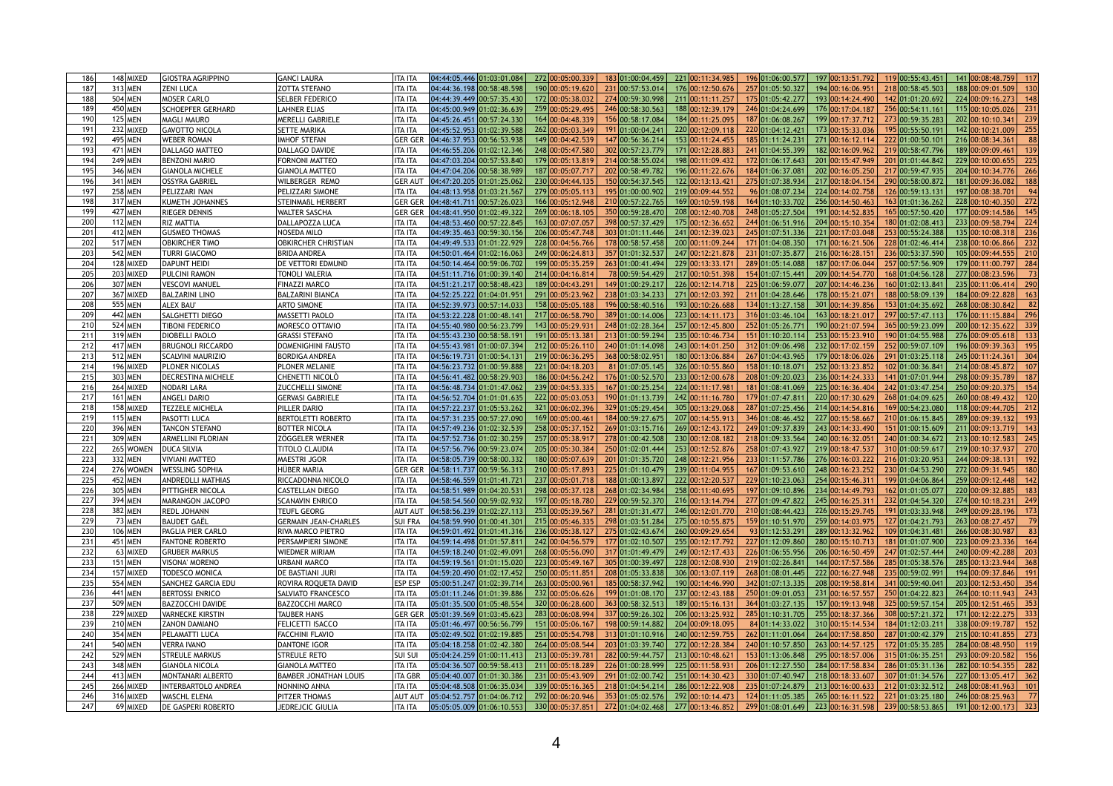| 186             | 148 MIXED      | <b>GIOSTRA AGRIPPINO</b>   | <b>GANCI LAURA</b>           | <b>ITA ITA</b> | 04:44:05.446 01:03:01.084                                                                                                                                                                                                                                                          |  | 272 00:05:00.339 | 183 01:00:04.459 | 221 00:11:34.985                  | 196 01:06:00.577 | 197 00:13:51.792                    | 119 00:55:43.451 | 141 00:08:48.759 | 117 |
|-----------------|----------------|----------------------------|------------------------------|----------------|------------------------------------------------------------------------------------------------------------------------------------------------------------------------------------------------------------------------------------------------------------------------------------|--|------------------|------------------|-----------------------------------|------------------|-------------------------------------|------------------|------------------|-----|
|                 |                |                            |                              |                |                                                                                                                                                                                                                                                                                    |  |                  |                  |                                   |                  |                                     |                  |                  |     |
| 18.             | 313 MEN        | <b>ZENI LUCA</b>           | <b>ZOTTA STEFANO</b>         | ITA ITA        | 04:44:36.198 00:58:48.598                                                                                                                                                                                                                                                          |  | 190 00:05:19.620 | 231 00:57:53.014 | 176 00:12:50.676                  | 257 01:05:50.327 | 194 00:16:06.951                    | 218 00:58:45.503 | 188 00:09:01.509 | 130 |
| 188             | 504 MEN        | <b>MOSER CARLO</b>         | <b>SELBER FEDERICO</b>       | <b>ITA ITA</b> | 04:44:39.449 00:57:35.430                                                                                                                                                                                                                                                          |  | 172 00:05:38.032 | 274 00:59:30.998 | 211 00:11:11.257                  | 175 01:05:42.277 | 193 00:14:24.490                    | 142 01:01:20.692 | 224 00:09:16.273 | 148 |
| 189             | 450 MEN        | <b>SCHOEPFER GERHARD</b>   | <b>LAHNER ELIAS</b>          | <b>ITA ITA</b> | 04:45:00.949 01:02:36.639                                                                                                                                                                                                                                                          |  | 259 00:05:29.495 | 246 00:58:30.563 | 188 00:12:39.179                  | 246 01:04:24.699 | 176 00:17:04.187                    | 256 00:54:11.161 | 115 00:10:05.026 | 231 |
| 190             | <b>125 MEN</b> | MAGLI MAURO                | <b>MERELLI GABRIELE</b>      | <b>ITA ITA</b> | 04:45:26.451 00:57:24.330                                                                                                                                                                                                                                                          |  | 164 00:04:48.339 | 156 00:58:17.084 | 184 00:11:25.095                  | 187 01:06:08.267 | 199 00:17:37.712                    | 273 00:59:35.283 | 202 00:10:10.341 | 239 |
| 19              | 232 MIXED      | <b>GAVOTTO NICOLA</b>      | <b>SETTE MARIKA</b>          | <b>ITA ITA</b> | 04:45:52.953 01:02:39.588                                                                                                                                                                                                                                                          |  | 262 00:05:03.349 | 191 01:00:04.241 | 220 00:12:09.118                  | 220 01:04:12.421 | 173 00:15:33.036                    | 195 00:55:50.191 | 142 00:10:21.009 |     |
| 192             | 495 MEN        | <b>WEBER ROMAN</b>         | <b>IMHOF STEFAN</b>          | <b>GER GEI</b> | 04:46:37.953 00:56:53.938                                                                                                                                                                                                                                                          |  | 149 00:04:42.539 | 147 00:56:36.214 | 153 00:11:24.455                  | 185 01:11:24.231 | 271 00:16:12.114                    | 222 01:00:50.101 | 216 00:08:34.361 |     |
|                 |                |                            |                              |                |                                                                                                                                                                                                                                                                                    |  |                  |                  |                                   |                  |                                     |                  |                  |     |
| 19.             | 471 MEN        | DALLAGO MATTEO             | DALLAGO DAVIDE               | ITA ITA        | 04:46:55.206 01:02:12.346                                                                                                                                                                                                                                                          |  | 248 00:05:47.580 | 302 00:57:23.779 | 171 00:12:28.883                  | 241 01:04:55.399 | 182 00:16:09.962                    | 219 00:58:47.796 | 189 00:09:09.461 |     |
| 194             | 249 MEN        | <b>BENZONI MARIO</b>       | <b>FORNONI MATTEO</b>        | <b>ITA ITA</b> | 04:47:03.204 00:57:53.840                                                                                                                                                                                                                                                          |  | 179 00:05:13.819 | 214 00:58:55.024 | 198 00:11:09.432                  | 172 01:06:17.643 | 201 00:15:47.949                    | 201 01:01:44.842 | 229 00:10:00.655 |     |
| 195             | 346 MEN        | <b>GIANOLA MICHELE</b>     | <b>GIANOLA MATTEO</b>        | <b>ITA ITA</b> | 04:47:04.206 00:58:38.989                                                                                                                                                                                                                                                          |  | 187 00:05:07.71  | 202 00:58:49.782 | 196 00:11:22.676                  | 184 01:06:37.081 | 202 00:16:05.250                    | 217 00:59:47.935 | 204 00:10:34.776 | 266 |
| 196             | 341 MEN        | OSSYRA GABRIEL             | WILBERGER REMO               | <b>GER AUT</b> | $04:47:20.205$ 01:01:25.062                                                                                                                                                                                                                                                        |  | 230 00:04:44.135 | 150 00:54:37.545 | 122 00:13:13.421                  | 275 01:07:38.934 | 217 00:18:04.154                    | 290 00:58:00.872 | 181 00:09:36.082 |     |
| 19 <sub>l</sub> | 258 MEN        | PELIZZARI IVAN             | PELIZZARI SIMONE             | ITA ITA        | 04:48:13.958 01:03:21.567                                                                                                                                                                                                                                                          |  | 279 00:05:05.113 | 195 01:00:00.902 | 219 00:09:44.552                  | 96 01:08:07.234  | 224 00:14:02.758                    | 126 00:59:13.131 | 197 00:08:38.701 |     |
| 198             | 317 MEN        | KUMETH JOHANNES            | <b>STEINMAßL HERBERT</b>     | <b>GER GER</b> | 04:48:41.711 00:57:26.023                                                                                                                                                                                                                                                          |  | 166 00:05:12.948 | 210 00:57:22.765 | 169 00:10:59.198                  | 164 01:10:33.702 | 256 00:14:50.463                    | 163 01:01:36.262 | 228 00:10:40.350 |     |
| 199             | 427 MEN        | <b>RIEGER DENNIS</b>       | <b>WALTER SASCHA</b>         | <b>GER GEI</b> | 04:48:41.950 01:02:49.322                                                                                                                                                                                                                                                          |  | 269 00:06:18.105 | 350 00:59:28.470 | 208 00:12:40.708                  | 248 01:05:27.504 | 191 00:14:52.835                    | 165 00:57:50.420 | 177 00:09:14.586 |     |
| 20              | <b>112 MEN</b> | <b>RIZ MATTIA</b>          | DALLAPOZZA LUCA              | <b>ITA ITA</b> | 04:48:53.460 00:57:22.845                                                                                                                                                                                                                                                          |  | 163 00:07:07.057 | 398 00:57:37.429 | 175 00:12:36.652                  | 244 01:06:51.916 | 204 00:15:10.354                    | 180 01:02:08.413 | 233 00:09:58.794 | 224 |
|                 |                |                            |                              |                |                                                                                                                                                                                                                                                                                    |  |                  |                  |                                   |                  |                                     |                  |                  |     |
| 20              | 412 MEN        | <b>GUSMEO THOMAS</b>       | NOSEDA MILO                  | ITA ITA        | 04:49:35.463 00:59:30.156                                                                                                                                                                                                                                                          |  | 206 00:05:47.748 | 303 01:01:11.446 | 241 00:12:39.023                  | 245 01:07:51.336 | 221 00:17:03.048                    | 253 00:55:24.388 | 135 00:10:08.318 | 236 |
| 202             | 517 MEN        | <b>OBKIRCHER TIMO</b>      | <b>OBKIRCHER CHRISTIAN</b>   | <b>ITA ITA</b> | 04:49:49.533 01:01:22.929                                                                                                                                                                                                                                                          |  | 228 00:04:56.766 | 178 00:58:57.458 | 200 00:11:09.244                  | 171 01:04:08.350 | 171 00:16:21.506                    | 228 01:02:46.414 | 238 00:10:06.866 |     |
| 203             | 542 MEN        | <b>TURRI GIACOMO</b>       | <b>BRIDA ANDREA</b>          | <b>ITA ITA</b> | 04:50:01.464 01:02:16.063                                                                                                                                                                                                                                                          |  | 249 00:06:24.813 | 357 01:01:32.537 | 247 00:12:21.878                  | 231 01:07:35.877 | 216 00:16:28.151                    | 236 00:53:37.590 | 105 00:09:44.555 |     |
| 204             | 128 MIXED      | <b>DAPUNT HEIDI</b>        | DE VETTORI EDMUND            | <b>ITA ITA</b> | 04:50:14.464 00:59:06.702                                                                                                                                                                                                                                                          |  | 199 00:05:35.259 | 263 01:00:41.494 | 229 00:13:33.171                  | 289 01:05:14.088 | 187 00:17:06.044                    | 257 00:57:56.909 | 179 00:11:00.797 | 284 |
| 205             | 203 MIXED      | PULCINI RAMON              | <b>TONOLI VALERIA</b>        | <b>ITA ITA</b> | 04:51:11.716 01:00:39.140                                                                                                                                                                                                                                                          |  | 214 00:04:16.814 | 78 00:59:54.429  | 217 00:10:51.398                  | 154 01:07:15.441 | 209 00:14:54.770                    | 168 01:04:56.128 | 277 00:08:23.596 |     |
| 206             | 307 MEN        | VESCOVI MANUEL             | <b>FINAZZI MARCO</b>         | <b>ITA ITA</b> | 04:51:21.217 00:58:48.423                                                                                                                                                                                                                                                          |  | 189 00:04:43.291 | 149 01:00:29.217 | 226 00:12:14.718                  | 225 01:06:59.077 | 207 00:14:46.236                    | 160 01:02:13.841 | 235 00:11:06.414 |     |
| 20 <sub>2</sub> | 367 MIXED      | BALZARINI LINO             | BALZARINI BIANCA             | <b>ITA ITA</b> | 04:52:25.222 01:04:01.951                                                                                                                                                                                                                                                          |  | 291 00:05:23.962 | 238 01:03:34.233 | 271 00:12:03.392                  | 211 01:04:28.646 | 178 00:15:21.071                    | 188 00:58:09.139 | 184 00:09:22.828 | 163 |
| 208             | 555 MEN        | ALEX BAU'                  | <b>ARTO SIMONE</b>           | <b>ITA ITA</b> | 04:52:39.973 00:57:14.033                                                                                                                                                                                                                                                          |  | 158 00:05:05.188 | 196 00:58:40.516 | 193 00:10:26.688                  | 134 01:13:27.158 | 301 00:14:39.856                    | 153 01:04:35.692 | 268 00:08:30.842 |     |
|                 |                |                            |                              |                |                                                                                                                                                                                                                                                                                    |  |                  |                  |                                   |                  |                                     |                  |                  |     |
| 209             | 442 MEN        | <b>SALGHETTI DIEGO</b>     | MASSETTI PAOLO               | ITA ITA        | 04:53:22.228 01:00:48.141                                                                                                                                                                                                                                                          |  | 217 00:06:58.790 | 389 01:00:14.006 | 223 00:14:11.173                  | 316 01:03:46.104 | 163 00:18:21.017                    | 297 00:57:47.113 | 176 00:11:15.884 |     |
| 210             | 524 MEN        | <b>TIBONI FEDERICO</b>     | MORESCO OTTAVIO              | <b>ITA ITA</b> | 04:55:40.980 00:56:23.799                                                                                                                                                                                                                                                          |  | 143 00:05:29.93  | 248 01:02:28.364 | 257 00:12:45.800                  | 252 01:05:26.771 | 190 00:21:07.594                    | 365 00:59:23.099 | 200 00:12:35.622 |     |
| 21 <sup>2</sup> | 319 MEN        | DIOBELLI PAOLO             | <b>GRASSI STEFANO</b>        | <b>ITA ITA</b> | 04:55:43.230 00:58:58.191                                                                                                                                                                                                                                                          |  | 191 00:05:13.38  | 213 01:00:59.294 | 235 00:10:46.734                  | 151 01:10:20.114 | 253 00:15:23.91                     | 190 01:04:55.988 | 276 00:09:05.618 |     |
| 212             | 417 MEN        | <b>BRUGNOLI RICCARDO</b>   | <b>DOMENIGHINI FAUSTO</b>    | <b>ITA ITA</b> | 04:55:43.981 01:00:07.394                                                                                                                                                                                                                                                          |  | 212 00:05:26.110 | 240 01:01:14.098 | 243 00:14:01.250                  | 312 01:09:06.498 | 232 00:17:02.159                    | 252 00:59:07.109 | 196 00:09:39.363 |     |
| 21.             | 512 MEN        | <b>SCALVINI MAURIZIO</b>   | <b>BORDIGA ANDREA</b>        | <b>ITA ITA</b> | 04:56:19.731 01:00:54.131                                                                                                                                                                                                                                                          |  | 219 00:06:36.295 | 368 00:58:02.951 | 180 00:13:06.884                  | 267 01:04:43.965 | 179 00:18:06.026                    | 291 01:03:25.118 | 245 00:11:24.361 | 304 |
| 214             | 196 MIXED      | <b>PLONER NICOLAS</b>      | <b>PLONER MELANIE</b>        | <b>ITA ITA</b> | 04:56:23.732 01:00:59.888                                                                                                                                                                                                                                                          |  | 221 00:04:18.203 | 81 01:07:05.145  | 326 00:10:55.860                  | 158 01:10:18.071 | 252 00:13:23.852                    | 102 01:00:36.841 | 214 00:08:45.872 | 107 |
| 215             | 303 MEN        | <b>IDECRESTINA MICHELE</b> | CHENETTI NICOLÒ              | <b>ITA ITA</b> | 04:56:41.482 00:58:29.903                                                                                                                                                                                                                                                          |  | 186 00:04:56.242 |                  | 176 01:00:52.570 233 00:12:00.678 |                  | 208 01:09:20.023   236 00:14:24.333 | 141 01:07:01.944 | 298 00:09:35.789 | 187 |
| 216             | 264 MIXED      | <b>NODARI LARA</b>         | <b>ZUCCHELLI SIMONE</b>      | ITA ITA        | 04:56:48.734 01:01:47.062                                                                                                                                                                                                                                                          |  | 239 00:04:53.335 | 167 01:00:25.254 | 224 00:11:17.981                  | 181 01:08:41.069 | 225 00:16:36.404                    | 242 01:03:47.254 | 250 00:09:20.375 | 154 |
| 217             |                |                            |                              |                |                                                                                                                                                                                                                                                                                    |  |                  |                  | 242 00:11:16.780                  |                  |                                     |                  | 260 00:08:49.432 |     |
|                 | <b>161 MEN</b> | <b>ANGELI DARIO</b>        | <b>GERVASI GABRIELE</b>      | <b>ITA ITA</b> | 04:56:52.704 01:01:01.635                                                                                                                                                                                                                                                          |  | 222 00:05:03.053 | 190 01:01:13.739 |                                   | 179 01:07:47.811 | 220 00:17:30.629                    | 268 01:04:09.625 |                  | 120 |
| 218             | 158 MIXED      | <b>TEZZELE MICHELA</b>     | PILLER DARIO                 | ITA ITA        | 04:57:22.237 01:05:53.262                                                                                                                                                                                                                                                          |  | 321 00:06:02.396 | 329 01:05:29.454 | 305 00:13:29.068                  | 287 01:07:25.456 | 214 00:14:54.816                    | 169 00:54:23.080 | 118 00:09:44.705 |     |
| 219             | $115$ MEN      | <b>PASOTTI LUCA</b>        | <b>BERTOLETTI ROBERTO</b>    | ITA ITA        | 04:57:31.235 00:57:27.090                                                                                                                                                                                                                                                          |  | 169 00:05:00.461 | 184 00:59:27.675 | 207 00:14:55.913                  | 346 01:08:46.452 | 227 00:15:58.667                    | 210 01:06:15.845 | 289 00:09:39.132 |     |
| 220             | 396 MEN        | <b>TANCON STEFANO</b>      | <b>BOTTER NICOLA</b>         | <b>ITA ITA</b> | 04:57:49.236 01:02:32.539                                                                                                                                                                                                                                                          |  | 258 00:05:37.152 | 269 01:03:15.716 | 269 00:12:43.172                  | 249 01:09:37.839 | 243 00:14:33.490                    | 151 01:00:15.609 | 211 00:09:13.719 |     |
| 221             | 309 MEN        | <b>ARMELLINI FLORIAN</b>   | ZÖGGELER WERNER              | ITA ITA        | 04:57:52.736 01:02:30.259                                                                                                                                                                                                                                                          |  | 257 00:05:38.917 | 278 01:00:42.508 | 230 00:12:08.182                  | 218 01:09:33.564 | 240 00:16:32.051                    | 240 01:00:34.672 | 213 00:10:12.583 |     |
| 222             | 265 WOMEN      | DUCA SILVIA                | TITOLO CLAUDIA               | ITA ITA        | 04:57:56.796 00:59:23.074                                                                                                                                                                                                                                                          |  | 205 00:05:30.384 | 250 01:02:01.444 | 253 00:12:52.876                  | 258 01:07:43.927 | 219 00:18:47.537                    | 310 01:00:59.617 | 219 00:10:37.937 | 270 |
| 223             | 332 MEN        | VIVIANI MATTEO             | <b>MAESTRI JGOR</b>          | <b>ITA ITA</b> | 04:58:05.739 00:58:00.332                                                                                                                                                                                                                                                          |  | 180 00:05:07.639 | 201 01:01:35.720 | 248 00:12:21.956                  | 233 01:11:57.786 | 276 00:16:03.222                    | 216 01:03:20.953 | 244 00:09:38.131 | 192 |
| 224             | 276 WOMEN      | <b>WESSLING SOPHIA</b>     | HÜBER MARIA                  | <b>GER GER</b> | 04:58:11.737 00:59:56.313                                                                                                                                                                                                                                                          |  | 210 00:05:17.893 | 225 01:01:10.479 | 239 00:11:04.955                  | 167 01:09:53.610 | 248 00:16:23.252                    | 230 01:04:53.290 | 272 00:09:31.945 |     |
| 225             | 452 MEN        |                            | RICCADONNA NICOLO            | <b>ITA ITA</b> | 04:58:46.559 01:01:41.721                                                                                                                                                                                                                                                          |  | 237 00:05:01.718 | 188 01:00:13.897 | 222 00:12:20.537                  | 229 01:10:23.063 | 254 00:15:46.311                    | 199 01:04:06.864 | 259 00:09:12.448 | 142 |
|                 |                | <b>ANDREOLLI MATHIAS</b>   |                              |                |                                                                                                                                                                                                                                                                                    |  |                  |                  |                                   |                  |                                     |                  |                  |     |
| 226             | 305 MEN        | <b>PITTIGHER NICOLA</b>    | <b>CASTELLAN DIEGO</b>       | <b>ITA ITA</b> | 04:58:51.989 01:04:20.531                                                                                                                                                                                                                                                          |  | 298 00:05:37.128 | 268 01:02:34.984 | 258 00:11:40.695                  | 197 01:09:10.896 | 234 00:14:49.793                    | 162 01:01:05.077 | 220 00:09:32.885 |     |
| 227             | 394 MEN        | MARANGON JACOPO            | <b>SCANAVIN ENRICO</b>       | ITA ITA        | 04:58:54.560 00:59:02.932                                                                                                                                                                                                                                                          |  | 197 00:05:18.780 | 229 00:59:52.370 | 216 00:13:14.794                  | 277 01:09:47.822 | 245 00:16:25.311                    | 232 01:04:54.320 | 274 00:10:18.231 | 249 |
| 228             | 382 MEN        | <b>REDL JOHANN</b>         | <b>TEUFL GEORG</b>           | <b>AUT AU</b>  | 04:58:56.239 01:02:27.113                                                                                                                                                                                                                                                          |  | 253 00:05:39.567 | 281 01:01:31.477 | 246 00:12:01.770                  | 210 01:08:44.423 | 226 00:15:29.745                    | 191 01:03:33.948 | 249 00:09:28.196 |     |
| 229             | 73 MEN         | BAUDET GAËL                | <b>GERMAIN JEAN-CHARLES</b>  | <b>SUI FRA</b> | 04:58:59.990 01:00:41.301                                                                                                                                                                                                                                                          |  | 215 00:05:46.335 | 298 01:03:51.284 | 275 00:10:55.875                  | 159 01:10:51.970 | 259 00:14:03.975                    | 127 01:04:21.793 | 263 00:08:27.457 |     |
| 230             | 106 MEN        | <b>PAGLIA PIER CARLO</b>   | <b>RIVA MARCO PIETRO</b>     | ITA ITA        | 04:59:01.492 01:01:41.316                                                                                                                                                                                                                                                          |  | 236 00:05:38.127 | 275 01:02:43.674 | 260 00:09:29.654                  | 93 01:12:53.291  | 289 00:13:32.962                    | 109 01:04:31.481 | 266 00:08:30.987 |     |
| 231             | 451 MEN        | <b>FANTONE ROBERTO</b>     | PERSAMPIERI SIMONE           | <b>ITA ITA</b> | 04:59:14.498 01:01:57.811                                                                                                                                                                                                                                                          |  | 242 00:04:56.579 | 177 01:02:10.507 | 255 00:12:17.792                  | 227 01:12:09.860 | 280 00:15:10.713                    | 181 01:01:07.900 | 223 00:09:23.336 | 164 |
| 232             | 63 MIXED       | <b>GRUBER MARKUS</b>       | <b>WIEDMER MIRIAM</b>        | <b>ITA ITA</b> | 04:59:18.240 01:02:49.091                                                                                                                                                                                                                                                          |  | 268 00:05:56.090 | 317 01:01:49.479 | 249 00:12:17.433                  | 226 01:06:55.956 | 206 00:16:50.459                    | 247 01:02:57.444 | 240 00:09:42.288 |     |
| 233             | 151 MEN        | VISONA' MORENO             | URBANI MARCO                 | ITA ITA        | 04:59:19.561 01:01:15.020                                                                                                                                                                                                                                                          |  | 223 00:05:49.167 | 305 01:00:39.497 | 228 00:12:08.930                  | 219 01:02:26.841 | 144 00:17:57.586                    | 285 01:05:38.576 | 285 00:13:23.944 |     |
| 234             | 157 MIXED      | <b>TODESCO MONICA</b>      | DE BASTIANI JURI             | ITA ITA        | 04:59:20.490 01:02:17.452                                                                                                                                                                                                                                                          |  | 250 00:05:11.851 | 208 01:05:33.838 | 306 00:13:07.119                  | 268 01:08:01.445 | 222 00:16:27.948                    | 235 00:59:02.991 | 194 00:09:37.846 |     |
|                 |                |                            |                              |                |                                                                                                                                                                                                                                                                                    |  |                  |                  |                                   |                  |                                     |                  |                  |     |
| 235             | 554 MEN        | <b>SANCHEZ GARCIA EDU</b>  | ROVIRA ROQUETA DAVID         | <b>ESP ESP</b> | 05:00:51.247 01:02:39.714                                                                                                                                                                                                                                                          |  | 263 00:05:00.961 | 185 00:58:37.942 | 190 00:14:46.990                  | 342 01:07:13.335 | 208 00:19:58.814                    | 341 00:59:40.041 | 203 00:12:53.450 |     |
| 236             | 441 MEN        | <b>BERTOSSI ENRICO</b>     | <b>SALVIATO FRANCESCO</b>    | <b>ITA ITA</b> | 05:01:11.246 01:01:39.886                                                                                                                                                                                                                                                          |  | 232 00:05:06.626 | 199 01:01:08.170 | 237 00:12:43.188                  | 250 01:09:01.053 | 231 00:16:57.557                    | 250 01:04:22.823 | 264 00:10:11.943 |     |
| 237             | 509 MEN        | BAZZOCCHI DAVIDE           | BAZZOCCHI MARCO              | ITA ITA        | 05:01:35.500 01:05:48.554                                                                                                                                                                                                                                                          |  | 320 00:06:28.600 | 363 00:58:32.513 | 189 00:15:16.131                  | 364 01:03:27.135 | 157 00:19:13.948                    | 325 00:59:57.154 | 205 00:12:51.465 |     |
| 238             | 229 MIXED      | VARNECKE KIRSTIN           | <b>TAUBER HANS</b>           | <b>GER GER</b> | $05:01:39.569$ $01:03:45.623$                                                                                                                                                                                                                                                      |  | 283 00:06:08.994 | 337 00:59:26.302 | 206 00:13:25.932                  | 285 01:10:31.705 | 255 00:18:37.366                    | 308 00:57:21.372 | 171 00:12:22.275 |     |
| 239             | 210 MEN        | <b>ZANON DAMIANO</b>       | FELICETTI ISACCO             | ITA ITA        | 05:01:46.497 00:56:56.799                                                                                                                                                                                                                                                          |  | 151 00:05:06.167 | 198 00:59:14.882 | 204 00:09:18.095                  | 84 01:14:33.022  | 310 00:15:14.534                    | 184 01:12:03.211 | 338 00:09:19.787 | 152 |
| 240             | 354 MEN        | PELAMATTI LUCA             | FACCHINI FLAVIO              | ITA ITA        | 05:02:49.502 01:02:19.885                                                                                                                                                                                                                                                          |  | 251 00:05:54.798 | 313 01:01:10.916 | 240 00:12:59.755                  | 262 01:11:01.064 | 264 00:17:58.850                    | 287 01:00:42.379 | 215 00:10:41.855 |     |
| 24 <sup>°</sup> | 540 MEN        | VERRA IVANO                | DANTONE IGOR                 | ITA ITA        | 05:04:18.258 01:02:42.380                                                                                                                                                                                                                                                          |  | 264 00:05:08.544 | 203 01:03:39.740 | 272 00:12:28.384                  | 240 01:10:57.850 | 263 00:14:57.125                    | 172 01:05:35.285 | 284 00:08:48.950 | 119 |
| 242             | 529 MEN        | <b>STREULE MARKUS</b>      | <b>STREULE RETO</b>          | <b>SUI SUI</b> | 05:04:24.259 01:00:11.413                                                                                                                                                                                                                                                          |  | 213 00:05:39.781 | 282 00:59:44.757 | 213 00:10:48.621                  | 153 01:13:06.848 | 295 00:18:57.006                    | 315 01:06:35.251 | 293 00:09:20.582 |     |
| 243             | 348 MEN        | <b>GIANOLA NICOLA</b>      |                              |                |                                                                                                                                                                                                                                                                                    |  | 211 00:05:18.289 |                  | 225 00:11:58.931                  |                  | 284 00:17:58.834                    | 286 01:05:31.136 | 282 00:10:54.355 | 282 |
|                 |                |                            | <b>GIANOLA MATTEO</b>        | ITA ITA        | 05:04:36.507 00:59:58.413                                                                                                                                                                                                                                                          |  |                  | 226 01:00:28.999 |                                   | 206 01:12:27.550 |                                     |                  |                  |     |
| 244             | 413 MEN        | MONTANARI ALBERTO          | <b>BAMBER JONATHAN LOUIS</b> | <b>ITA GBR</b> | 05:04:40.007 01:01:30.386                                                                                                                                                                                                                                                          |  | 231 00:05:43.909 | 291 01:02:00.742 | 251 00:14:30.423                  | 330 01:07:40.947 | 218 00:18:33.607                    | 307 01:01:34.576 | 227 00:13:05.417 | 362 |
| 245             | 266 MIXED      | <b>INTERBARTOLO ANDREA</b> | NONNINO ANNA                 | <b>ITA ITA</b> | $\vert 05:04:48.508 \vert 01:06:35.034 \vert 339 \vert 00:05:16.365 \vert 218 \vert 01:04:54.214 \vert 286 \vert 00:12:22.908 \vert$                                                                                                                                               |  |                  |                  |                                   |                  | 235 01:07:24.879 213 00:16:00.633   | 212 01:03:32.512 | 248 00:08:41.963 |     |
| 246             | 316 MIXED      | <b>WASCHL ELENA</b>        | PITZER THOMAS                |                | AUT AUT  05:04:52.757  01:04:06.712   292 <mark> 00:06:20.946  </mark> 353  01:05:02.576   292 <mark> 00:10:14.473   124 </mark> 01:11:05.385   265 <mark> 00:16:11.522   221 </mark> 01:03:25.180   246  00:08:25.963   77                                                        |  |                  |                  |                                   |                  |                                     |                  |                  |     |
| 247             | 69 MIXED       | <b>DE GASPERI ROBERTO</b>  | JEDREJCIC GIULIA             | <b>ITA ITA</b> | $\vert 05:05:05.009 \vert 01:06:10.553 \vert$ 330 $\vert 00:05:37.851 \vert$ 272 $\vert 01:04:02.468 \vert$ 277 $\vert 00:13:46.852 \vert$ 299 $\vert 01:08:01.649 \vert$ 223 $\vert 00:16:31.598 \vert$ 239 $\vert 00:58:53.865 \vert$ 191 $\vert 00:12:00.173 \vert$ 323 $\vert$ |  |                  |                  |                                   |                  |                                     |                  |                  |     |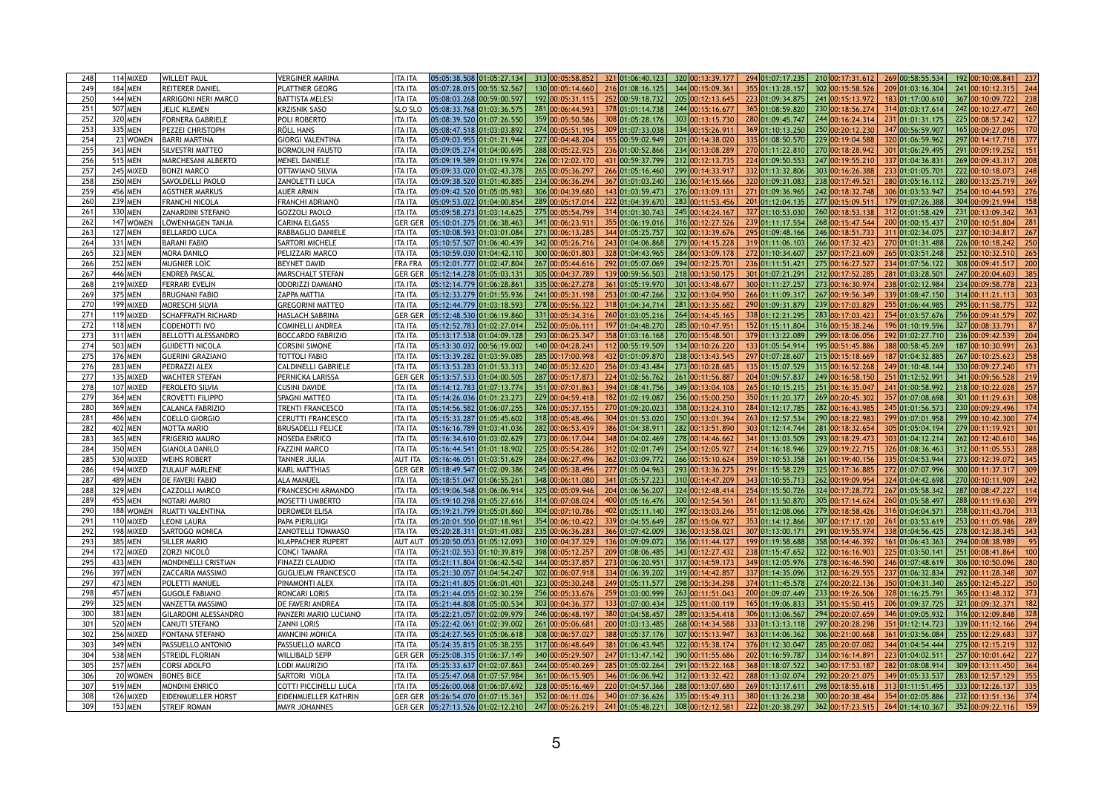| 248             | 114 MIXED      | <b>WILLEIT PAUL</b>         | <b>VERGINER MARINA</b>       | <b>ITA ITA</b> | 05:05:38.508 01:05:27.134                                                                                                                                    | 313 00:05:58.852 | 321 01:06:40.123 | 320 00:13:39.177 | 294 01:07:17.235 | 210 00:17:31.612 | 269 00:58:55.534 | 192 00:10:08.841 | 237        |
|-----------------|----------------|-----------------------------|------------------------------|----------------|--------------------------------------------------------------------------------------------------------------------------------------------------------------|------------------|------------------|------------------|------------------|------------------|------------------|------------------|------------|
| 249             | 184 MEN        | <b>REITERER DANIEL</b>      | <b>PLATTNER GEORG</b>        | <b>ITA ITA</b> | 05:07:28.015 00:55:52.567                                                                                                                                    | 130 00:05:14.660 | 216 01:08:16.125 | 344 00:15:09.361 | 355 01:13:28.157 | 302 00:15:58.526 | 209 01:03:16.304 | 241 00:10:12.315 | 244        |
| 250             | 144 MEN        | <b>ARRIGONI NERI MARCO</b>  | <b>BATTISTA MELESI</b>       | <b>ITA ITA</b> | 05:08:03.268 00:59:00.597                                                                                                                                    | 192 00:05:31.115 | 252 00:59:18.732 | 205 00:12:13.645 | 223 01:09:34.875 | 241 00:15:13.972 | 183 01:17:00.610 | 367 00:10:09.722 | 238        |
| 251             | 507 MEN        | JELIC KLEMEN                | <b>KRZISNIK SASO</b>         | <b>SLO SLO</b> | 05:08:33.768 01:03:36.575                                                                                                                                    | 281 00:06:44.593 | 378 01:01:14.738 | 244 00:15:16.677 | 365 01:08:59.820 | 230 00:18:56.274 | 314 01:03:17.614 | 242 00:10:27.477 | <b>260</b> |
| 252             | 320 MEN        | <b>FORNERA GABRIELE</b>     | POLI ROBERTO                 | <b>ITA ITA</b> | 05:08:39.520 01:07:26.550                                                                                                                                    | 359 00:05:50.586 | 308 01:05:28.176 | 303 00:13:15.730 | 280 01:09:45.747 | 244 00:16:24.314 | 231 01:01:31.175 | 225 00:08:57.242 |            |
| 253             | 335 MEN        | <b>PEZZEI CHRISTOPH</b>     | RÖLL HANS                    | <b>ITA ITA</b> | 05:08:47.518 01:03:03.892                                                                                                                                    | 274 00:05:51.195 | 309 01:07:33.038 | 334 00:15:26.91  | 369 01:10:13.250 | 250 00:20:12.230 | 347 00:56:59.907 | 165 00:09:27.095 |            |
| 254             | 23 WOMEN       | <b>BARRI MARTINA</b>        | <b>GIORGI VALENTINA</b>      | <b>ITA ITA</b> | 05:09:03.955 01:01:21.944                                                                                                                                    | 227 00:04:48.204 | 155 00:59:02.949 | 201 00:14:38.020 | 335 01:08:50.570 | 229 00:19:04.588 | 320 01:06:59.962 | 297 00:14:17.718 | 377        |
| 255             | 343 MEN        | <b>SILVESTRI MATTEO</b>     | <b>BORMOLINI FAUSTO</b>      | <b>ITA ITA</b> | 05:09:05.274 01:04:00.695                                                                                                                                    | 288 00:05:22.925 | 236 01:00:52.866 | 234 00:13:08.289 | 270 01:11:22.810 | 270 00:18:28.942 | 301 01:06:29.495 | 291 00:09:19.252 |            |
| 256             | 515 MEN        | <b>MARCHESANI ALBERTO</b>   | <b>MENEL DANIELE</b>         | <b>ITA ITA</b> | 05:09:19.589 01:01:19.974                                                                                                                                    | 226 00:12:02.170 | 431 00:59:37.799 | 212 00:12:13.735 | 224 01:09:50.553 | 247 00:19:55.210 | 337 01:04:36.831 | 269 00:09:43.317 | 208        |
| 257             | 245 MIXED      | <b>BONZI MARCO</b>          | <b>OTTAVIANO SILVIA</b>      | <b>ITA ITA</b> | 05:09:33.020 01:02:43.378                                                                                                                                    | 265 00:05:36.297 | 266 01:05:16.460 | 299 00:14:33.917 | 332 01:13:32.806 | 303 00:16:26.388 | 233 01:01:05.701 | 222 00:10:18.073 | 248        |
| 258             | 250 MEN        | SAVOLDELLI PAOLO            | <b>ZANOLETTI LUCA</b>        | <b>ITA ITA</b> | 05:09:38.520 01:01:40.885                                                                                                                                    | 234 00:06:36.294 | 367 01:01:03.240 | 236 00:14:15.666 | 320 01:09:31.083 | 238 00:17:49.521 | 280 01:05:16.112 | 280 00:13:25.719 | 369        |
| 259             | 456 MEN        | <b>AGSTNER MARKUS</b>       | <b>AUER ARMIN</b>            | <b>ITA ITA</b> | 05:09:42.520 01:05:05.983                                                                                                                                    | 306 00:04:39.680 | 143 01:03:59.473 | 276 00:13:09.13  | 271 01:09:36.965 | 242 00:18:32.748 | 306 01:03:53.947 | 254 00:10:44.593 | 276        |
| 260             | 239 MEN        | <b>FRANCHI NICOLA</b>       | <b>FRANCHI ADRIANO</b>       | <b>ITA ITA</b> | 05:09:53.022 01:04:00.854                                                                                                                                    | 289 00:05:17.014 | 222 01:04:39.670 | 283 00:11:53.456 | 201 01:12:04.135 | 277 00:15:09.511 | 179 01:07:26.388 | 304 00:09:21.994 |            |
| 26 <sup>′</sup> | 330 MEN        | <b>ZANARDINI STEFANO</b>    | <b>GOZZOLI PAOLO</b>         | <b>ITA ITA</b> | 05:09:58.273 01:03:14.625                                                                                                                                    | 275 00:05:54.799 | 314 01:01:30.743 | 245 00:14:24.167 | 327 01:10:53.030 | 260 00:18:53.138 | 312 01:01:58.429 | 231 00:13:09.342 |            |
| 262             | 147 WOMEN      | LÖWENHAGEN TANJA            | <b>CARINA ELGASS</b>         | <b>GER GER</b> | 05:10:01.275 01:06:38.463                                                                                                                                    | 341 00:06:23.931 | 355 01:06:19.016 | 316 00:12:27.526 | 239 01:11:17.554 | 268 00:15:47.544 | 200 01:00:15.437 | 210 00:10:51.804 | 281        |
| 263             | <b>127 MEN</b> | <b>BELLARDO LUCA</b>        | RABBAGLIO DANIELE            | <b>ITA ITA</b> |                                                                                                                                                              | 271 00:06:13.285 | 344 01:05:25.757 | 302 00:13:39.676 | 295 01:09:48.166 | 246 00:18:51.733 | 311 01:02:34.075 | 237 00:10:34.817 |            |
| 264             | 331 MEN        | <b>BARANI FABIO</b>         |                              |                | 05:10:57.507 01:06:40.439                                                                                                                                    | 342 00:05:26.716 | 243 01:04:06.868 | 279 00:14:15.228 | 319 01:11:06.103 | 266 00:17:32.423 | 270 01:01:31.488 | 226 00:10:18.242 | 267<br>250 |
|                 | 323 MEN        |                             | <b>SARTORI MICHELE</b>       | <b>ITA ITA</b> |                                                                                                                                                              | 300 00:06:01.803 | 328 01:04:43.965 | 284 00:13:09.178 | 272 01:10:34.607 |                  | 265 01:03:51.248 | 252 00:10:32.510 |            |
| 265             |                | <b>MORA DANILO</b>          | PELIZZARI MARCO              | <b>ITA ITA</b> | 05:10:59.030 01:04:42.110                                                                                                                                    |                  |                  |                  |                  | 257 00:17:23.609 |                  |                  | 265        |
| 266             | <b>252 MEN</b> | <b>MUGNIER LOÏC</b>         | BEYNET DAVID                 | <b>FRA FRA</b> | 05:12:01.777 01:02:47.804                                                                                                                                    | 267 00:05:44.616 | 292 01:05:07.069 | 294 00:12:25.701 | 236 01:11:51.421 | 275 00:16:27.527 | 234 01:07:56.122 | 308 00:09:41.517 | 200        |
| 267             | 446 MEN        | <b>ENDREß PASCAL</b>        | <b>MARSCHALT STEFAN</b>      | <b>GER GER</b> | 05:12:14.278 01:05:03.131                                                                                                                                    | 305 00:04:37.789 | 139 00:59:56.503 | 218 00:13:50.175 | 301 01:07:21.291 | 212 00:17:52.285 | 281 01:03:28.501 | 247 00:20:04.603 |            |
| 268             | 219 MIXED      | <b>FERRARI EVELIN</b>       | <b>ODORIZZI DAMIANO</b>      | <b>ITA ITA</b> | 05:12:14.779 01:06:28.861                                                                                                                                    | 335 00:06:27.278 | 361 01:05:19.970 | 301 00:13:48.677 | 300 01:11:27.257 | 273 00:16:30.974 | 238 01:02:12.984 | 234 00:09:58.778 | 223        |
| 269             | 375 MEN        | <b>BRUGNANI FABIO</b>       | <b>ZAPPA MATTIA</b>          | <b>ITA ITA</b> | 05:12:33.279 01:01:55.936                                                                                                                                    | 241 00:05:31.198 | 253 01:00:47.266 | 232 00:13:04.950 | 266 01:11:09.317 | 267 00:19:56.349 | 339 01:08:47.150 | 314 00:11:21.113 | 303        |
| 270             | 199 MIXED      | <b>MORESCHI SILVIA</b>      | <b>GREGORINI MATTEO</b>      | <b>ITA ITA</b> | 05:12:44.779 01:03:18.593                                                                                                                                    | 278 00:05:56.322 | 318 01:04:34.714 | 281 00:13:35.682 | 290 01:09:31.879 | 239 00:17:03.829 | 255 01:06:44.985 | 295 00:11:58.775 | 322        |
| 271             | 119 MIXED      | <b>SCHAFFRATH RICHARD</b>   | <b>HASLACH SABRINA</b>       | <b>GER GER</b> | 05:12:48.530 01:06:19.860                                                                                                                                    | 331 00:05:34.316 | 260 01:03:05.216 | 264 00:14:45.165 | 338 01:12:21.295 | 283 00:17:03.423 | 254 01:03:57.676 | 256 00:09:41.579 | 202        |
| 272             | 118 MEN        | CODENOTTI IVO               | <b>COMINELLI ANDREA</b>      | <b>ITA ITA</b> | 05:12:52.783 01:02:27.014                                                                                                                                    | 252 00:05:06.111 | 197 01:04:48.270 | 285 00:10:47.951 | 152 01:15:11.804 | 316 00:15:38.246 | 196 01:10:19.596 | 327 00:08:33.791 |            |
| 273             | 311 MEN        | <b>BELLOTTI ALESSANDRO</b>  | <b>BOCCARDO FABRIZIO</b>     | <b>ITA ITA</b> | 05:13:17.538 01:04:09.128                                                                                                                                    | 293 00:06:25.347 | 358 01:03:16.168 | 270 00:15:48.501 | 379 01:13:22.089 | 299 00:18:06.056 | 292 01:02:27.710 | 236 00:09:42.539 |            |
| 274             | 503 MEN        | <b>GUIDETTI NICOLA</b>      | <b>CORSINI SIMONE</b>        | <b>ITA ITA</b> | 05:13:30.032 00:56:19.002                                                                                                                                    | 140 00:04:28.241 | 112 00:55:19.509 | 134 00:10:26.220 | 133 01:05:54.914 | 195 00:51:45.886 | 388 00:58:45.269 | 187 00:10:30.991 | 263        |
| 275             | 376 MEN        | <b>GUERINI GRAZIANO</b>     | <b>TOTTOLI FABIO</b>         | <b>ITA ITA</b> | 05:13:39.282 01:03:59.085                                                                                                                                    | 285 00:17:00.998 | 432 01:01:09.870 | 238 00:13:43.545 | 297 01:07:28.607 | 215 00:15:18.669 | 187 01:04:32.885 | 267 00:10:25.623 |            |
| 276             | 283 MEN        | <b>PEDRAZZI ALEX</b>        | <b>CALDINELLI GABRIELE</b>   | <b>ITA ITA</b> | 05:13:53.283 01:01:53.313                                                                                                                                    | 240 00:05:32.620 | 256 01:03:43.484 | 273 00:10:28.685 | 135 01:15:07.529 | 315 00:16:52.268 | 249 01:10:48.144 | 330 00:09:27.240 | 171        |
| 277             | 135 MIXED      | <b>WACHTER STEFAN</b>       | PERNICKA LARISSA             | <b>GER GER</b> | 05:13:57.533 01:04:00.505                                                                                                                                    | 287 00:05:17.873 | 224 01:02:56.762 | 261 00:11:56.887 | 204 01:09:57.837 | 249 00:16:58.150 | 251 01:12:52.991 | 341 00:09:56.528 | 219        |
| 278             | 107 MIXED      | <b>FEROLETO SILVIA</b>      | <b>CUSINI DAVIDE</b>         | <b>ITA ITA</b> | 05:14:12.783 01:07:13.774                                                                                                                                    | 351 00:07:01.863 | 394 01:08:41.756 | 349 00:13:04.108 | 265 01:10:15.215 | 251 00:16:35.047 | 241 01:00:58.992 | 218 00:10:22.028 | 257        |
| 279             | 364 MEN        | <b>CROVETTI FILIPPO</b>     | SPAGNI MATTEO                | <b>ITA ITA</b> | 05:14:26.036 01:01:23.273                                                                                                                                    | 229 00:04:59.418 | 182 01:02:19.087 | 256 00:15:00.250 | 350 01:11:20.377 | 269 00:20:45.302 | 357 01:07:08.698 | 301 00:11:29.631 |            |
| 280             | 369 MEN        | CALANCA FABRIZIO            | <b>TRENTI FRANCESCO</b>      | <b>ITA ITA</b> | 05:14:56.582 01:06:07.255                                                                                                                                    | 326 00:05:37.155 | 270 01:09:20.023 | 358 00:13:24.310 | 284 01:12:17.785 | 282 00:16:43.985 | 245 01:01:56.573 | 230 00:09:29.496 | 174        |
| 281             | 486 MEN        | COELLO GIORGIO              | <b>CERUTTI FRANCESCO</b>     | <b>ITA ITA</b> | 05:15:33.287 01:05:45.602                                                                                                                                    | 318 00:05:48.496 | 304 01:01:53.020 | 250 00:13:01.394 | 263 01:12:57.534 | 290 00:18:22.983 | 299 01:07:01.958 | 299 00:10:42.300 |            |
| 282             | 402 MEN        | <b>MOTTA MARIO</b>          | <b>BRUSADELLI FELICE</b>     | <b>ITA ITA</b> | 05:16:16.789 01:03:41.036                                                                                                                                    | 282 00:06:53.439 | 386 01:04:38.911 | 282 00:13:51.890 | 303 01:12:14.744 | 281 00:18:32.654 | 305 01:05:04.194 | 279 00:11:19.921 |            |
| 283             | 365 MEN        | <b>FRIGERIO MAURO</b>       | NOSEDA ENRICO                | <b>ITA ITA</b> | 05:16:34.610 01:03:02.629                                                                                                                                    | 273 00:06:17.044 | 348 01:04:02.469 | 278 00:14:46.662 | 341 01:13:03.509 | 293 00:18:29.473 | 303 01:04:12.214 | 262 00:12:40.610 | 346        |
| 284             | 350 MEN        | <b>GIANOLA DANILO</b>       | <b>FAZZINI MARCO</b>         | <b>ITA ITA</b> | 05:16:44.541 01:01:18.902                                                                                                                                    | 225 00:05:54.286 | 312 01:02:01.749 | 254 00:12:05.927 | 214 01:16:18.946 | 329 00:19:22.715 | 326 01:08:36.463 | 312 00:11:05.553 | 288        |
| 285             | 530 MIXED      | <b>WEIHS ROBERT</b>         | <b>TANNER JULIA</b>          | <b>AUT ITA</b> | 05:16:46.051 01:03:51.629                                                                                                                                    | 284 00:06:27.496 | 362 01:03:09.772 | 266 00:15:10.624 | 359 01:10:53.358 | 261 00:19:40.156 | 335 01:04:53.944 | 273 00:12:39.072 |            |
| 286             | 194 MIXED      | <b>ZULAUF MARLENE</b>       | <b>KARL MATTHIAS</b>         | <b>GER GER</b> | 05:18:49.547 01:02:09.386                                                                                                                                    | 245 00:05:38.496 | 277 01:05:04.963 | 293 00:13:36.275 | 291 01:15:58.229 | 325 00:17:36.885 | 272 01:07:07.996 | 300 00:11:37.317 | 309        |
| 287             | 489 MEN        | <b>DE FAVERI FABIO</b>      | <b>ALA MANUEL</b>            | <b>ITA ITA</b> | 05:18:51.047 01:06:55.261                                                                                                                                    | 348 00:06:11.080 | 341 01:05:57.223 | 310 00:14:47.209 | 343 01:10:55.713 | 262 00:19:09.954 | 324 01:04:42.698 | 270 00:10:11.909 | 242        |
| 288             | 329 MEN        | CAZZOLLI MARCO              | <b>FRANCESCHI ARMANDO</b>    | <b>ITA ITA</b> | 05:19:06.548 01:06:06.914                                                                                                                                    | 325 00:05:09.946 | 204 01:06:56.207 | 324 00:12:48.414 | 254 01:15:50.726 | 324 00:17:28.772 | 267 01:05:58.342 | 287 00:08:47.227 | 114        |
| 289             | 455 MEN        | NOTARI MARIO                | <b>MOSETTI UMBERTO</b>       | <b>ITA ITA</b> | 05:19:10.298 01:05:27.616                                                                                                                                    | 314 00:07:08.024 | 400 01:05:16.476 | 300 00:12:54.561 | 261 01:13:50.870 | 305 00:17:14.624 | 260 01:05:58.497 | 288 00:11:19.630 | 299        |
| 290             | 188 WOMEN      | RUATTI VALENTINA            | <b>DEROMEDI ELISA</b>        | <b>ITA ITA</b> | 05:19:21.799 01:05:01.860                                                                                                                                    | 304 00:07:10.786 | 402 01:05:11.140 | 297 00:15:03.246 | 351 01:12:08.066 | 279 00:18:58.426 | 316 01:04:04.571 | 258 00:11:43.704 | 313        |
| 291             | 110 MIXED      | <b>LEONI LAURA</b>          | PAPA PIERLUIGI               | <b>ITA ITA</b> | 05:20:01.550 01:07:18.961                                                                                                                                    | 354 00:06:10.422 | 339 01:04:55.649 | 287 00:15:06.927 | 353 01:14:12.866 | 307 00:17:17.120 | 261 01:03:53.619 | 253 00:11:05.986 | 289        |
| 292             | 198 MIXED      | <b>SARTOGO MONICA</b>       | <b>ZANOTELLI TOMMASO</b>     | <b>ITA ITA</b> | 05:20:28.311 01:01:41.083                                                                                                                                    | 235 00:06:36.283 | 366 01:07:42.009 | 336 00:13:58.02  | 307 01:13:00.171 | 291 00:19:55.974 | 338 01:04:56.425 | 278 00:12:38.345 | 343        |
| 293             | 385 MEN        | <b>SILLER MARIO</b>         | <b>KLAPPACHER RUPERT</b>     | <b>AUT AUT</b> | 05:20:50.053 01:05:12.093                                                                                                                                    | 310 00:04:37.329 | 136 01:09:09.072 | 356 00:11:44.127 | 199 01:19:58.688 | 358 00:14:46.392 | 161 01:06:43.363 | 294 00:08:38.989 |            |
| 294             | 172 MIXED      | <b>ZORZI NICOLÒ</b>         | <b>CONCI TAMARA</b>          | <b>ITA ITA</b> | 05:21:02.553 01:10:39.819                                                                                                                                    | 398 00:05:12.257 | 209 01:08:06.485 | 343 00:12:27.432 | 238 01:15:47.652 | 322 00:16:16.903 | 225 01:03:50.141 | 251 00:08:41.864 |            |
| 295             | 433 MEN        | MONDINELLI CRISTIAN         | <b>FINAZZI CLAUDIO</b>       | <b>ITA ITA</b> | 05:21:11.804 01:06:42.542                                                                                                                                    | 344 00:05:37.857 | 273 01:06:20.951 | 317 00:14:59.173 | 349 01:12:05.976 | 278 00:16:46.590 | 246 01:07:48.619 | 306 00:10:50.096 | <b>280</b> |
| 296             | 397 MEN        | <b>ZACCARIA MASSIMO</b>     | <b>GUGLIELMI FRANCESCO</b>   | <b>ITA ITA</b> | 05:21:30.057 01:04:54.247                                                                                                                                    | 302 00:06:07.918 | 334 01:06:39.202 | 319 00:14:42.857 | 337 01:14:35.096 | 312 00:16:29.555 | 237 01:06:32.834 | 292 00:11:28.348 | 307        |
| 297             | 473 MEN        | <b>POLETTI MANUEL</b>       | PINAMONTI ALEX               | <b>ITA ITA</b> | 05:21:41.805 01:06:01.401                                                                                                                                    | 323 00:05:30.248 | 249 01:05:11.577 | 298 00:15:34.298 | 374 01:11:45.578 | 274 00:20:22.136 | 350 01:04:31.340 | 265 00:12:45.227 |            |
| 298             | 457 MEN        | <b>GUGOLE FABIANO</b>       | RONCARI LORIS                | <b>ITA ITA</b> | 05:21:44.055 01:02:30.259                                                                                                                                    | 256 00:05:33.676 | 259 01:03:00.999 | 263 00:11:51.043 | 200 01:09:07.449 | 233 00:19:26.506 | 328 01:16:25.791 | 365 00:13:48.332 | 373        |
| 299             | 325 MEN        | VANZETTA MASSIMO            | DE FAVERI ANDREA             | <b>ITA ITA</b> | 05:21:44.808 01:05:00.534                                                                                                                                    | 303 00:04:36.377 | 133 01:07:00.434 | 325 00:11:00.119 | 165 01:19:06.833 | 351 00:15:50.415 | 206 01:09:37.725 | 321 00:09:32.371 |            |
| 300             | 383 MEN        | <b>GILARDONI ALESSANDRO</b> | PANZERI MARIO LUCIANO        | <b>ITA ITA</b> | 05:22:21.057 01:02:09.979                                                                                                                                    | 246 00:06:48.197 | 380 01:04:58.457 | 289 00:13:54.418 | 306 01:13:06.567 | 294 00:20:07.659 | 346 01:09:05.932 | 316 00:12:09.848 | 328        |
| 30 <sup>7</sup> | 520 MEN        | <b>CANUTI STEFANO</b>       | <b>ZANNI LORIS</b>           | <b>ITA ITA</b> | 05:22:42.061 01:02:39.002                                                                                                                                    | 261 00:05:06.681 | 200 01:03:13.485 | 268 00:14:34.588 | 333 01:13:13.118 | 297 00:20:28.298 | 351 01:12:14.723 | 339 00:11:12.166 | 294        |
| 302             | 256 MIXED      | <b>FONTANA STEFANO</b>      | <b>AVANCINI MONICA</b>       | <b>ITA ITA</b> | 05:24:27.565 01:05:06.618                                                                                                                                    | 308 00:06:57.027 | 388 01:05:37.176 | 307 00:15:13.947 | 363 01:14:06.362 | 306 00:21:00.668 | 361 01:03:56.084 | 255 00:12:29.683 |            |
| 303             | 349 MEN        | <b>PASSUELLO ANTONIO</b>    | PASSUELLO MARCO              | <b>ITA ITA</b> | 05:24:35.815 01:05:38.255                                                                                                                                    | 317 00:06:48.649 | 381 01:06:43.945 | 322 00:15:38.174 | 376 01:12:30.047 | 285 00:20:07.082 | 344 01:04:54.444 | 275 00:12:15.219 | 332        |
| 30 <sup>2</sup> | 538 MEN        | <b>STREIDL FLORIAN</b>      | <b>WILLIBALD SEPP</b>        | <b>GER GEF</b> | 05:25:08.315 01:06:37.149                                                                                                                                    | 340 00:05:29.507 | 247 01:13:47.142 | 390 00:11:55.686 | 202 01:16:59.787 | 334 00:16:14.891 | 223 01:04:02.511 | 257 00:10:01.642 | 227        |
| 305             | <b>257 MEN</b> | <b>CORSI ADOLFO</b>         | LODI MAURIZIO                | <b>ITA ITA</b> | 05:25:33.637 01:02:07.863                                                                                                                                    | 244 00:05:40.269 | 285 01:05:02.264 | 291 00:15:22.168 | 368 01:18:07.522 | 340 00:17:53.187 | 282 01:08:08.914 | 309 00:13:11.450 | 364        |
| 306             | 20 WOMEN       | <b>BONES BICE</b>           | SARTORI VIOLA                | <b>ITA ITA</b> | 05:25:47.068 01:07:57.984                                                                                                                                    | 361 00:06:15.905 | 346 01:06:06.942 | 312 00:13:32.422 | 288 01:13:02.074 | 292 00:20:21.075 | 349 01:05:33.537 | 283 00:12:57.129 | 355        |
| 307             | 519 MEN        | <b>MONDINI ENRICO</b>       | <b>COTTI PICCINELLI LUCA</b> | <b>ITA ITA</b> | 05:26:00.068 01:06:07.692                                                                                                                                    | 328 00:05:16.469 | 220 01:04:57.366 | 288 00:13:07.680 | 269 01:13:17.611 | 298 00:18:55.618 | 313 01:11:51.495 | 333 00:12:26.137 | 335        |
| 308             | 126 MIXED      | <b>EIDENMUELLER HORST</b>   | EIDENMUELLER KATHRIN         |                | GER GER 05:26:54.070 01:07:15.361 352 00:06:11.026 340 01:07:36.626 335 00:15:49.313 380 01:13:26.238 300 00:20:38.484 354 01:02:05.886 232 00:13:51.136 374 |                  |                  |                  |                  |                  |                  |                  |            |
| 309             | 153 MEN        | <b>STREIF ROMAN</b>         | MAYR JOHANNES                |                | GER GER 05:27:13.526 01:02:12.210 247 00:05:26.219 241 01:05:48.221 308 00:12:12.581 222 01:20:38.297 362 00:17:23.515 264 01:14:10.367 352 00:09:22.116 159 |                  |                  |                  |                  |                  |                  |                  |            |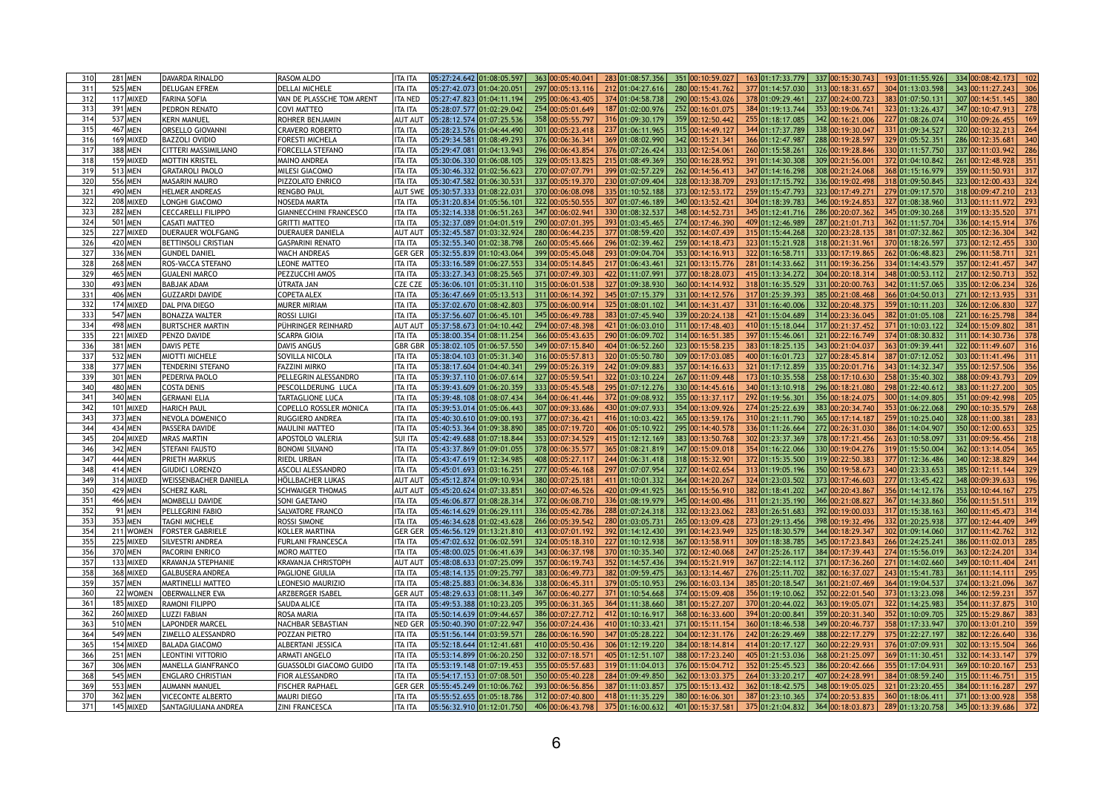| 310             | <b>281 MEN</b> | DAVARDA RINALDO                                 | <b>RASOM ALDO</b>                              | 363 00:05:40.041<br>337 00:15:30.743<br>05:27:24.642 01:08:05.597<br>283 01:08:57.356<br>351 00:10:59.027<br>163 01:17:33.779<br>193 01:11:55.926<br>334 00:08:42.173<br>102<br><b>ITA ITA</b>                                                                                                                         |
|-----------------|----------------|-------------------------------------------------|------------------------------------------------|------------------------------------------------------------------------------------------------------------------------------------------------------------------------------------------------------------------------------------------------------------------------------------------------------------------------|
| 311             | 525 MEN        | <b>DELUGAN EFREM</b>                            | <b>DELLAI MICHELE</b>                          | 297 00:05:13.116<br>280 00:15:41.762<br>377 01:14:57.030<br>313 00:18:31.657<br>304 01:13:03.598<br>05:27:42.073 01:04:20.051<br>212 01:04:27.616<br>343 00:11:27.243<br><b>ITA ITA</b>                                                                                                                                |
| 312             | 117 MIXED      | <b>FARINA SOFIA</b>                             | VAN DE PLASSCHE TOM ARENT                      | 295 00:06:43.405<br>290 00:15:43.026<br>378 01:09:29.461<br>237 00:24:00.723<br>383 01:07:50.131<br>307 00:14:51.145<br>380<br>05:27:47.823 01:04:11.194<br>374 01:04:58.738<br><b>ITA NED</b>                                                                                                                         |
| 31.             | 391 MEN        | <b>PEDRON RENATO</b>                            | <b>COVI MATTEO</b>                             | 252 00:16:01.075<br>05:28:07.577 01:02:29.042<br>254 00:05:01.649<br>187 01:02:00.976<br>384 01:19:13.744<br>353 00:19:06.741<br>323 01:13:26.437<br>347 00:10:47.913<br><b>ITA ITA</b><br><b>278</b>                                                                                                                  |
| 31 <sub>0</sub> | 537 MEN        | KERN MANUEL                                     | ROHRER BENJAMIN                                | 05:28:12.574 01:07:25.536<br>358 00:05:55.797<br>316 01:09:30.179<br>359 00:12:50.442<br>342 00:16:21.006<br>227 01:08:26.074<br>255 01:18:17.085<br>310 00:09:26.455<br><b>AUT AU</b><br>169                                                                                                                          |
| 315             | 467 MEN        | <b>ORSELLO GIOVANNI</b>                         | CRAVERO ROBERTO                                | 315 00:14:49.127<br>05:28:23.576 01:04:44.490<br>301 00:05:23.418<br>237 01:06:11.965<br>344 01:17:37.789<br>338 00:19:30.047<br>320 00:10:32.213<br><b>ITA ITA</b><br>331 01:09:34.527<br>264                                                                                                                         |
| 316             | 169 MIXED      | <b>BAZZOLI OVIDIO</b>                           | <b>FORESTI MICHELA</b>                         | 05:29:34.581 01:08:49.293<br>376 00:06:36.341<br>369 01:08:02.990<br>342 00:15:21.34<br>288 00:19:28.597<br>329 01:05:52.351<br>286 00:12:35.681<br>366 01:12:47.987<br><b>ITA ITA</b><br>340                                                                                                                          |
| 317             | 388 MEN        | <b>CITTERI MASSIMILIANO</b>                     | <b>FORCELLA STEFANO</b>                        | 296 00:06:43.854<br>333 00:12:54.061<br>337 00:11:03.942<br>05:29:47.081 01:04:13.943<br>376 01:07:26.424<br>260 01:15:58.261<br>326 00:19:28.846<br>330 01:11:57.750<br><b>ITA ITA</b>                                                                                                                                |
| 318             | 159 MIXED      | <b>MOTTIN KRISTEL</b>                           | <b>MAINO ANDREA</b>                            | 329 00:05:13.825<br>215 01:08:49.369<br>350 00:16:28.952<br>391 01:14:30.308<br>309 00:21:56.00<br>372 01:04:10.842<br> 05:30:06.330 01:06:08.105 <br>261 00:12:48.928<br><b>ITA ITA</b>                                                                                                                               |
| 319             | 513 MEN        | <b>GRATAROLI PAOLO</b>                          | <b>MILESI GIACOMO</b>                          | 270 00:07:07.791<br>262 00:14:56.413<br>359 00:11:50.931<br>05:30:46.332 01:02:56.623<br>399 01:02:57.229<br>347 01:14:16.298<br>308 00:21:24.068<br>368 01:15:16.979<br><b>ITA ITA</b>                                                                                                                                |
| 320             | 556 MEN        | <b>MASARIN MAURO</b>                            | PIZZOLATO ENRICO                               | 05:30:47.582 01:06:30.531<br>337 00:05:19.370<br>328 00:13:38.709<br><b>ITA ITA</b><br>230 01:07:09.404<br>293 01:17:15.792<br>336 00:19:02.498<br>318 01:09:50.845<br>323 00:12:00.433<br>324                                                                                                                         |
| 321             | 490 MEN        | <b>HELMER ANDREAS</b>                           | <b>RENGBO PAUL</b>                             | 370 00:06:08.098<br> 05:30:57.333 01:08:22.031<br>373 00:12:53.172<br>259 01:15:47.793<br>323 00:17:49.271<br>279 01:09:17.570<br>335 01:10:52.188<br>318 00:09:47.210<br><b>AUT SWE</b><br>213                                                                                                                        |
| 322             | 208 MIXED      | LONGHI GIACOMO                                  | NOSEDA MARTA                                   | 322 00:05:50.555<br>307 01:07:46.189<br>340 00:13:52.42<br>304 01:18:39.783<br>346 00:19:24.853<br>327 01:08:38.960<br>05:31:20.834 01:05:56.101<br>313 00:11:11.972<br>293<br><b>ITA ITA</b>                                                                                                                          |
| 323             | <b>282 MEN</b> | <b>CECCARELLI FILIPPO</b>                       | <b>GIANNECCHINI FRANCESCO</b>                  | 347 00:06:02.94<br>348 00:14:52.73<br>05:32:14.338 01:06:51.263<br>330 01:08:32.537<br>345 01:12:41.716<br>286 00:20:07.362<br>345 01:09:30.268<br>319 00:13:35.520<br><b>ITA ITA</b>                                                                                                                                  |
| 324             | 501 MEN        | <b>CASATI MATTEO</b>                            | <b>GRITTI MATTEO</b>                           | 290 00:07:01.395<br>274 00:17:46.390<br>05:32:37.089 01:04:01.519<br>393 01:03:45.465<br>409 01:12:46.989<br>287 00:21:01.713<br>362 01:11:57.704<br>336 00:14:15.914<br><b>ITA ITA</b><br>376                                                                                                                         |
| 325             | 227 MIXED      | <b>DUERAUER WOLFGANG</b>                        | <b>DUERAUER DANIELA</b>                        | 280 00:06:44.235<br>352 00:14:07.439<br> 05:32:45.587 01:03:32.924 <br>377 01:08:59.420<br>315 01:15:44.268<br>320 00:23:28.135<br>381 01:07:32.862<br>305 00:12:36.304<br><b>AUT AU</b>                                                                                                                               |
| 326             | 420 MEN        | BETTINSOLI CRISTIAN                             | <b>GASPARINI RENATO</b>                        | 260 00:05:45.666<br>259 00:14:18.473<br>05:32:55.340 01:02:38.798<br>296 01:02:39.462<br>323 01:15:21.928<br>318 00:21:31.961<br>370 01:18:26.597<br>373 00:12:12.455<br>33 <sub>C</sub><br><b>ITA ITA</b>                                                                                                             |
| 327             | 336 MEN        | <b>GUNDEL DANIEL</b>                            | <b>WACH ANDREAS</b>                            | 399 00:05:45.048<br>353 00:14:16.913<br>322 01:16:58.711<br>333 00:17:19.865<br>296 00:11:58.711<br>05:32:55.839 01:10:43.064<br>293 01:09:04.704<br>262 01:06:48.823<br><b>GER GEF</b><br>$32^{\circ}$                                                                                                                |
| 328             | 268 MEN        | <b>ROS-VACCA STEFANO</b>                        | <b>LEONE MATTEO</b>                            | 334 00:05:14.845<br> 05:33:16.589 01:06:27.553 <br>321 00:13:15.776<br>281 01:14:33.662<br>311 00:19:36.256<br>334 01:14:43.579<br>357 00:12:41.457<br>217 01:06:43.461<br>347<br><b>ITA ITA</b>                                                                                                                       |
| 329             | 465 MEN        | <b>GUALENI MARCO</b>                            | PEZZUCCHI AMOS                                 | 371 00:07:49.303<br>377 00:18:28.073<br>304 00:20:18.314<br>217 00:12:50.713<br>05:33:27.343 01:08:25.565<br>422 01:11:07.991<br>415 01:13:34.272<br>348 01:00:53.112<br><b>ITA ITA</b>                                                                                                                                |
| 330             | 493 MEN        | <b>BABJAK ADAM</b>                              | ÚTRATA JAN                                     | 315 00:06:01.538<br>360 00:14:14.932<br>335 00:12:06.234<br>05:36:06.101 01:05:31.110<br>327 01:09:38.930<br>318 01:16:35.529<br>331 00:20:00.763<br>342 01:11:57.065<br><b>CZE CZE</b><br>326                                                                                                                         |
| 331             | 406 MEN        | <b>GUZZARDI DAVIDE</b>                          | COPETA ALEX                                    | 311 00:06:14.392<br>331 00:14:12.576<br>317 01:25:39.393<br>385 00:21:08.468<br>271 00:12:13.935<br>05:36:47.669 01:05:13.513<br>345 01:07:15.379<br>366 01:04:50.013<br><b>ITA ITA</b>                                                                                                                                |
| 332             | 174 MIXED      | DAL PIVA DIEGO                                  | <b>MURER MIRIAM</b>                            | 375 00:06:00.914<br>05:37:02.670 01:08:42.803<br>341 00:14:31.437<br>332 00:20:48.375<br>359 01:10:11.203<br>326 00:12:06.830<br>327<br>325 01:08:01.102<br>331 01:16:40.006<br><b>ITA ITA</b>                                                                                                                         |
| 333             | 547 MEN        | <b>BONAZZA WALTER</b>                           | Rossi Luigi                                    | 345 00:06:49.788<br>339 00:20:24.138<br>05:37:56.607 01:06:45.101<br>383 01:07:45.940<br>421 01:15:04.689<br>314 00:23:36.045<br>382 01:01:05.108<br>221 00:16:25.798<br><b>ITA ITA</b>                                                                                                                                |
| 334             | 498 MEN        | <b>BURTSCHER MARTIN</b>                         | PÜHRINGER REINHARD                             | 294 00:07:48.398<br> 05:37:58.673 01:04:10.442 <br>421 01:06:03.010<br>311 00:17:48.403<br>317 00:21:37.452<br>371 01:10:03.122<br>324 00:15:09.802<br>410 01:15:18.044<br><b>AUT AUT</b>                                                                                                                              |
| 335             | 221 MIXED      | <b>PENZO DAVIDE</b>                             | <b>SCARPA GIOIA</b>                            | 366 00:05:43.635<br>397 01:15:46.061<br>321 00:22:16.749<br>05:38:00.354 01:08:11.254<br>290 01:06:09.702<br>314 00:16:51.385<br>374 01:08:30.832<br>311 00:14:30.736<br><b>ITA ITA</b>                                                                                                                                |
| 336             | 381 MEN        | DAVIS PETE                                      | <b>DAVIS ANGUS</b>                             | 05:38:02.105 01:06:57.550<br>349 00:07:15.840<br>323 00:15:58.235<br>383 01:18:25.135<br>343 00:21:04.037<br>363 01:09:39.441<br>404 01:06:52.260<br>322 00:11:49.607<br><b>GBR GBR</b><br>316                                                                                                                         |
| 337             | 532 MEN        | <b>MIOTTI MICHELE</b>                           | SOVILLA NICOLA                                 | 316 00:05:57.813<br>309 00:17:03.085<br>327 00:28:45.814<br>387 01:07:12.052<br>303 00:11:41.496<br>05:38:04.103 01:05:31.340<br>320 01:05:50.780<br>400 01:16:01.723<br><b>ITA ITA</b>                                                                                                                                |
| 338             | 377 MEN        | <b>TENDERINI STEFANO</b>                        | <b>FAZZINI MIRKO</b>                           | 299 00:05:26.319<br>357 00:14:16.633<br>242 01:09:09.883<br>321 01:17:12.859<br>335 00:20:01.716<br>343 01:14:32.347<br>355 00:12:57.506<br>356<br>05:38:17.604 01:04:40.341<br><b>ITA ITA</b>                                                                                                                         |
| 339             | 301 MEN        | <b>PEDERIVA PAOLO</b>                           | <b>PELLEGRIN ALESSANDRO</b>                    | 327 00:05:59.541<br>322 01:03:10.224 <br>173 01:10:35.558 <br>258 00:17:10.630<br>388 00:09:43.793<br>209<br> 05:39:37.110 01:06:07.614 <br>267 00:11:09.448<br>258 01:35:40.302<br><b>ITA ITA</b>                                                                                                                     |
| 340             | 480 MEN        | <b>COSTA DENIS</b>                              | PESCOLLDERUNG LUCA                             | 333 00:05:45.548<br>330 00:14:45.616<br>296 00:18:21.080<br> 05:39:43.609 01:06:20.359 <br>295 01:07:12.276<br>298 01:22:40.612<br>383 00:11:27.200<br>340 01:13:10.918 <br>ITA ITA                                                                                                                                    |
| 341             | 340 MEN        | <b>GERMANI ELIA</b>                             | <b>TARTAGLIONE LUCA</b>                        | 364 00:06:41.446<br>355 00:13:37.117<br>356 00:18:24.075<br>372 01:09:08.932<br>292 01:19:56.301<br>300 01:14:09.805<br>351 00:09:42.998<br>05:39:48.108 01:08:07.434<br><b>ITA ITA</b><br>205                                                                                                                         |
| 342             | 101 MIXED      | <b>HARICH PAUL</b>                              | <b>COPELLO ROSSLER MONICA</b>                  | 307 00:09:33.686<br>383 00:20:34.740<br>430 01:09:07.933<br>354 00:13:09.926<br>274 01:25:22.639<br>353 01:06:22.068<br>290 00:10:35.579<br>268<br><b>ITA ITA</b>                                                                                                                                                      |
| 343             | 373 MEN        | NEVOLA DOMENICO                                 | <b>RUGGIERO ANDREA</b>                         | 377 00:07:36.421<br>365 00:13:59.176<br>310 01:21:11.790<br>365 00:17:14.187<br>259 01:10:25.040<br>328 00:11:00.381<br>05:40:30.610 01:09:00.193<br>416 01:10:03.422<br><b>ITA ITA</b><br>283                                                                                                                         |
| 344             | 434 MEN        | <b>PASSERA DAVIDE</b>                           | <b>MAULINI MATTEO</b>                          | 385 00:07:19.720<br>295 00:14:40.578<br>272 00:26:31.030<br>05:40:53.364 01:09:38.890<br>406 01:05:10.922<br>336 01:11:26.664<br>386 01:14:04.907<br>350 00:12:00.653<br><b>ITA ITA</b><br>325                                                                                                                         |
| 345             | 204 MIXED      | <b>MRAS MARTIN</b>                              | <b>APOSTOLO VALERIA</b>                        | 353 00:07:34.529<br>383 00:13:50.768<br>302 01:23:37.369<br>378 00:17:21.456<br>331 00:09:56.456<br>05:42:49.688 01:07:18.844<br>415 01:12:12.169<br>263 01:10:58.097<br><b>SUI ITA</b><br>218                                                                                                                         |
| 346             | 342 MEN        | <b>STEFANI FAUSTO</b>                           | <b>BONOMI SILVANO</b>                          | 378 00:06:35.577<br>05:43:37.869 01:09:01.055<br>365 01:08:21.819<br>347 00:15:09.018<br>354 01:16:22.066<br>330 00:19:04.276<br>319 01:15:50.004<br>362 00:13:14.054<br><b>ITA ITA</b>                                                                                                                                |
| 347             | 444 MEN        | <b>PRIETH MARKUS</b>                            | <b>RIEDL URBAN</b>                             | 408 00:05:27.117<br>318 00:15:32.90<br>372 01:15:35.500<br>319 00:22:50.383<br>377 01:12:36.486<br>340 00:12:38.829<br>244 01:06:31.418<br>344<br><b>ITA ITA</b>                                                                                                                                                       |
| 348             | 414 MEN        | <b>GIUDICI LORENZO</b>                          | <b>ASCOLI ALESSANDRO</b>                       | 277 00:05:46.168<br>327 00:14:02.654<br>350 00:19:58.673<br>385 00:12:11.144<br>$05:45:01.693$ $01:03:16.251$<br>297 01:07:07.954<br>313 01:19:05.196<br>340 01:23:33.653<br><b>ITA ITA</b><br>329                                                                                                                     |
| 349             | 314 MIXED      | <b>WEISSENBACHER DANIELA</b>                    | HÖLLBACHER LUKAS                               | 380 00:07:25.181<br>364 00:14:20.267<br>324 01:23:03.502<br>373 00:17:46.603<br>277 01:13:45.422<br>348 00:09:39.633<br>05:45:12.874 01:09:10.934<br>411 01:10:01.332<br><b>AUT AUT</b>                                                                                                                                |
| 350             | 429 MEN        | <b>SCHERZ KARL</b>                              | <b>SCHWAIGER THOMAS</b>                        | 360 00:07:46.526<br>$05:45:20.624$ $01:07:33.851$<br>420 01:09:41.925<br>361 00:15:56.910<br>382 01:18:41.202<br>347 00:20:43.867<br>356 01:14:12.176<br>353 00:10:44.167<br>275<br><b>AUT AUT</b>                                                                                                                     |
| 351             | 466 MEN        | MOMBELLI DAVIDE                                 | <b>SONI GAETANO</b>                            | 372 00:06:08.710<br>345 00:14:00.486<br>366 00:21:08.827<br>367 01:14:33.860<br>356 00:11:51.511<br>05:46:06.877 01:08:28.314<br>336 01:08:19.979<br>311 01:21:35.190<br><b>ITA ITA</b>                                                                                                                                |
| 352             | 91 MEN         |                                                 |                                                | 332 00:13:23.062<br>336 00:05:42.786<br>392 00:19:00.033<br> 05:46:14.629 01:06:29.111 <br>360 00:11:45.473                                                                                                                                                                                                            |
| 353             | 353 MEN        | <b>PELLEGRINI FABIO</b><br><b>TAGNI MICHELE</b> | <b>SALVATORE FRANCO</b>                        | 288 01:07:24.318<br>283 01:26:51.683<br>317 01:15:38.163<br><b>ITA ITA</b><br>266 00:05:39.542<br>05:46:34.628 01:02:43.628<br>265 00:13:09.428<br>273 01:29:13.456<br>398 00:19:32.496<br>332 01:20:25.938<br>377 00:12:44.409<br>280 01:03:05.731                                                                    |
| 354             | 211 WOMEN      | <b>FORSTER GABRIELE</b>                         | <b>ROSSI SIMONE</b><br><b>KOLLER MARTINA</b>   | <b>ITA ITA</b><br> 05:46:56.129 01:13:21.810 <br>413 00:07:01.192<br>391 00:14:23.949<br>325 01:18:30.579<br>344 00:18:29.347<br>302 01:09:14.060<br><b>GER GER</b><br>392 01:14:12.430<br>317 00:11:42.762<br>312                                                                                                     |
| 355             | 225 MIXED      | <b>SILVESTRI ANDREA</b>                         |                                                | 324 00:05:18.310<br>367 00:13:58.91<br>309 01:18:38.785<br>345 00:17:23.843<br>386 00:11:02.013<br>05:47:02.632 01:06:02.591<br>227 01:10:12.938<br>266 01:24:25.241                                                                                                                                                   |
| 356             | 370 MEN        | <b>PACORINI ENRICO</b>                          | <b>FURLANI FRANCESCA</b><br><b>MORO MATTEO</b> | <b>ITA ITA</b><br>343 00:06:37.198<br>372 00:12:40.068<br>363 00:12:24.201<br>05:48:00.025 01:06:41.639<br>370 01:10:35.340<br>247 01:25:26.117<br>384 00:17:39.443<br>274 01:15:56.019<br>334<br><b>ITA ITA</b>                                                                                                       |
|                 | 133 MIXED      |                                                 |                                                | 357 00:06:19.743<br>394 00:15:21.919<br>367 01:22:14.112<br>371 00:17:36.260<br>349 00:10:11.404<br>05:48:08.633 01:07:25.099                                                                                                                                                                                          |
| 357<br>358      | 368 MIXED      | KRAVANJA STEPHANIE<br><b>GALBUSERA ANDREA</b>   | KRAVANJA CHRISTOPH<br>PAGLIONE GIULIA          | 352 01:14:57.436<br>271 01:14:02.660<br><b>AUT AU</b><br><b>241</b><br>383 00:06:49.773<br>05:48:14.135 01:09:25.797<br>382 01:09:59.475<br>363 00:13:14.467<br>276 01:25:11.702<br>382 00:16:37.027<br>361 00:11:14.111<br>295<br>243 01:15:41.783                                                                    |
|                 |                |                                                 |                                                | <b>ITA ITA</b>                                                                                                                                                                                                                                                                                                         |
| 359             | 357 MEN        | <b>MARTINELLI MATTEO</b>                        | <b>LEONESIO MAURIZIO</b>                       | 338 00:06:45.311<br>05:48:25.883 01:06:34.836<br>296 00:16:03.134<br>385 01:20:18.547<br>374 00:13:21.096<br>379 01:05:10.953<br>361 00:21:07.469<br>364 01:19:04.537<br><b>ITA ITA</b><br>367 00:06:40.277<br>374 00:15:09.408<br>352 00:22:01.540                                                                    |
| 360             | 22 WOMEN       | <b>OBERWALLNER EVA</b>                          | <b>ARZBERGER ISABEL</b>                        | 05:48:29.633 01:08:11.349<br>371 01:10:54.668<br>356 01:19:10.062<br>373 01:13:23.098<br>346 00:12:59.231<br><b>GER AUT</b><br>357<br>395 00:06:31.365<br>381 00:15:27.207<br>370 01:20:44.022<br>363 00:19:05.071<br>322 01:14:25.983<br>354 00:11:37.875<br>05:49:53.388 01:10:23.205                                |
| 361             | 185 MIXED      | RAMONI FILIPPO                                  | <b>SAUDA ALICE</b>                             | 364 01:11:38.660<br><b>ITA ITA</b>                                                                                                                                                                                                                                                                                     |
| 362             | 260 MIXED      | <b>LUZZI FABIAN</b>                             | <b>ROSA MARIA</b>                              | 386 00:07:27.712<br>05:50:14.639 01:09:44.657<br>368 00:16:33.600<br>394 01:20:00.841<br>359 00:20:31.340<br>352 01:10:09.705<br>325 00:15:29.867<br>383<br>412 01:10:16.917<br><b>ITA ITA</b>                                                                                                                         |
| 363             | 510 MEN        | LAPONDER MARCEL                                 | NACHBAR SEBASTIAN                              | 356 00:07:24.436<br>05:50:40.390 01:07:22.947<br>371 00:15:11.154<br>358 01:17:33.947<br>370 00:13:01.210<br>410 01:10:33.421<br>360 01:18:46.538<br>349 00:20:46.737<br><b>NED GEF</b><br>359                                                                                                                         |
| 364             | 549 MEN        | <b>ZIMELLO ALESSANDRO</b>                       | <b>POZZAN PIETRO</b>                           | 286 00:06:16.590<br>304 00:12:31.176<br>375 01:22:27.197<br>382 00:12:26.640<br>$05:51:56.144$ $01:03:59.571$<br>347 01:05:28.222<br>242 01:26:29.469<br>388 00:22:17.279<br>336<br><b>ITA ITA</b>                                                                                                                     |
| 365             | 154 MIXED      | <b>BALADA GIACOMO</b>                           | <b>ALBERTANI JESSICA</b>                       | 410 00:05:50.436<br>306 01:12:19.220<br>384 00:18:14.814<br>414 01:20:17.127<br>360 00:22:29.931<br>302 00:13:15.504<br>05:52:18.644 01:12:41.681<br>376 01:07:09.931<br><b>ITA ITA</b><br>366                                                                                                                         |
| 366             | 251 MEN        | <b>LEONTINI VITTORIO</b>                        | <b>ARMATI ANGELO</b>                           | 05:53:14.899 01:06:20.250<br>332 00:07:18.571<br>388 00:17:23.240<br>405 01:21:53.036<br>368 00:21:25.097<br>369 01:11:30.451<br>332 00:14:33.147<br>379<br>405 01:12:51.107<br><b>ITA ITA</b>                                                                                                                         |
| 367             | 306 MEN        | <b>MANELLA GIANFRANCO</b>                       | GUASSOLDI GIACOMO GUIDO                        | 355 00:05:57.683<br>376 00:15:04.717<br>352 01:25:45.523<br>386 00:20:42.666<br>355 01:17:04.931<br>369 00:10:20.167<br> 05:53:19.148 01:07:19.453 <br>319 01:11:04.013<br><b>ITA ITA</b><br>253                                                                                                                       |
| 368             | 545 MEN        | <b>ENGLARO CHRISTIAN</b>                        | <b>FIOR ALESSANDRO</b>                         | 350 00:05:40.228<br>362 00:13:03.375<br>05:54:17.153 01:07:08.501<br>284 01:09:49.850<br>264 01:33:20.217<br>407 00:24:28.991<br>384 01:08:59.240<br>315 00:11:46.751<br>315<br><b>ITA ITA</b>                                                                                                                         |
| 369             | 553 MEN        | AUMANN MANUEL                                   | <b>FISCHER RAPHAEL</b>                         | 393 00:06:56.856<br> 05:55:45.249 01:10:06.762 <br>387 01:11:03.857<br>375 00:15:13.432<br>362 01:18:42.575 <br>348 00:19:05.025<br>384 00:11:16.287<br>321 01:23:20.455<br>297<br><b>GER GER</b>                                                                                                                      |
| 370             | $362$ MEN      | <b>VICECONTE ALBERTO</b>                        | <b>MAURI DIEGO</b>                             | $05:55:52.655 \boxed{01:05:18.786}$ 312 $\boxed{00:07:40.800}$ 418 $\boxed{01:11:35.229}$ 380 $\boxed{00:16:06.301}$ 387 $\boxed{01:23:10.365}$ 374 $\boxed{00:20:53.835}$ 360 $\boxed{01:18:06.411}$ 371 $\boxed{00:13:00.928}$ 358<br><b>ITA ITA</b>                                                                 |
| 371             | 145 MIXED      | <b>SANTAGIULIANA ANDREA</b>                     | <b>ZINI FRANCESCA</b>                          | $\vert$ 05:56:32.910 $\vert$ 01:12:01.750 $\vert$ 406 $\vert$ 00:06:43.798 $\vert$ 375 $\vert$ 01:16:00.632 $\vert$ 401 $\vert$ 00:15:37.581 $\vert$ 375 $\vert$ 01:21:04.832 $\vert$ 364 $\vert$ 00:18:03.873 $\vert$ 289 $\vert$ 01:13:20.758 $\vert$ 345 $\vert$ 00:13:39.686 $\vert$ 372 $\vert$<br><b>ITA ITA</b> |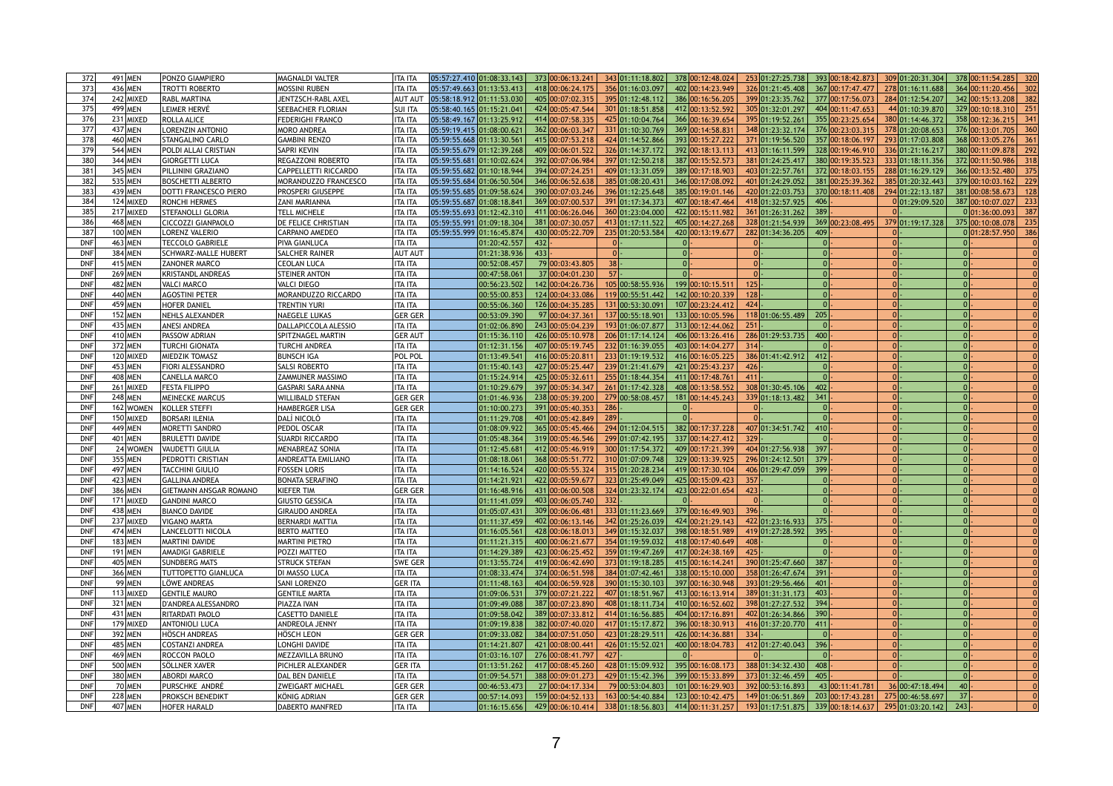| 372        | 491 MEN        |           | <b>PONZO GIAMPIERO</b>        | <b>MAGNALDI VALTER</b>      | ITA ITA        |                           |     | 373 00:06:13.241 | 343 01:11:18.802 | 378 00:12:48.024 |     | 253 01:27:25.738 | 393 00:18:42.873                                           | 309 01:20:31.304 | 378 00:11:54.285        |
|------------|----------------|-----------|-------------------------------|-----------------------------|----------------|---------------------------|-----|------------------|------------------|------------------|-----|------------------|------------------------------------------------------------|------------------|-------------------------|
| 373        | 436 MEN        |           | <b>TROTTI ROBERTO</b>         | <b>MOSSINI RUBEN</b>        | <b>TA ITA</b>  |                           |     | 418 00:06:24.175 | 356 01:16:03.097 | 402 00:14:23.949 |     | 326 01:21:45.408 | 367 00:17:47.477                                           | 278 01:16:11.688 | 364 00:11:20.456        |
| 374        |                | 242 MIXED | <b>RABL MARTINA</b>           | JENTZSCH-RABL AXEL          | <b>AUT AUT</b> |                           |     | 405 00:07:02.315 | 395 01:12:48.112 | 386 00:16:56.205 |     | 399 01:23:35.762 | 377 00:17:56.073                                           | 284 01:12:54.207 | 342 00:15:13.208        |
| 375        | 499 MEN        |           | LEIMER HERVÉ                  | SEEBACHER FLORIAN           | <b>SUI ITA</b> | 05:58:40.165 01:15:21.041 |     | 424 00:05:47.544 | 301 01:18:51.858 | 412 00:13:52.592 |     | 305 01:32:01.297 | 404 00:11:47.653                                           | 44 01:10:39.870  | 329 00:10:18.310<br>251 |
| 376        |                | 231 MIXED | ROLLA ALICE                   | <b>FEDERIGHI FRANCO</b>     | <b>ITA ITA</b> | 05:58:49.167 01:13:25.912 |     | 414 00:07:58.335 | 425 01:10:04.764 | 366 00:16:39.654 |     | 395 01:19:52.261 | 355 00:23:25.654                                           | 380 01:14:46.372 | 358 00:12:36.215        |
| 377        | 437 MEN        |           | <b>LORENZIN ANTONIO</b>       | <b>MORO ANDREA</b>          | <b>TA ITA</b>  | 05:59:19.415 01:08:00.621 |     | 362 00:06:03.347 | 331 01:10:30.769 | 369 00:14:58.83  |     | 348 01:23:32.174 | 376 00:23:03.315                                           | 378 01:20:08.653 | 376 00:13:01.705        |
| 378        | 460 MEN        |           | <b>STANGALINO CARLO</b>       | <b>GAMBINI RENZO</b>        | <b>ITA ITA</b> |                           |     | 415 00:07:53.21  | 424 01:14:52.866 | 393 00:15:27.222 |     | 371 01:19:56.520 | 357 00:18:06.197                                           | 293 01:17:03.808 | 368 00:13:05.276        |
| 379        | 544 MEN        |           | <b>POLDI ALLAI CRISTIAN</b>   | <b>SAPRI KEVIN</b>          | <b>TA ITA</b>  | 05:59:55.679 01:12:39.268 |     | 409 00:06:01.522 | 326 01:14:37.172 | 392 00:18:13.113 |     | 413 01:16:11.599 | 328 00:19:46.91                                            | 336 01:21:16.217 | 380 00:11:09.878        |
| 380        | 344 MEN        |           | <b>GIORGETTI LUCA</b>         | <b>REGAZZONI ROBERTO</b>    | <b>ITA ITA</b> | 05:59:55.681 01:10:02.624 |     | 392 00:07:06.984 | 397 01:12:50.218 | 387 00:15:52.573 |     | 381 01:24:25.417 | 380 00:19:35.523                                           | 333 01:18:11.356 | 372 00:11:50.986        |
| 381        | 345 MEN        |           | <b>PILLININI GRAZIANO</b>     | <b>CAPPELLETTI RICCARDO</b> | ITA ITA        | 05:59:55.682 01:10:18.944 |     | 394 00:07:24.25  | 409 01:13:31.059 | 389 00:17:18.903 |     | 403 01:22:57.761 | 372 00:18:03.155                                           | 288 01:16:29.129 | 366 00:13:52.480        |
| 382        | 535 MEN        |           | <b>BOSCHETTI ALBERTO</b>      | <b>MORANDUZZO FRANCESCO</b> | <b>ITA ITA</b> | 05:59:55.684 01:06:50.504 |     | 346 00:06:52.638 | 385 01:08:20.431 | 346 00:17:08.092 |     | 401 01:24:29.052 | 381 00:25:39.362                                           | 385 01:20:32.443 | 379 00:10:03.162<br>229 |
| 383        | 439 MEN        |           | <b>DOTTI FRANCESCO PIERO</b>  | <b>PROSPERI GIUSEPPE</b>    | <b>TA ITA</b>  | 05:59:55.685 01:09:58.624 |     | 390 00:07:03.246 | 396 01:12:25.648 | 385 00:19:01.146 |     | 420 01:22:03.753 | 370 00:18:11.408                                           | 294 01:22:13.187 | 381 00:08:58.673        |
|            |                |           |                               |                             |                |                           |     | 369 00:07:00.537 | 391 01:17:34.373 | 407 00:18:47.464 |     | 418 01:32:57.925 |                                                            |                  | 387 00:10:07.027        |
| 384        |                | 124 MIXED | <b>RONCHI HERMES</b>          | <b>ZANI MARIANNA</b>        | <b>ITA ITA</b> |                           |     |                  |                  |                  |     |                  | 406                                                        | 001:29:09.520    |                         |
| 385        |                | 217 MIXED | <b>STEFANOLLI GLORIA</b>      | <b>TELL MICHELE</b>         | <b>TA ITA</b>  | 05:59:55.693 01:12:42.310 |     | 411 00:06:26.046 | 360 01:23:04.000 | 422 00:15:11.982 |     | 361 01:26:31.262 | 389                                                        |                  | 0 01:36:00.093          |
| 386        | 468 MEN        |           | <b>CICCOZZI GIANPAOLO</b>     | <b>DE FELICE CHRISTIAN</b>  | <b>TA ITA</b>  | 05:59:55.991 01:09:18.304 |     | 381 00:07:30.057 | 413 01:17:11.522 | 405 00:14:27.268 |     | 328 01:21:54.939 | 369 00:23:08.495                                           | 379 01:19:17.328 | 375 00:10:08.078<br>235 |
| 387        | 100 MEN        |           | LORENZ VALERIO                | <b>CARPANO AMEDEO</b>       | TA ITA         | 05:59:55.999 01:16:45.874 |     | 430 00:05:22.709 | 235 01:20:53.584 | 420 00:13:19.677 |     | 282 01:34:36.205 | 409                                                        |                  | 0 01:28:57.950          |
| <b>DNF</b> | 463 MEN        |           | <b>TECCOLO GABRIELE</b>       | <b>PIVA GIANLUCA</b>        | ITA ITA        | 01:20:42.557              | 432 |                  |                  |                  |     |                  |                                                            |                  |                         |
| <b>DNF</b> | 384 MEN        |           | SCHWARZ-MALLE HUBERT          | <b>SALCHER RAINER</b>       | <b>AUT AUT</b> | 01:21:38.936              | 433 |                  |                  |                  |     |                  |                                                            |                  |                         |
| <b>DNF</b> | 415 MEN        |           | <b>ZANONER MARCO</b>          | <b>CEOLAN LUCA</b>          | ITA ITA        | 00:52:08.457              |     | 79 00:03:43.805  | $38$ .           |                  |     |                  |                                                            |                  |                         |
| <b>DNF</b> | <b>269 MEN</b> |           | <b>KRISTANDL ANDREAS</b>      | <b>STEINER ANTON</b>        | <b>TA ITA</b>  | 00:47:58.061              |     | 37 00:04:01.230  | 57               |                  |     |                  |                                                            |                  |                         |
| <b>DNF</b> | 482 MEN        |           | <b>VALCI MARCO</b>            | <b>VALCI DIEGO</b>          | ITA ITA        | 00:56:23.502              |     | 142 00:04:26.736 | 105 00:58:55.936 | 199 00:10:15.511 | 125 |                  |                                                            |                  |                         |
| <b>DNF</b> | 440 MEN        |           | <b>AGOSTINI PETER</b>         | MORANDUZZO RICCARDO         | ITA ITA        | 00:55:00.853              |     | 124 00:04:33.086 | 119 00:55:51.442 | 142 00:10:20.339 | 128 |                  |                                                            |                  |                         |
| <b>DNF</b> | 459 MEN        |           | <b>HOFER DANIEL</b>           | <b>TRENTIN YURI</b>         | <b>ITA ITA</b> | 00:55:06.360              |     | 126 00:04:35.285 | 131 00:53:30.091 | 107 00:23:24.412 | 424 |                  |                                                            |                  |                         |
| <b>DNF</b> | 152 MEN        |           | <b>NEHLS ALEXANDER</b>        | <b>NAEGELE LUKAS</b>        | <b>GER GER</b> | 00:53:09.390              |     | 97 00:04:37.361  | 137 00:55:18.901 | 133 00:10:05.596 |     | 118 01:06:55.489 | 205                                                        |                  |                         |
| <b>DNF</b> | 435 MEN        |           | <b>ANESI ANDREA</b>           | <b>DALLAPICCOLA ALESSIO</b> | <b>ITA ITA</b> | 01:02:06.890              |     | 243 00:05:04.239 | 193 01:06:07.877 | 313 00:12:44.062 | 251 |                  |                                                            |                  |                         |
| <b>DNF</b> | 410 MEN        |           | <b>PASSOW ADRIAN</b>          | SPITZNAGEL MARTIN           | <b>GER AUT</b> | 01:15:36.110              |     | 426 00:05:10.978 | 206 01:17:14.124 | 406 00:13:26.416 |     | 286 01:29:53.735 | 400                                                        |                  |                         |
| <b>DNF</b> | 372 MEN        |           | TURCHI GIONATA                | <b>TURCHI ANDREA</b>        | ITA ITA        | 01:12:31.156              |     | 407 00:05:19.745 | 232 01:16:39.055 | 403 00:14:04.277 | 314 |                  |                                                            |                  |                         |
| <b>DNF</b> |                | 120 MIXED | <b>MIEDZIK TOMASZ</b>         | <b>BUNSCH IGA</b>           | POL POL        | 01:13:49.541              |     | 416 00:05:20.81  | 233 01:19:19.532 | 416 00:16:05.225 |     | 386 01:41:42.912 | 412                                                        |                  |                         |
| <b>DNF</b> | 453 MEN        |           | <b>FIORI ALESSANDRO</b>       | <b>SALSI ROBERTO</b>        | ITA ITA        | 01:15:40.143              |     | 427 00:05:25.447 | 239 01:21:41.679 | 421 00:25:43.237 | 426 |                  |                                                            |                  |                         |
|            | 408 MEN        |           | CANELLA MARCO                 | <b>ZAMMUNER MASSIMO</b>     | ITA ITA        | 01:15:24.914              |     | 425 00:05:32.611 | 255 01:18:44.354 | 411 00:17:48.761 | 411 |                  |                                                            |                  |                         |
| <b>DNF</b> |                | 261 MIXED | <b>FESTA FILIPPO</b>          | <b>GASPARI SARA ANNA</b>    | ITA ITA        | 01:10:29.679              |     | 397 00:05:34.347 | 261 01:17:42.328 | 408 00:13:58.552 |     | 308 01:30:45.106 | 402                                                        |                  |                         |
| <b>DNF</b> | 248 MEN        |           | <b>MEINECKE MARCUS</b>        | <b>WILLIBALD STEFAN</b>     | <b>GER GER</b> | 01:01:46.936              |     | 238 00:05:39.200 | 279 00:58:08.457 | 181 00:14:45.243 |     | 339 01:18:13.482 | 341                                                        |                  |                         |
| <b>DNF</b> |                | 162 WOMEN | KOLLER STEFFI                 | <b>HAMBERGER LISA</b>       | <b>GER GER</b> | 01:10:00.273              |     | 391 00:05:40.353 | $286$ .          |                  |     |                  |                                                            |                  |                         |
| <b>DNF</b> |                | 150 MIXED | <b>BORSARI ILENIA</b>         | DALÌ NICOLÒ                 | TA ITA         | 01:11:29.708              |     | 401 00:05:42.849 | 289              |                  |     |                  |                                                            |                  |                         |
| <b>DNF</b> | 449 MEN        |           | <b>MORETTI SANDRO</b>         | <b>PEDOL OSCAR</b>          | ITA ITA        | 01:08:09.922              |     | 365 00:05:45.466 | 294 01:12:04.515 | 382 00:17:37.228 |     | 407 01:34:51.742 | 410                                                        |                  |                         |
| <b>DNF</b> | 401 MEN        |           | <b>BRULETTI DAVIDE</b>        | <b>SUARDI RICCARDO</b>      | <b>TA ITA</b>  | 01:05:48.364              |     | 319 00:05:46.546 | 299 01:07:42.195 | 337 00:14:27.412 | 329 |                  |                                                            |                  |                         |
| <b>DNF</b> |                | 24 WOMEN  | <b>VAUDETTI GIULIA</b>        | <b>MENABREAZ SONIA</b>      | ITA ITA        | 01:12:45.681              |     | 412 00:05:46.919 | 300 01:17:54.372 | 409 00:17:21.399 |     | 404 01:27:56.938 | 397                                                        |                  |                         |
| <b>DNF</b> | 355 MEN        |           | <b>PEDROTTI CRISTIAN</b>      | <b>ANDREATTA EMILIANO</b>   | <b>TA ITA</b>  | 01:08:18.061              |     | 368 00:05:51.772 | 310 01:07:09.748 | 329 00:13:39.925 |     | 296 01:24:12.501 | 379                                                        |                  |                         |
| <b>DNF</b> | 497 MEN        |           | <b>TACCHINI GIULIO</b>        | <b>FOSSEN LORIS</b>         | ITA ITA        | 01:14:16.524              |     | 420 00:05:55.324 | 315 01:20:28.234 | 419 00:17:30.104 |     | 406 01:29:47.059 | 399                                                        |                  |                         |
| <b>DNF</b> | 423 MEN        |           | <b>GALLINA ANDREA</b>         | <b>BONATA SERAFINO</b>      | <b>TA ITA</b>  | 01:14:21.921              |     | 422 00:05:59.67  | 323 01:25:49.049 | 425 00:15:09.423 | 357 |                  |                                                            |                  |                         |
| <b>DNF</b> | 386 MEN        |           | <b>GIETMANN ANSGAR ROMANO</b> | <b>KIEFER TIM</b>           | <b>GER GER</b> | 01:16:48.916              |     | 431 00:06:00.508 | 324 01:23:32.174 | 423 00:22:01.654 | 423 |                  |                                                            |                  |                         |
| <b>DNF</b> |                | 171 MIXED | <b>GANDINI MARCO</b>          | <b>GIUSTO GESSICA</b>       | <b>TA ITA</b>  | 01:11:41.059              |     | 403 00:06:05.740 | 332              |                  |     |                  |                                                            |                  |                         |
| <b>DNF</b> | 438 MEN        |           | <b>BIANCO DAVIDE</b>          | <b>GIRAUDO ANDREA</b>       | ITA ITA        | 01:05:07.431              |     | 309 00:06:06.48  | 333 01:11:23.669 | 379 00:16:49.903 | 396 |                  |                                                            |                  |                         |
| <b>DNF</b> |                | 237 MIXED | <b>VIGANO MARTA</b>           | <b>BERNARDI MATTIA</b>      | ITA ITA        | 01:11:37.459              |     | 402 00:06:13.146 | 342 01:25:26.039 | 424 00:21:29.143 |     | 422 01:23:16.933 | 375                                                        |                  |                         |
| <b>DNF</b> | 474 MEN        |           | <b>LANCELOTTI NICOLA</b>      | <b>BERTO MATTEO</b>         | <b>TA ITA</b>  | 01:16:05.561              |     | 428 00:06:18.013 | 349 01:15:32.037 | 398 00:18:51.989 |     | 419 01:27:28.592 | 395                                                        |                  |                         |
| <b>DNF</b> | <b>183 MEN</b> |           | <b>MARTINI DAVIDE</b>         | <b>MARTINI PIETRO</b>       | <b>TA ITA</b>  | 01:11:21.315              |     | 400 00:06:21.677 | 354 01:19:59.032 | 418 00:17:40.649 |     |                  |                                                            |                  |                         |
| <b>DNF</b> | 191 MEN        |           | <b>AMADIGI GABRIELE</b>       | <b>POZZI MATTEO</b>         | <b>ITA ITA</b> | 01:14:29.389              |     | 423 00:06:25.452 | 359 01:19:47.269 | 417 00:24:38.169 | 425 |                  |                                                            |                  |                         |
| <b>DNF</b> | 405 MEN        |           | <b>SUNDBERG MATS</b>          | <b>STRUCK STEFAN</b>        | <b>SWE GER</b> | 01:13:55.724              |     | 419 00:06:42.690 | 373 01:19:18.285 | 415 00:16:14.241 |     | 390 01:25:47.660 | 387                                                        |                  |                         |
| <b>DNF</b> | 366 MEN        |           | <b>TUTTOPETTO GIANLUCA</b>    | <b>DI MASSO LUCA</b>        | ITA ITA        | 01:08:33.474              |     | 374 00:06:51.598 | 384 01:07:42.461 | 338 00:15:10.000 |     | 358 01:26:47.674 | 391                                                        |                  |                         |
| <b>DNF</b> | 99 MEN         |           | LÖWE ANDREAS                  | <b>SANI LORENZO</b>         | <b>GER ITA</b> | 01:11:48.163              |     | 404 00:06:59.928 | 390 01:15:30.103 | 397 00:16:30.948 |     | 393 01:29:56.466 | 401                                                        |                  |                         |
| <b>DNF</b> |                | 113 MIXED | <b>GENTILE MAURO</b>          | <b>GENTILE MARTA</b>        | ITA ITA        | 01:09:06.531              |     | 379 00:07:21.222 | 407 01:18:51.967 | 413 00:16:13.914 |     | 389 01:31:31.173 | 403                                                        |                  |                         |
| <b>DNF</b> | 321 MEN        |           | D'ANDREA ALESSANDRO           | <b>PIAZZA IVAN</b>          | <b>TA ITA</b>  | 01:09:49.088              |     | 387 00:07:23.890 | 408 01:18:11.734 | 410 00:16:52.602 |     | 398 01:27:27.532 | 394                                                        |                  |                         |
| <b>DNF</b> | 431 MEN        |           | <b>RITARDATI PAOLO</b>        | <b>CASETTO DANIELE</b>      | ITA ITA        | 01:09:58.042              |     | 389 00:07:33.812 | 414 01:16:56.885 | 404 00:17:16.891 |     | 402 01:26:34.866 | 390                                                        |                  |                         |
| <b>DNF</b> |                | 179 MIXED | <b>ANTONIOLI LUCA</b>         | ANDREOLA JENNY              | <b>TA ITA</b>  | 01:09:19.838              |     | 382 00:07:40.020 | 417 01:15:17.872 | 396 00:18:30.913 |     | 416 01:37:20.770 | 411                                                        |                  |                         |
| <b>DNF</b> | 392 MEN        |           | <b>HÖSCH ANDREAS</b>          | HÖSCH LEON                  | <b>GER GER</b> | 01:09:33.082              |     | 384 00:07:51.050 | 423 01:28:29.511 | 426 00:14:36.881 | 334 |                  |                                                            |                  |                         |
| <b>DNF</b> | 485 MEN        |           | <b>COSTANZI ANDREA</b>        | LONGHI DAVIDE               | ITA ITA        | 01:14:21.807              |     | 421 00:08:00.44  | 426 01:15:52.021 | 400 00:18:04.783 |     | 412 01:27:40.043 | 396                                                        |                  |                         |
| <b>DNF</b> | 469 MEN        |           | <b>ROCCON PAOLO</b>           | <b>MEZZAVILLA BRUNO</b>     | ITA ITA        | 01:03:16.107              |     | 276 00:08:41.797 | $427$ .          |                  |     |                  |                                                            |                  |                         |
| <b>DNF</b> | 500 MEN        |           | SÖLLNER XAVER                 | PICHLER ALEXANDER           | <b>GER ITA</b> | 01:13:51.262              |     | 417 00:08:45.260 | 428 01:15:09.932 | 395 00:16:08.173 |     | 388 01:34:32.430 | 408                                                        |                  |                         |
| <b>DNF</b> | 380 MEN        |           | <b>ABORDI MARCO</b>           | <b>DAL BEN DANIELE</b>      | <b>ITA ITA</b> | 01:09:54.571              |     | 388 00:09:01.273 | 429 01:15:42.396 | 399 00:15:33.899 |     | 373 01:32:46.459 | 405                                                        |                  |                         |
| DNF        |                | 70 MEN    | PURSCHKE ANDRÉ                | <b>ZWEIGART MICHAEL</b>     | <b>GER GER</b> | 00:46:53.473              |     | 27 00:04:17.334  | 79 00:53:04.803  | 101 00:16:29.903 |     | 392 00:53:16.893 | 43 00:11:41.781                                            | 36 00:47:18.494  |                         |
| <b>DNF</b> | $228$ MEN      |           | <b>PROKSCH BENEDIKT</b>       | KÖNIG ADRIAN                | <b>GER GER</b> | 00:57:14.093              |     | 159 00:04:52.133 | 163 00:54:40.884 | 123 00:10:42.475 |     |                  | $149 01:06:51.869$ 203 00:17:43.281                        | 275 00:46:58.697 | $37$ .                  |
| <b>DNF</b> | 407 MEN        |           | <b>HOFER HARALD</b>           | <b>DABERTO MANFRED</b>      | <b>ITA ITA</b> | 01:16:15.656              |     | 429 00:06:10.414 | 338 01:18:56.803 | 414 00:11:31.257 |     |                  | $193 01:17:51.875$ 339 00:18:14.637 295 01:03:20.142 243 - |                  |                         |
|            |                |           |                               |                             |                |                           |     |                  |                  |                  |     |                  |                                                            |                  |                         |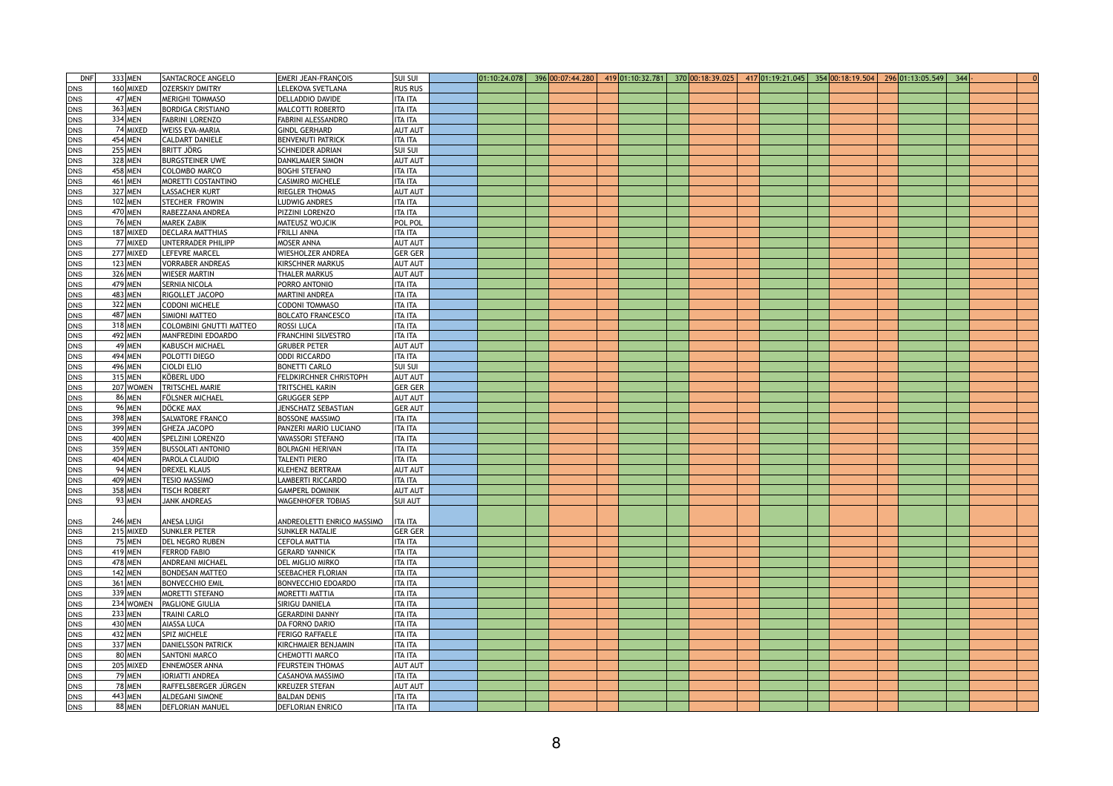| <b>DNF</b> | 333 MEN       | SANTACROCE ANGELO              | <b>EMERI JEAN-FRANCOIS</b>    | <b>SUI SUI</b> |  |  | $\vert 01:10:24.078 \vert 396 \vert 00:07:44.280 \vert 419 \vert 01:10:32.781 \vert$ | 370 00:18:39.025 | $417 01:19:21.045$ 354 00:18:19.504 |  | $296 01:13:05.549 $ 344 |  |  |
|------------|---------------|--------------------------------|-------------------------------|----------------|--|--|--------------------------------------------------------------------------------------|------------------|-------------------------------------|--|-------------------------|--|--|
| <b>DNS</b> | $160$ MIXED   | OZERSKIY DMITRY                | LELEKOVA SVETLANA             | <b>RUS RUS</b> |  |  |                                                                                      |                  |                                     |  |                         |  |  |
| DNS        | $47$ MEN      | <b>MERIGHI TOMMASO</b>         | <b>DELLADDIO DAVIDE</b>       | <b>ITA ITA</b> |  |  |                                                                                      |                  |                                     |  |                         |  |  |
| <b>DNS</b> | 363 MEN       | <b>BORDIGA CRISTIANO</b>       | <b>MALCOTTI ROBERTO</b>       | <b>ITA ITA</b> |  |  |                                                                                      |                  |                                     |  |                         |  |  |
| DNS        | 334 MEN       | FABRINI LORENZO                | <b>FABRINI ALESSANDRO</b>     | <b>ITA ITA</b> |  |  |                                                                                      |                  |                                     |  |                         |  |  |
| DNS        | 74 MIXED      | <b>WEISS EVA-MARIA</b>         | <b>GINDL GERHARD</b>          | <b>AUT AUT</b> |  |  |                                                                                      |                  |                                     |  |                         |  |  |
| DNS        | 454 MEN       | <b>CALDART DANIELE</b>         | <b>BENVENUTI PATRICK</b>      | <b>ITA ITA</b> |  |  |                                                                                      |                  |                                     |  |                         |  |  |
| DNS        | 255 MEN       | <b>BRITT JÖRG</b>              | <b>SCHNEIDER ADRIAN</b>       | <b>SUI SUI</b> |  |  |                                                                                      |                  |                                     |  |                         |  |  |
|            | 328 MEN       | <b>BURGSTEINER UWE</b>         | <b>DANKLMAIER SIMON</b>       | <b>AUT AUT</b> |  |  |                                                                                      |                  |                                     |  |                         |  |  |
| DNS        |               |                                | <b>BOGHI STEFANO</b>          |                |  |  |                                                                                      |                  |                                     |  |                         |  |  |
| <b>DNS</b> | 458 MEN       | COLOMBO MARCO                  |                               | <b>ITA ITA</b> |  |  |                                                                                      |                  |                                     |  |                         |  |  |
| DNS        | 461 MEN       | <b>MORETTI COSTANTINO</b>      | <b>CASIMIRO MICHELE</b>       | <b>ITA ITA</b> |  |  |                                                                                      |                  |                                     |  |                         |  |  |
| DNS        | 327 MEN       | <b>LASSACHER KURT</b>          | <b>RIEGLER THOMAS</b>         | <b>AUT AUT</b> |  |  |                                                                                      |                  |                                     |  |                         |  |  |
| DNS        | 102 MEN       | STECHER FROWIN                 | <b>LUDWIG ANDRES</b>          | <b>ITA ITA</b> |  |  |                                                                                      |                  |                                     |  |                         |  |  |
| DNS        | 470 MEN       | RABEZZANA ANDREA               | PIZZINI LORENZO               | <b>ITA ITA</b> |  |  |                                                                                      |                  |                                     |  |                         |  |  |
| DNS        | $76$ MEN      | <b>MAREK ZABIK</b>             | MATEUSZ WOJCIK                | <b>POL POL</b> |  |  |                                                                                      |                  |                                     |  |                         |  |  |
| <b>DNS</b> | 187 MIXED     | <b>DECLARA MATTHIAS</b>        | <b>FRILLI ANNA</b>            | <b>ITA ITA</b> |  |  |                                                                                      |                  |                                     |  |                         |  |  |
| DNS        | 77 MIXED      | UNTERRADER PHILIPP             | <b>MOSER ANNA</b>             | <b>AUT AUT</b> |  |  |                                                                                      |                  |                                     |  |                         |  |  |
| <b>DNS</b> | 277 MIXED     | LEFEVRE MARCEL                 | WIESHOLZER ANDREA             | <b>GER GER</b> |  |  |                                                                                      |                  |                                     |  |                         |  |  |
| <b>DNS</b> | $123$ MEN     | <b>VORRABER ANDREAS</b>        | <b>KIRSCHNER MARKUS</b>       | <b>AUT AUT</b> |  |  |                                                                                      |                  |                                     |  |                         |  |  |
| DNS        | 326 MEN       | <b>WIESER MARTIN</b>           | <b>THALER MARKUS</b>          | <b>AUT AUT</b> |  |  |                                                                                      |                  |                                     |  |                         |  |  |
| <b>DNS</b> | 479 MEN       | <b>SERNIA NICOLA</b>           | <b>PORRO ANTONIO</b>          | <b>ITA ITA</b> |  |  |                                                                                      |                  |                                     |  |                         |  |  |
| <b>DNS</b> | 483 MEN       | RIGOLLET JACOPO                | <b>MARTINI ANDREA</b>         | <b>ITA ITA</b> |  |  |                                                                                      |                  |                                     |  |                         |  |  |
| <b>DNS</b> | 322 MEN       | <b>CODONI MICHELE</b>          | <b>CODONI TOMMASO</b>         | <b>ITA ITA</b> |  |  |                                                                                      |                  |                                     |  |                         |  |  |
| <b>DNS</b> | 487 MEN       | SIMIONI MATTEO                 | <b>BOLCATO FRANCESCO</b>      | <b>ITA ITA</b> |  |  |                                                                                      |                  |                                     |  |                         |  |  |
| DNS        | 318 MEN       | <b>COLOMBINI GNUTTI MATTEO</b> | <b>ROSSI LUCA</b>             | <b>ITA ITA</b> |  |  |                                                                                      |                  |                                     |  |                         |  |  |
| DNS        | 492 MEN       | MANFREDINI EDOARDO             | <b>FRANCHINI SILVESTRO</b>    | <b>ITA ITA</b> |  |  |                                                                                      |                  |                                     |  |                         |  |  |
| <b>DNS</b> | $49$ MEN      | KABUSCH MICHAEL                | <b>GRUBER PETER</b>           | <b>AUT AUT</b> |  |  |                                                                                      |                  |                                     |  |                         |  |  |
| <b>DNS</b> | 494 MEN       | POLOTTI DIEGO                  | <b>ODDI RICCARDO</b>          | <b>ITA ITA</b> |  |  |                                                                                      |                  |                                     |  |                         |  |  |
| <b>DNS</b> | 496 MEN       | <b>CIOLDI ELIO</b>             | <b>BONETTI CARLO</b>          | <b>SUI SUI</b> |  |  |                                                                                      |                  |                                     |  |                         |  |  |
| <b>DNS</b> | $315$ MEN     | KÖBERL UDO                     | <b>FELDKIRCHNER CHRISTOPH</b> | <b>AUT AUT</b> |  |  |                                                                                      |                  |                                     |  |                         |  |  |
| DNS        | 207 WOMEN     | <b>TRITSCHEL MARIE</b>         | <b>TRITSCHEL KARIN</b>        | <b>GER GER</b> |  |  |                                                                                      |                  |                                     |  |                         |  |  |
| <b>DNS</b> | 86 MEN        | <b>FÖLSNER MICHAEL</b>         | <b>GRUGGER SEPP</b>           | <b>AUT AUT</b> |  |  |                                                                                      |                  |                                     |  |                         |  |  |
| <b>DNS</b> | 96 MEN        | DÖCKE MAX                      | <b>JENSCHATZ SEBASTIAN</b>    | <b>GER AUT</b> |  |  |                                                                                      |                  |                                     |  |                         |  |  |
| <b>DNS</b> | 398 MEN       | <b>SALVATORE FRANCO</b>        | <b>BOSSONE MASSIMO</b>        | <b>ITA ITA</b> |  |  |                                                                                      |                  |                                     |  |                         |  |  |
| <b>DNS</b> | 399 MEN       | <b>GHEZA JACOPO</b>            | PANZERI MARIO LUCIANO         | <b>ITA ITA</b> |  |  |                                                                                      |                  |                                     |  |                         |  |  |
| <b>DNS</b> | 400 MEN       | <b>SPELZINI LORENZO</b>        | <b>VAVASSORI STEFANO</b>      | <b>ITA ITA</b> |  |  |                                                                                      |                  |                                     |  |                         |  |  |
| <b>DNS</b> | 359 MEN       | <b>BUSSOLATI ANTONIO</b>       | <b>BOLPAGNI HERIVAN</b>       | <b>ITA ITA</b> |  |  |                                                                                      |                  |                                     |  |                         |  |  |
| <b>DNS</b> | 404 MEN       | <b>PAROLA CLAUDIO</b>          | TALENTI PIERO                 | <b>ITA ITA</b> |  |  |                                                                                      |                  |                                     |  |                         |  |  |
| DNS        | 94 MEN        | <b>DREXEL KLAUS</b>            | <b>KLEHENZ BERTRAM</b>        | <b>AUT AUT</b> |  |  |                                                                                      |                  |                                     |  |                         |  |  |
| <b>DNS</b> | $409$ MEN     | <b>TESIO MASSIMO</b>           | LAMBERTI RICCARDO             | <b>ITA ITA</b> |  |  |                                                                                      |                  |                                     |  |                         |  |  |
| <b>DNS</b> | 358 MEN       | <b>TISCH ROBERT</b>            | <b>GAMPERL DOMINIK</b>        | <b>AUT AUT</b> |  |  |                                                                                      |                  |                                     |  |                         |  |  |
| <b>DNS</b> | $93$ MEN      | <b>JANK ANDREAS</b>            | <b>WAGENHOFER TOBIAS</b>      | <b>SUI AUT</b> |  |  |                                                                                      |                  |                                     |  |                         |  |  |
|            |               |                                |                               |                |  |  |                                                                                      |                  |                                     |  |                         |  |  |
| <b>DNS</b> | 246 MEN       | <b>ANESA LUIGI</b>             | ANDREOLETTI ENRICO MASSIMO    | <b>ITA ITA</b> |  |  |                                                                                      |                  |                                     |  |                         |  |  |
| DNS        | 215 MIXED     | <b>SUNKLER PETER</b>           | <b>SUNKLER NATALIE</b>        | <b>GER GER</b> |  |  |                                                                                      |                  |                                     |  |                         |  |  |
| <b>DNS</b> | $75$ MEN      | DEL NEGRO RUBEN                | <b>CEFOLA MATTIA</b>          | <b>ITA ITA</b> |  |  |                                                                                      |                  |                                     |  |                         |  |  |
| DNS        | 419 MEN       | <b>FERROD FABIO</b>            | <b>GERARD YANNICK</b>         | <b>ITA ITA</b> |  |  |                                                                                      |                  |                                     |  |                         |  |  |
| <b>DNS</b> | 478 MEN       | <b>ANDREANI MICHAEL</b>        | <b>DEL MIGLIO MIRKO</b>       | <b>ITA ITA</b> |  |  |                                                                                      |                  |                                     |  |                         |  |  |
| <b>DNS</b> | 142 MEN       | <b>BONDESAN MATTEO</b>         | <b>SEEBACHER FLORIAN</b>      | <b>ITA ITA</b> |  |  |                                                                                      |                  |                                     |  |                         |  |  |
| <b>DNS</b> | 361 MEN       | <b>BONVECCHIO EMIL</b>         | <b>BONVECCHIO EDOARDO</b>     | <b>ITA ITA</b> |  |  |                                                                                      |                  |                                     |  |                         |  |  |
| <b>DNS</b> | 339 MEN       | <b>MORETTI STEFANO</b>         | <b>MORETTI MATTIA</b>         | <b>ITA ITA</b> |  |  |                                                                                      |                  |                                     |  |                         |  |  |
| <b>DNS</b> | 234 WOMEN     | <b>PAGLIONE GIULIA</b>         | <b>SIRIGU DANIELA</b>         | <b>ITA ITA</b> |  |  |                                                                                      |                  |                                     |  |                         |  |  |
| DNS        | $233$ MEN     | <b>TRAINI CARLO</b>            | <b>GERARDINI DANNY</b>        | <b>ITA ITA</b> |  |  |                                                                                      |                  |                                     |  |                         |  |  |
| <b>DNS</b> | $430$ MEN     | <b>AIASSA LUCA</b>             | DA FORNO DARIO                | <b>ITA ITA</b> |  |  |                                                                                      |                  |                                     |  |                         |  |  |
| <b>DNS</b> | 432 MEN       | <b>SPIZ MICHELE</b>            | <b>FERIGO RAFFAELE</b>        | <b>ITA ITA</b> |  |  |                                                                                      |                  |                                     |  |                         |  |  |
|            | 337 MEN       | DANIELSSON PATRICK             | KIRCHMAIER BENJAMIN           | <b>ITA ITA</b> |  |  |                                                                                      |                  |                                     |  |                         |  |  |
| <b>DNS</b> | 80 MEN        | <b>SANTONI MARCO</b>           | <b>CHEMOTTI MARCO</b>         | <b>ITA ITA</b> |  |  |                                                                                      |                  |                                     |  |                         |  |  |
| <b>DNS</b> | 205 MIXED     | <b>ENNEMOSER ANNA</b>          | <b>FEURSTEIN THOMAS</b>       | <b>AUT AUT</b> |  |  |                                                                                      |                  |                                     |  |                         |  |  |
| <b>DNS</b> | <b>79 MEN</b> | <b>IORIATTI ANDREA</b>         | <b>CASANOVA MASSIMO</b>       | <b>ITA ITA</b> |  |  |                                                                                      |                  |                                     |  |                         |  |  |
| <b>DNS</b> |               |                                |                               |                |  |  |                                                                                      |                  |                                     |  |                         |  |  |
| <b>DNS</b> | 78 MEN        | RAFFELSBERGER JÜRGEN           | <b>KREUZER STEFAN</b>         | <b>AUT AUT</b> |  |  |                                                                                      |                  |                                     |  |                         |  |  |
| DNS        | 443 MEN       | ALDEGANI SIMONE                | <b>BALDAN DENIS</b>           | <b>ITA ITA</b> |  |  |                                                                                      |                  |                                     |  |                         |  |  |
| DNS        | 88 MEN        | <b>DEFLORIAN MANUEL</b>        | <b>DEFLORIAN ENRICO</b>       | <b>ITA ITA</b> |  |  |                                                                                      |                  |                                     |  |                         |  |  |